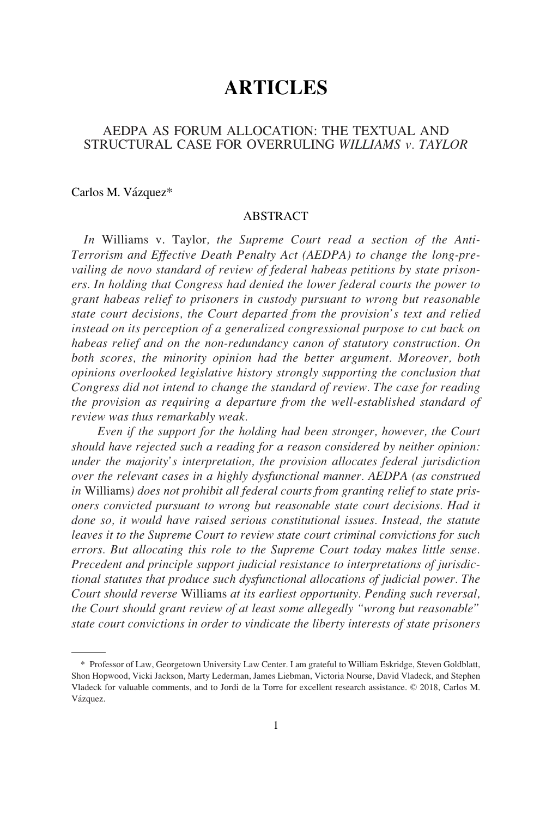# **ARTICLES**

# AEDPA AS FORUM ALLOCATION: THE TEXTUAL AND STRUCTURAL CASE FOR OVERRULING *WILLIAMS v. TAYLOR*

Carlos M. Vázquez\*

## ABSTRACT

*In* Williams v. Taylor*, the Supreme Court read a section of the Anti-Terrorism and Effective Death Penalty Act (AEDPA) to change the long-prevailing de novo standard of review of federal habeas petitions by state prisoners. In holding that Congress had denied the lower federal courts the power to grant habeas relief to prisoners in custody pursuant to wrong but reasonable state court decisions, the Court departed from the provision's text and relied instead on its perception of a generalized congressional purpose to cut back on habeas relief and on the non-redundancy canon of statutory construction. On both scores, the minority opinion had the better argument. Moreover, both opinions overlooked legislative history strongly supporting the conclusion that Congress did not intend to change the standard of review. The case for reading the provision as requiring a departure from the well-established standard of review was thus remarkably weak.* 

*Even if the support for the holding had been stronger, however, the Court should have rejected such a reading for a reason considered by neither opinion: under the majority's interpretation, the provision allocates federal jurisdiction over the relevant cases in a highly dysfunctional manner. AEDPA (as construed in* Williams*) does not prohibit all federal courts from granting relief to state prisoners convicted pursuant to wrong but reasonable state court decisions. Had it done so, it would have raised serious constitutional issues. Instead, the statute leaves it to the Supreme Court to review state court criminal convictions for such errors. But allocating this role to the Supreme Court today makes little sense. Precedent and principle support judicial resistance to interpretations of jurisdictional statutes that produce such dysfunctional allocations of judicial power. The Court should reverse* Williams *at its earliest opportunity. Pending such reversal, the Court should grant review of at least some allegedly "wrong but reasonable" state court convictions in order to vindicate the liberty interests of state prisoners* 

<sup>\*</sup> Professor of Law, Georgetown University Law Center. I am grateful to William Eskridge, Steven Goldblatt, Shon Hopwood, Vicki Jackson, Marty Lederman, James Liebman, Victoria Nourse, David Vladeck, and Stephen Vladeck for valuable comments, and to Jordi de la Torre for excellent research assistance. © 2018, Carlos M. Vázquez.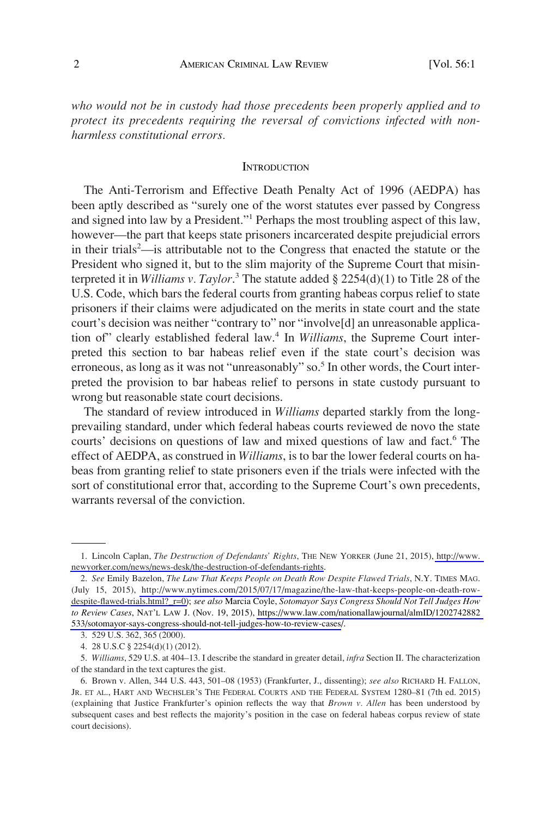*who would not be in custody had those precedents been properly applied and to protect its precedents requiring the reversal of convictions infected with nonharmless constitutional errors.* 

#### **INTRODUCTION**

The Anti-Terrorism and Effective Death Penalty Act of 1996 (AEDPA) has been aptly described as "surely one of the worst statutes ever passed by Congress and signed into law by a President."<sup>1</sup> Perhaps the most troubling aspect of this law, however—the part that keeps state prisoners incarcerated despite prejudicial errors in their trials<sup>2</sup>—is attributable not to the Congress that enacted the statute or the President who signed it, but to the slim majority of the Supreme Court that misinterpreted it in *Williams v. Taylor*. 3 The statute added § 2254(d)(1) to Title 28 of the U.S. Code, which bars the federal courts from granting habeas corpus relief to state prisoners if their claims were adjudicated on the merits in state court and the state court's decision was neither "contrary to" nor "involve[d] an unreasonable application of" clearly established federal law.4 In *Williams*, the Supreme Court interpreted this section to bar habeas relief even if the state court's decision was erroneous, as long as it was not "unreasonably" so.<sup>5</sup> In other words, the Court interpreted the provision to bar habeas relief to persons in state custody pursuant to wrong but reasonable state court decisions.

The standard of review introduced in *Williams* departed starkly from the longprevailing standard, under which federal habeas courts reviewed de novo the state courts' decisions on questions of law and mixed questions of law and fact.<sup>6</sup> The effect of AEDPA, as construed in *Williams*, is to bar the lower federal courts on habeas from granting relief to state prisoners even if the trials were infected with the sort of constitutional error that, according to the Supreme Court's own precedents, warrants reversal of the conviction.

<sup>1.</sup> Lincoln Caplan, *The Destruction of Defendants' Rights*, THE NEW YORKER (June 21, 2015), http://www. [newyorker.com/news/news-desk/the-destruction-of-defendants-rights](http://www.newyorker.com/news/news-desk/the-destruction-of-defendants-rights).

*See* Emily Bazelon, *The Law That Keeps People on Death Row Despite Flawed Trials*, N.Y. TIMES MAG. 2. (July 15, 2015), [http://www.nytimes.com/2015/07/17/magazine/the-law-that-keeps-people-on-death-row](http://www.nytimes.com/2015/07/17/magazine/the-law-that-keeps-people-on-death-row-despite-flawed-trials.html?_r=0)[despite-flawed-trials.html?\\_r=0\)](http://www.nytimes.com/2015/07/17/magazine/the-law-that-keeps-people-on-death-row-despite-flawed-trials.html?_r=0); *see also* Marcia Coyle, *Sotomayor Says Congress Should Not Tell Judges How to Review Cases*, NAT'L LAW J. (Nov. 19, 2015), [https://www.law.com/nationallawjournal/almID/1202742882](https://www.law.com/nationallawjournal/almID/1202742882533/sotomayor-says-congress-should-not-tell-judges-how-to-review-cases)  [533/sotomayor-says-congress-should-not-tell-judges-how-to-review-cases/](https://www.law.com/nationallawjournal/almID/1202742882533/sotomayor-says-congress-should-not-tell-judges-how-to-review-cases).

<sup>3. 529</sup> U.S. 362, 365 (2000).

<sup>4. 28</sup> U.S.C § 2254(d)(1) (2012).

<sup>5.</sup> *Williams*, 529 U.S. at 404–13. I describe the standard in greater detail, *infra* Section II. The characterization of the standard in the text captures the gist.

<sup>6.</sup> Brown v. Allen, 344 U.S. 443, 501–08 (1953) (Frankfurter, J., dissenting); *see also* RICHARD H. FALLON, JR. ET AL., HART AND WECHSLER'S THE FEDERAL COURTS AND THE FEDERAL SYSTEM 1280–81 (7th ed. 2015) (explaining that Justice Frankfurter's opinion reflects the way that *Brown v. Allen* has been understood by subsequent cases and best reflects the majority's position in the case on federal habeas corpus review of state court decisions).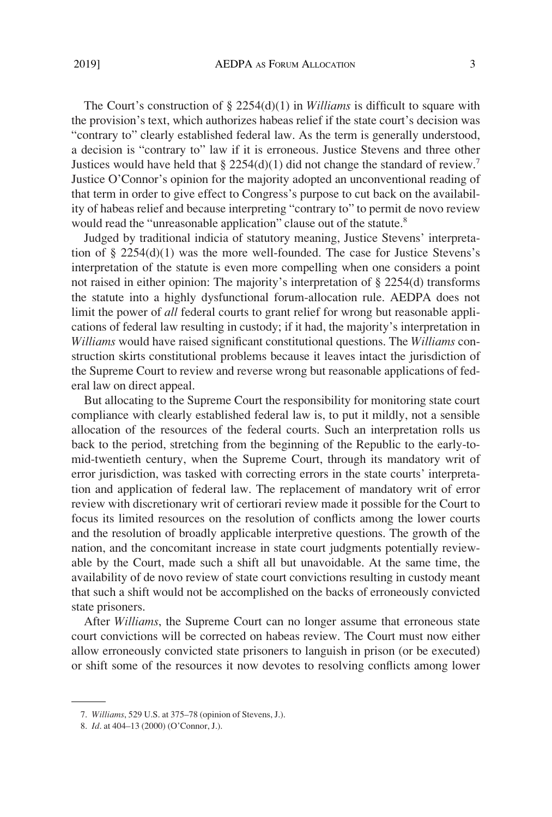The Court's construction of § 2254(d)(1) in *Williams* is difficult to square with the provision's text, which authorizes habeas relief if the state court's decision was "contrary to" clearly established federal law. As the term is generally understood, a decision is "contrary to" law if it is erroneous. Justice Stevens and three other Justices would have held that  $\S 2254(d)(1)$  did not change the standard of review.<sup>7</sup> Justice O'Connor's opinion for the majority adopted an unconventional reading of that term in order to give effect to Congress's purpose to cut back on the availability of habeas relief and because interpreting "contrary to" to permit de novo review would read the "unreasonable application" clause out of the statute.<sup>8</sup>

Judged by traditional indicia of statutory meaning, Justice Stevens' interpretation of § 2254(d)(1) was the more well-founded. The case for Justice Stevens's interpretation of the statute is even more compelling when one considers a point not raised in either opinion: The majority's interpretation of § 2254(d) transforms the statute into a highly dysfunctional forum-allocation rule. AEDPA does not limit the power of *all* federal courts to grant relief for wrong but reasonable applications of federal law resulting in custody; if it had, the majority's interpretation in *Williams* would have raised significant constitutional questions. The *Williams* construction skirts constitutional problems because it leaves intact the jurisdiction of the Supreme Court to review and reverse wrong but reasonable applications of federal law on direct appeal.

But allocating to the Supreme Court the responsibility for monitoring state court compliance with clearly established federal law is, to put it mildly, not a sensible allocation of the resources of the federal courts. Such an interpretation rolls us back to the period, stretching from the beginning of the Republic to the early-tomid-twentieth century, when the Supreme Court, through its mandatory writ of error jurisdiction, was tasked with correcting errors in the state courts' interpretation and application of federal law. The replacement of mandatory writ of error review with discretionary writ of certiorari review made it possible for the Court to focus its limited resources on the resolution of conflicts among the lower courts and the resolution of broadly applicable interpretive questions. The growth of the nation, and the concomitant increase in state court judgments potentially reviewable by the Court, made such a shift all but unavoidable. At the same time, the availability of de novo review of state court convictions resulting in custody meant that such a shift would not be accomplished on the backs of erroneously convicted state prisoners.

After *Williams*, the Supreme Court can no longer assume that erroneous state court convictions will be corrected on habeas review. The Court must now either allow erroneously convicted state prisoners to languish in prison (or be executed) or shift some of the resources it now devotes to resolving conflicts among lower

<sup>7.</sup> *Williams*, 529 U.S. at 375–78 (opinion of Stevens, J.).

<sup>8.</sup> *Id*. at 404–13 (2000) (O'Connor, J.).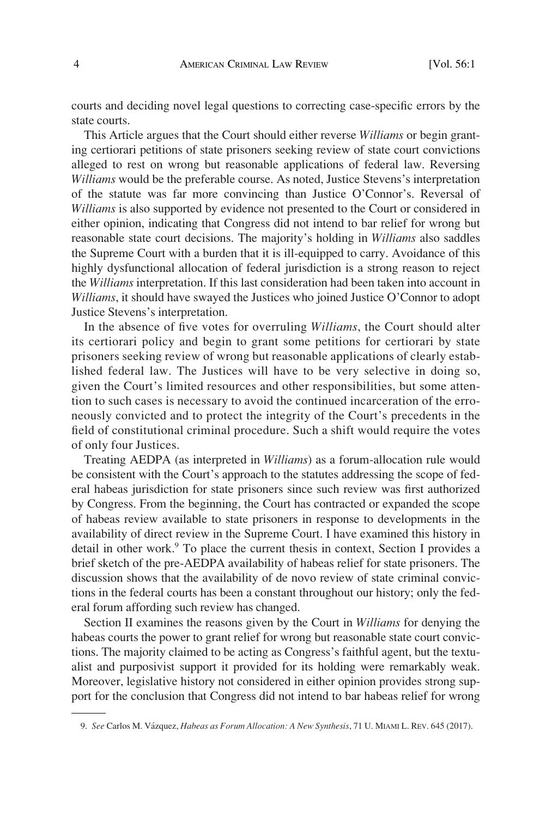courts and deciding novel legal questions to correcting case-specific errors by the state courts.

This Article argues that the Court should either reverse *Williams* or begin granting certiorari petitions of state prisoners seeking review of state court convictions alleged to rest on wrong but reasonable applications of federal law. Reversing *Williams* would be the preferable course. As noted, Justice Stevens's interpretation of the statute was far more convincing than Justice O'Connor's. Reversal of *Williams* is also supported by evidence not presented to the Court or considered in either opinion, indicating that Congress did not intend to bar relief for wrong but reasonable state court decisions. The majority's holding in *Williams* also saddles the Supreme Court with a burden that it is ill-equipped to carry. Avoidance of this highly dysfunctional allocation of federal jurisdiction is a strong reason to reject the *Williams* interpretation. If this last consideration had been taken into account in *Williams*, it should have swayed the Justices who joined Justice O'Connor to adopt Justice Stevens's interpretation.

In the absence of five votes for overruling *Williams*, the Court should alter its certiorari policy and begin to grant some petitions for certiorari by state prisoners seeking review of wrong but reasonable applications of clearly established federal law. The Justices will have to be very selective in doing so, given the Court's limited resources and other responsibilities, but some attention to such cases is necessary to avoid the continued incarceration of the erroneously convicted and to protect the integrity of the Court's precedents in the field of constitutional criminal procedure. Such a shift would require the votes of only four Justices.

Treating AEDPA (as interpreted in *Williams*) as a forum-allocation rule would be consistent with the Court's approach to the statutes addressing the scope of federal habeas jurisdiction for state prisoners since such review was first authorized by Congress. From the beginning, the Court has contracted or expanded the scope of habeas review available to state prisoners in response to developments in the availability of direct review in the Supreme Court. I have examined this history in detail in other work.<sup>9</sup> To place the current thesis in context, Section I provides a brief sketch of the pre-AEDPA availability of habeas relief for state prisoners. The discussion shows that the availability of de novo review of state criminal convictions in the federal courts has been a constant throughout our history; only the federal forum affording such review has changed.

Section II examines the reasons given by the Court in *Williams* for denying the habeas courts the power to grant relief for wrong but reasonable state court convictions. The majority claimed to be acting as Congress's faithful agent, but the textualist and purposivist support it provided for its holding were remarkably weak. Moreover, legislative history not considered in either opinion provides strong support for the conclusion that Congress did not intend to bar habeas relief for wrong

<sup>9.</sup> *See* Carlos M. Va´zquez, *Habeas as Forum Allocation: A New Synthesis*, 71 U. MIAMI L. REV. 645 (2017).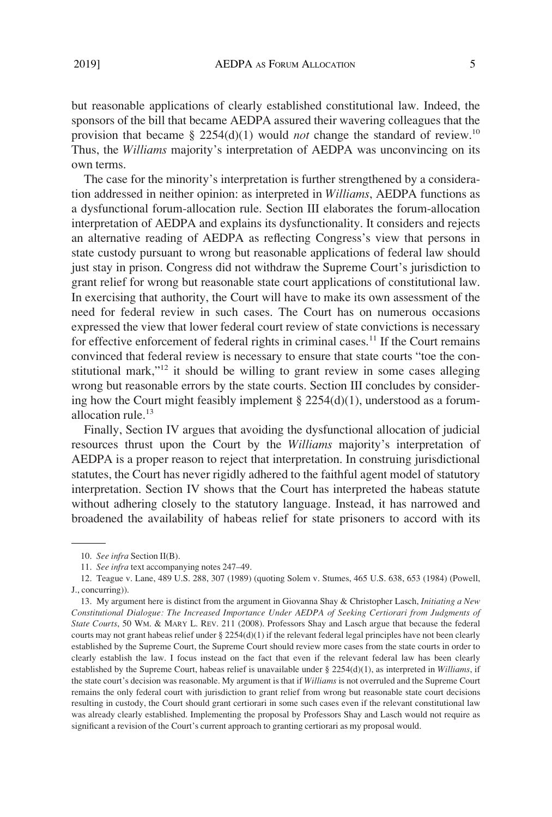but reasonable applications of clearly established constitutional law. Indeed, the sponsors of the bill that became AEDPA assured their wavering colleagues that the provision that became § 2254(d)(1) would *not* change the standard of review.<sup>10</sup> Thus, the *Williams* majority's interpretation of AEDPA was unconvincing on its own terms.

The case for the minority's interpretation is further strengthened by a consideration addressed in neither opinion: as interpreted in *Williams*, AEDPA functions as a dysfunctional forum-allocation rule. Section III elaborates the forum-allocation interpretation of AEDPA and explains its dysfunctionality. It considers and rejects an alternative reading of AEDPA as reflecting Congress's view that persons in state custody pursuant to wrong but reasonable applications of federal law should just stay in prison. Congress did not withdraw the Supreme Court's jurisdiction to grant relief for wrong but reasonable state court applications of constitutional law. In exercising that authority, the Court will have to make its own assessment of the need for federal review in such cases. The Court has on numerous occasions expressed the view that lower federal court review of state convictions is necessary for effective enforcement of federal rights in criminal cases.<sup>11</sup> If the Court remains convinced that federal review is necessary to ensure that state courts "toe the constitutional mark," $12$  it should be willing to grant review in some cases alleging wrong but reasonable errors by the state courts. Section III concludes by considering how the Court might feasibly implement  $\S 2254(d)(1)$ , understood as a forumallocation rule.<sup>13</sup>

Finally, Section IV argues that avoiding the dysfunctional allocation of judicial resources thrust upon the Court by the *Williams* majority's interpretation of AEDPA is a proper reason to reject that interpretation. In construing jurisdictional statutes, the Court has never rigidly adhered to the faithful agent model of statutory interpretation. Section IV shows that the Court has interpreted the habeas statute without adhering closely to the statutory language. Instead, it has narrowed and broadened the availability of habeas relief for state prisoners to accord with its

<sup>10.</sup> *See infra* Section II(B).

<sup>11.</sup> *See infra* text accompanying notes 247–49.

<sup>12.</sup> Teague v. Lane, 489 U.S. 288, 307 (1989) (quoting Solem v. Stumes, 465 U.S. 638, 653 (1984) (Powell, J., concurring)).

<sup>13.</sup> My argument here is distinct from the argument in Giovanna Shay & Christopher Lasch, *Initiating a New Constitutional Dialogue: The Increased Importance Under AEDPA of Seeking Certiorari from Judgments of State Courts*, 50 WM. & MARY L. REV. 211 (2008). Professors Shay and Lasch argue that because the federal courts may not grant habeas relief under § 2254(d)(1) if the relevant federal legal principles have not been clearly established by the Supreme Court, the Supreme Court should review more cases from the state courts in order to clearly establish the law. I focus instead on the fact that even if the relevant federal law has been clearly established by the Supreme Court, habeas relief is unavailable under § 2254(d)(1), as interpreted in *Williams*, if the state court's decision was reasonable. My argument is that if *Williams* is not overruled and the Supreme Court remains the only federal court with jurisdiction to grant relief from wrong but reasonable state court decisions resulting in custody, the Court should grant certiorari in some such cases even if the relevant constitutional law was already clearly established. Implementing the proposal by Professors Shay and Lasch would not require as significant a revision of the Court's current approach to granting certiorari as my proposal would.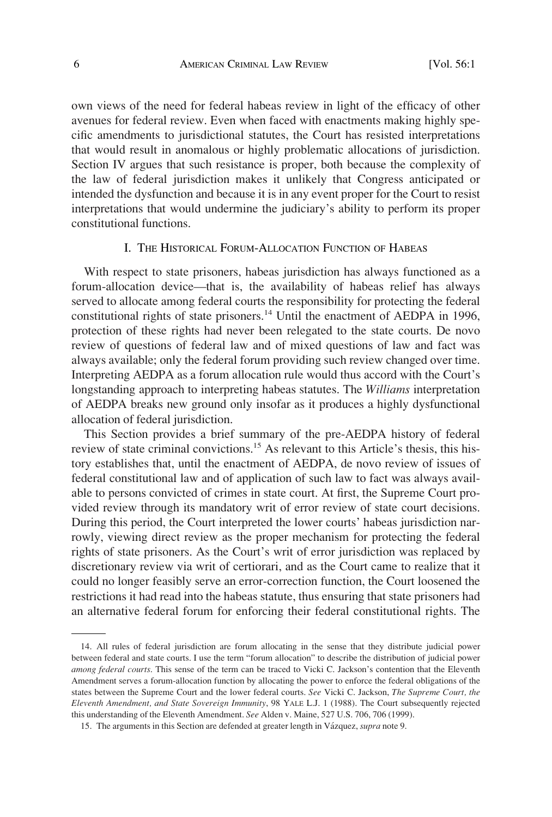own views of the need for federal habeas review in light of the efficacy of other avenues for federal review. Even when faced with enactments making highly specific amendments to jurisdictional statutes, the Court has resisted interpretations that would result in anomalous or highly problematic allocations of jurisdiction. Section IV argues that such resistance is proper, both because the complexity of the law of federal jurisdiction makes it unlikely that Congress anticipated or intended the dysfunction and because it is in any event proper for the Court to resist interpretations that would undermine the judiciary's ability to perform its proper constitutional functions.

# I. THE HISTORICAL FORUM-ALLOCATION FUNCTION OF HABEAS

With respect to state prisoners, habeas jurisdiction has always functioned as a forum-allocation device—that is, the availability of habeas relief has always served to allocate among federal courts the responsibility for protecting the federal constitutional rights of state prisoners.<sup>14</sup> Until the enactment of AEDPA in 1996, protection of these rights had never been relegated to the state courts. De novo review of questions of federal law and of mixed questions of law and fact was always available; only the federal forum providing such review changed over time. Interpreting AEDPA as a forum allocation rule would thus accord with the Court's longstanding approach to interpreting habeas statutes. The *Williams* interpretation of AEDPA breaks new ground only insofar as it produces a highly dysfunctional allocation of federal jurisdiction.

This Section provides a brief summary of the pre-AEDPA history of federal review of state criminal convictions.15 As relevant to this Article's thesis, this history establishes that, until the enactment of AEDPA, de novo review of issues of federal constitutional law and of application of such law to fact was always available to persons convicted of crimes in state court. At first, the Supreme Court provided review through its mandatory writ of error review of state court decisions. During this period, the Court interpreted the lower courts' habeas jurisdiction narrowly, viewing direct review as the proper mechanism for protecting the federal rights of state prisoners. As the Court's writ of error jurisdiction was replaced by discretionary review via writ of certiorari, and as the Court came to realize that it could no longer feasibly serve an error-correction function, the Court loosened the restrictions it had read into the habeas statute, thus ensuring that state prisoners had an alternative federal forum for enforcing their federal constitutional rights. The

<sup>14.</sup> All rules of federal jurisdiction are forum allocating in the sense that they distribute judicial power between federal and state courts. I use the term "forum allocation" to describe the distribution of judicial power *among federal courts*. This sense of the term can be traced to Vicki C. Jackson's contention that the Eleventh Amendment serves a forum-allocation function by allocating the power to enforce the federal obligations of the states between the Supreme Court and the lower federal courts. *See* Vicki C. Jackson, *The Supreme Court, the Eleventh Amendment, and State Sovereign Immunity*, 98 YALE L.J. 1 (1988). The Court subsequently rejected this understanding of the Eleventh Amendment. *See* Alden v. Maine, 527 U.S. 706, 706 (1999).

<sup>15.</sup> The arguments in this Section are defended at greater length in Va´zquez, *supra* note 9.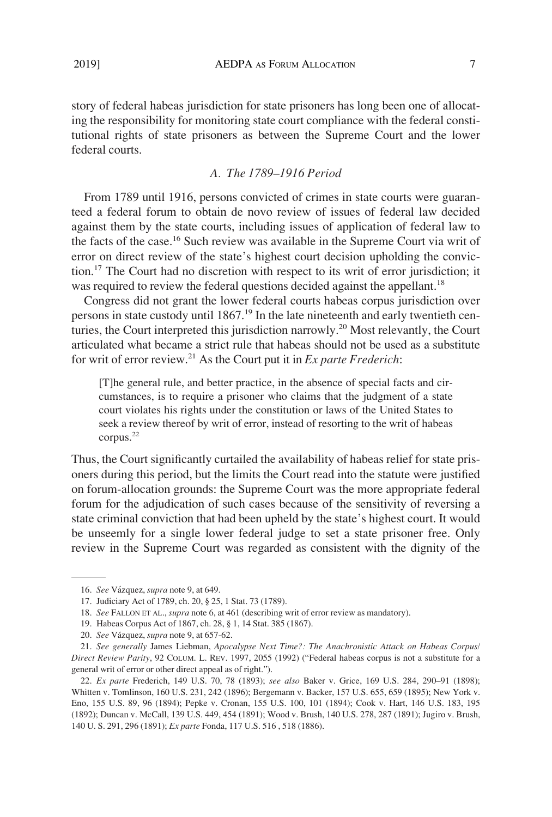story of federal habeas jurisdiction for state prisoners has long been one of allocating the responsibility for monitoring state court compliance with the federal constitutional rights of state prisoners as between the Supreme Court and the lower federal courts.

# *A. The 1789–1916 Period*

From 1789 until 1916, persons convicted of crimes in state courts were guaranteed a federal forum to obtain de novo review of issues of federal law decided against them by the state courts, including issues of application of federal law to the facts of the case.16 Such review was available in the Supreme Court via writ of error on direct review of the state's highest court decision upholding the conviction.17 The Court had no discretion with respect to its writ of error jurisdiction; it was required to review the federal questions decided against the appellant.<sup>18</sup>

Congress did not grant the lower federal courts habeas corpus jurisdiction over persons in state custody until  $1867<sup>19</sup>$  In the late nineteenth and early twentieth centuries, the Court interpreted this jurisdiction narrowly.20 Most relevantly, the Court articulated what became a strict rule that habeas should not be used as a substitute for writ of error review.<sup>21</sup> As the Court put it in  $Ex$  parte Frederich:

[T]he general rule, and better practice, in the absence of special facts and circumstances, is to require a prisoner who claims that the judgment of a state court violates his rights under the constitution or laws of the United States to seek a review thereof by writ of error, instead of resorting to the writ of habeas corpus.<sup>22</sup>

Thus, the Court significantly curtailed the availability of habeas relief for state prisoners during this period, but the limits the Court read into the statute were justified on forum-allocation grounds: the Supreme Court was the more appropriate federal forum for the adjudication of such cases because of the sensitivity of reversing a state criminal conviction that had been upheld by the state's highest court. It would be unseemly for a single lower federal judge to set a state prisoner free. Only review in the Supreme Court was regarded as consistent with the dignity of the

<sup>16.</sup> *See* Va´zquez, *supra* note 9, at 649.

<sup>17.</sup> Judiciary Act of 1789, ch. 20, § 25, 1 Stat. 73 (1789).

<sup>18.</sup> *See* FALLON ET AL., *supra* note 6, at 461 (describing writ of error review as mandatory).

<sup>19.</sup> Habeas Corpus Act of 1867, ch. 28, § 1, 14 Stat. 385 (1867).

<sup>20.</sup> *See* Va´zquez, *supra* note 9, at 657-62.

<sup>21.</sup> *See generally* James Liebman, *Apocalypse Next Time?: The Anachronistic Attack on Habeas Corpus/ Direct Review Parity*, 92 COLUM. L. REV. 1997, 2055 (1992) ("Federal habeas corpus is not a substitute for a general writ of error or other direct appeal as of right.").

<sup>22.</sup> *Ex parte* Frederich, 149 U.S. 70, 78 (1893); *see also* Baker v. Grice, 169 U.S. 284, 290–91 (1898); Whitten v. Tomlinson, 160 U.S. 231, 242 (1896); Bergemann v. Backer, 157 U.S. 655, 659 (1895); New York v. Eno, 155 U.S. 89, 96 (1894); Pepke v. Cronan, 155 U.S. 100, 101 (1894); Cook v. Hart, 146 U.S. 183, 195 (1892); Duncan v. McCall, 139 U.S. 449, 454 (1891); Wood v. Brush, 140 U.S. 278, 287 (1891); Jugiro v. Brush, 140 U. S. 291, 296 (1891); *Ex parte* Fonda, 117 U.S. 516 , 518 (1886).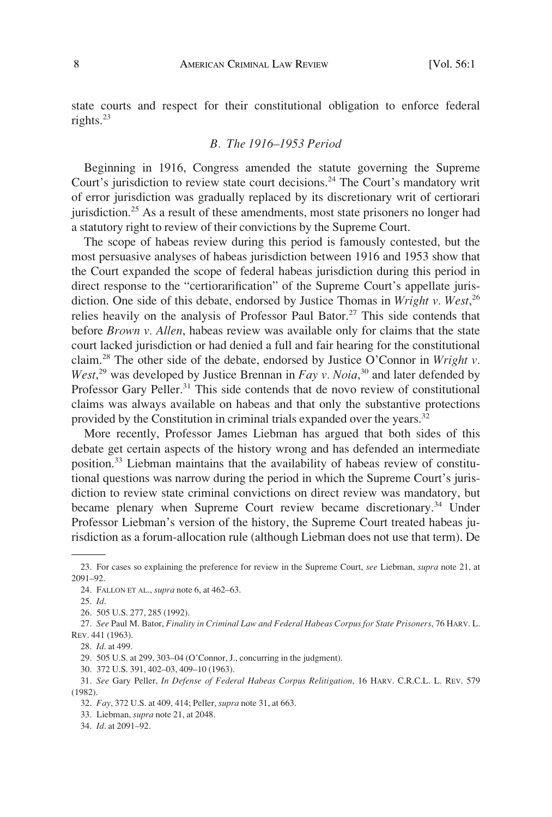state courts and respect for their constitutional obligation to enforce federal rights.23

#### *B. The 1916–1953 Period*

Beginning in 1916, Congress amended the statute governing the Supreme Court's jurisdiction to review state court decisions.<sup>24</sup> The Court's mandatory writ of error jurisdiction was gradually replaced by its discretionary writ of certiorari jurisdiction.25 As a result of these amendments, most state prisoners no longer had a statutory right to review of their convictions by the Supreme Court.

The scope of habeas review during this period is famously contested, but the most persuasive analyses of habeas jurisdiction between 1916 and 1953 show that the Court expanded the scope of federal habeas jurisdiction during this period in direct response to the "certiorarification" of the Supreme Court's appellate jurisdiction. One side of this debate, endorsed by Justice Thomas in *Wright v. West*, 26 relies heavily on the analysis of Professor Paul Bator.<sup>27</sup> This side contends that before *Brown v. Allen*, habeas review was available only for claims that the state court lacked jurisdiction or had denied a full and fair hearing for the constitutional claim.28 The other side of the debate, endorsed by Justice O'Connor in *Wright v.*  West,<sup>29</sup> was developed by Justice Brennan in *Fay v. Noia*,<sup>30</sup> and later defended by Professor Gary Peller.<sup>31</sup> This side contends that de novo review of constitutional claims was always available on habeas and that only the substantive protections provided by the Constitution in criminal trials expanded over the years.<sup>32</sup>

More recently, Professor James Liebman has argued that both sides of this debate get certain aspects of the history wrong and has defended an intermediate position.33 Liebman maintains that the availability of habeas review of constitutional questions was narrow during the period in which the Supreme Court's jurisdiction to review state criminal convictions on direct review was mandatory, but became plenary when Supreme Court review became discretionary.<sup>34</sup> Under Professor Liebman's version of the history, the Supreme Court treated habeas jurisdiction as a forum-allocation rule (although Liebman does not use that term). De

29. 505 U.S. at 299, 303–04 (O'Connor, J., concurring in the judgment).

30. 372 U.S. 391, 402–03, 409–10 (1963).

33. Liebman, *supra* note 21, at 2048.

34. *Id*. at 2091–92.

<sup>23.</sup> For cases so explaining the preference for review in the Supreme Court, *see* Liebman, *supra* note 21, at 2091–92.

<sup>24.</sup> FALLON ET AL., *supra* note 6, at 462–63.

<sup>25.</sup> *Id*.

<sup>26. 505</sup> U.S. 277, 285 (1992).

<sup>27.</sup> *See* Paul M. Bator, *Finality in Criminal Law and Federal Habeas Corpus for State Prisoners*, 76 HARV. L. REV. 441 (1963).

<sup>28.</sup> *Id*. at 499.

<sup>31.</sup> *See* Gary Peller, *In Defense of Federal Habeas Corpus Relitigation*, 16 HARV. C.R.C.L. L. REV. 579 (1982).

<sup>32.</sup> *Fay*, 372 U.S. at 409, 414; Peller, *supra* note 31, at 663.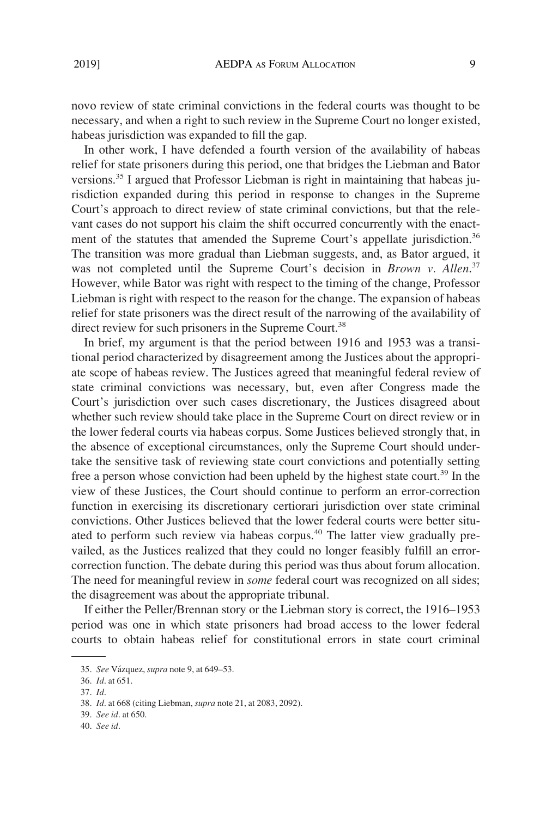novo review of state criminal convictions in the federal courts was thought to be necessary, and when a right to such review in the Supreme Court no longer existed, habeas jurisdiction was expanded to fill the gap.

In other work, I have defended a fourth version of the availability of habeas relief for state prisoners during this period, one that bridges the Liebman and Bator versions.35 I argued that Professor Liebman is right in maintaining that habeas jurisdiction expanded during this period in response to changes in the Supreme Court's approach to direct review of state criminal convictions, but that the relevant cases do not support his claim the shift occurred concurrently with the enactment of the statutes that amended the Supreme Court's appellate jurisdiction.<sup>36</sup> The transition was more gradual than Liebman suggests, and, as Bator argued, it was not completed until the Supreme Court's decision in *Brown v. Allen*. 37 However, while Bator was right with respect to the timing of the change, Professor Liebman is right with respect to the reason for the change. The expansion of habeas relief for state prisoners was the direct result of the narrowing of the availability of direct review for such prisoners in the Supreme Court.<sup>38</sup>

In brief, my argument is that the period between 1916 and 1953 was a transitional period characterized by disagreement among the Justices about the appropriate scope of habeas review. The Justices agreed that meaningful federal review of state criminal convictions was necessary, but, even after Congress made the Court's jurisdiction over such cases discretionary, the Justices disagreed about whether such review should take place in the Supreme Court on direct review or in the lower federal courts via habeas corpus. Some Justices believed strongly that, in the absence of exceptional circumstances, only the Supreme Court should undertake the sensitive task of reviewing state court convictions and potentially setting free a person whose conviction had been upheld by the highest state court.<sup>39</sup> In the view of these Justices, the Court should continue to perform an error-correction function in exercising its discretionary certiorari jurisdiction over state criminal convictions. Other Justices believed that the lower federal courts were better situated to perform such review via habeas corpus.<sup>40</sup> The latter view gradually prevailed, as the Justices realized that they could no longer feasibly fulfill an errorcorrection function. The debate during this period was thus about forum allocation. The need for meaningful review in *some* federal court was recognized on all sides; the disagreement was about the appropriate tribunal.

If either the Peller/Brennan story or the Liebman story is correct, the 1916–1953 period was one in which state prisoners had broad access to the lower federal courts to obtain habeas relief for constitutional errors in state court criminal

<sup>35.</sup> *See* Va´zquez, *supra* note 9, at 649–53.

<sup>36.</sup> *Id*. at 651.

<sup>37.</sup> *Id*.

<sup>38.</sup> *Id*. at 668 (citing Liebman, *supra* note 21, at 2083, 2092).

<sup>39.</sup> *See id*. at 650.

<sup>40.</sup> *See id*.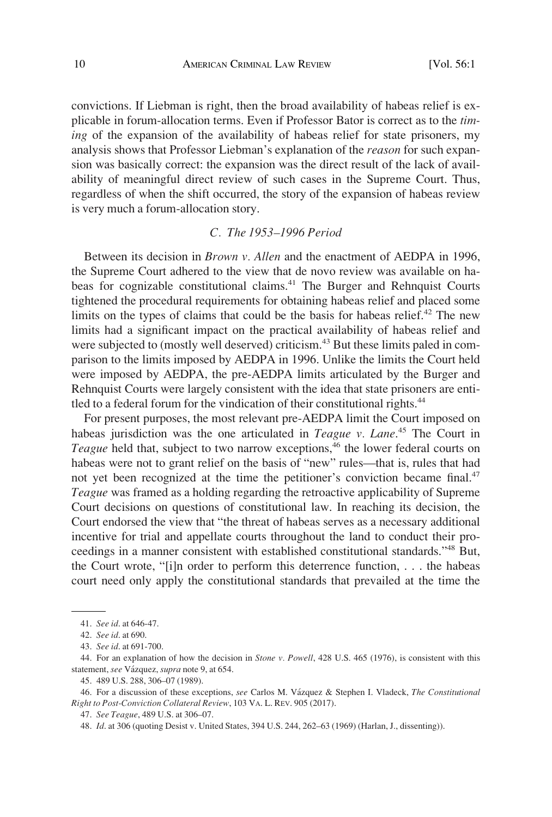convictions. If Liebman is right, then the broad availability of habeas relief is explicable in forum-allocation terms. Even if Professor Bator is correct as to the *timing* of the expansion of the availability of habeas relief for state prisoners, my analysis shows that Professor Liebman's explanation of the *reason* for such expansion was basically correct: the expansion was the direct result of the lack of availability of meaningful direct review of such cases in the Supreme Court. Thus, regardless of when the shift occurred, the story of the expansion of habeas review is very much a forum-allocation story.

#### *C. The 1953–1996 Period*

Between its decision in *Brown v. Allen* and the enactment of AEDPA in 1996, the Supreme Court adhered to the view that de novo review was available on habeas for cognizable constitutional claims.41 The Burger and Rehnquist Courts tightened the procedural requirements for obtaining habeas relief and placed some limits on the types of claims that could be the basis for habeas relief.<sup>42</sup> The new limits had a significant impact on the practical availability of habeas relief and were subjected to (mostly well deserved) criticism.<sup>43</sup> But these limits paled in comparison to the limits imposed by AEDPA in 1996. Unlike the limits the Court held were imposed by AEDPA, the pre-AEDPA limits articulated by the Burger and Rehnquist Courts were largely consistent with the idea that state prisoners are entitled to a federal forum for the vindication of their constitutional rights.<sup>44</sup>

For present purposes, the most relevant pre-AEDPA limit the Court imposed on habeas jurisdiction was the one articulated in *Teague v. Lane*. 45 The Court in *Teague* held that, subject to two narrow exceptions,<sup>46</sup> the lower federal courts on habeas were not to grant relief on the basis of "new" rules—that is, rules that had not yet been recognized at the time the petitioner's conviction became final.<sup>47</sup> *Teague* was framed as a holding regarding the retroactive applicability of Supreme Court decisions on questions of constitutional law. In reaching its decision, the Court endorsed the view that "the threat of habeas serves as a necessary additional incentive for trial and appellate courts throughout the land to conduct their proceedings in a manner consistent with established constitutional standards."48 But, the Court wrote, "[i]n order to perform this deterrence function, . . . the habeas court need only apply the constitutional standards that prevailed at the time the

<sup>41.</sup> *See id*. at 646-47.

<sup>42.</sup> *See id*. at 690.

<sup>43.</sup> *See id*. at 691-700.

<sup>44.</sup> For an explanation of how the decision in *Stone v. Powell*, 428 U.S. 465 (1976), is consistent with this statement, see Vázquez, supra note 9, at 654.

<sup>45. 489</sup> U.S. 288, 306–07 (1989).

<sup>46.</sup> For a discussion of these exceptions, *see* Carlos M. Va´zquez & Stephen I. Vladeck, *The Constitutional Right to Post-Conviction Collateral Review*, 103 VA. L. REV. 905 (2017).

<sup>47.</sup> *See Teague*, 489 U.S. at 306–07.

<sup>48.</sup> *Id*. at 306 (quoting Desist v. United States, 394 U.S. 244, 262–63 (1969) (Harlan, J., dissenting)).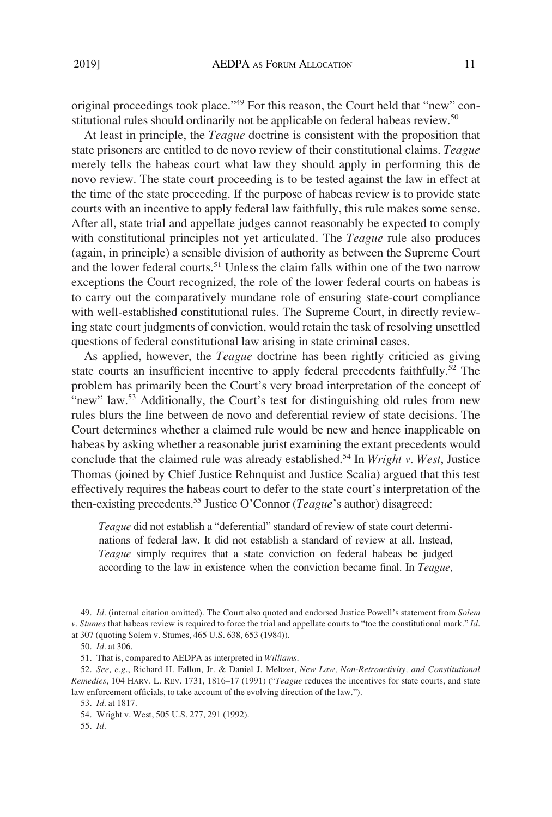original proceedings took place."49 For this reason, the Court held that "new" constitutional rules should ordinarily not be applicable on federal habeas review.<sup>50</sup>

At least in principle, the *Teague* doctrine is consistent with the proposition that state prisoners are entitled to de novo review of their constitutional claims. *Teague*  merely tells the habeas court what law they should apply in performing this de novo review. The state court proceeding is to be tested against the law in effect at the time of the state proceeding. If the purpose of habeas review is to provide state courts with an incentive to apply federal law faithfully, this rule makes some sense. After all, state trial and appellate judges cannot reasonably be expected to comply with constitutional principles not yet articulated. The *Teague* rule also produces (again, in principle) a sensible division of authority as between the Supreme Court and the lower federal courts.<sup>51</sup> Unless the claim falls within one of the two narrow exceptions the Court recognized, the role of the lower federal courts on habeas is to carry out the comparatively mundane role of ensuring state-court compliance with well-established constitutional rules. The Supreme Court, in directly reviewing state court judgments of conviction, would retain the task of resolving unsettled questions of federal constitutional law arising in state criminal cases.

As applied, however, the *Teague* doctrine has been rightly criticied as giving state courts an insufficient incentive to apply federal precedents faithfully.<sup>52</sup> The problem has primarily been the Court's very broad interpretation of the concept of "new" law.<sup>53</sup> Additionally, the Court's test for distinguishing old rules from new rules blurs the line between de novo and deferential review of state decisions. The Court determines whether a claimed rule would be new and hence inapplicable on habeas by asking whether a reasonable jurist examining the extant precedents would conclude that the claimed rule was already established.<sup>54</sup> In *Wright v. West*, Justice Thomas (joined by Chief Justice Rehnquist and Justice Scalia) argued that this test effectively requires the habeas court to defer to the state court's interpretation of the then-existing precedents.55 Justice O'Connor (*Teague*'s author) disagreed:

*Teague* did not establish a "deferential" standard of review of state court determinations of federal law. It did not establish a standard of review at all. Instead, *Teague* simply requires that a state conviction on federal habeas be judged according to the law in existence when the conviction became final. In *Teague*,

<sup>49.</sup> *Id*. (internal citation omitted). The Court also quoted and endorsed Justice Powell's statement from *Solem v. Stumes* that habeas review is required to force the trial and appellate courts to "toe the constitutional mark." *Id*. at 307 (quoting Solem v. Stumes, 465 U.S. 638, 653 (1984)).

<sup>50.</sup> *Id*. at 306.

<sup>51.</sup> That is, compared to AEDPA as interpreted in *Williams*.

<sup>52.</sup> *See, e.g*., Richard H. Fallon, Jr. & Daniel J. Meltzer, *New Law, Non-Retroactivity, and Constitutional Remedies*, 104 HARV. L. REV. 1731, 1816–17 (1991) ("*Teague* reduces the incentives for state courts, and state law enforcement officials, to take account of the evolving direction of the law.").

<sup>53.</sup> *Id*. at 1817.

<sup>54.</sup> Wright v. West, 505 U.S. 277, 291 (1992).

<sup>55.</sup> *Id*.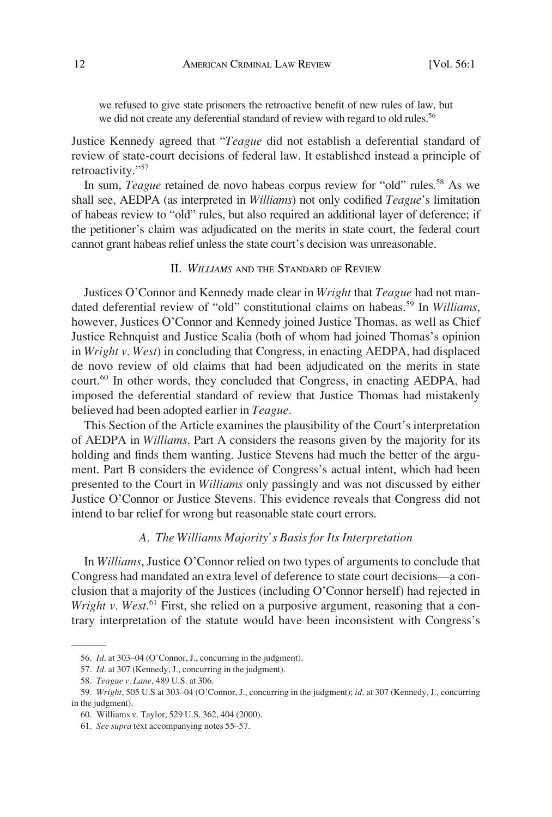we refused to give state prisoners the retroactive benefit of new rules of law, but we did not create any deferential standard of review with regard to old rules.<sup>56</sup>

Justice Kennedy agreed that "*Teague* did not establish a deferential standard of review of state-court decisions of federal law. It established instead a principle of retroactivity."57

In sum, *Teague* retained de novo habeas corpus review for "old" rules.<sup>58</sup> As we shall see, AEDPA (as interpreted in *Williams*) not only codified *Teague*'s limitation of habeas review to "old" rules, but also required an additional layer of deference; if the petitioner's claim was adjudicated on the merits in state court, the federal court cannot grant habeas relief unless the state court's decision was unreasonable.

# II*. WILLIAMS* AND THE STANDARD OF REVIEW

Justices O'Connor and Kennedy made clear in *Wright* that *Teague* had not mandated deferential review of "old" constitutional claims on habeas.59 In *Williams*, however, Justices O'Connor and Kennedy joined Justice Thomas, as well as Chief Justice Rehnquist and Justice Scalia (both of whom had joined Thomas's opinion in *Wright v. West*) in concluding that Congress, in enacting AEDPA, had displaced de novo review of old claims that had been adjudicated on the merits in state court.<sup>60</sup> In other words, they concluded that Congress, in enacting AEDPA, had imposed the deferential standard of review that Justice Thomas had mistakenly believed had been adopted earlier in *Teague*.

This Section of the Article examines the plausibility of the Court's interpretation of AEDPA in *Williams*. Part A considers the reasons given by the majority for its holding and finds them wanting. Justice Stevens had much the better of the argument. Part B considers the evidence of Congress's actual intent, which had been presented to the Court in *Williams* only passingly and was not discussed by either Justice O'Connor or Justice Stevens. This evidence reveals that Congress did not intend to bar relief for wrong but reasonable state court errors.

## *A. The Williams Majority's Basis for Its Interpretation*

In *Williams*, Justice O'Connor relied on two types of arguments to conclude that Congress had mandated an extra level of deference to state court decisions—a conclusion that a majority of the Justices (including O'Connor herself) had rejected in Wright v. West.<sup>61</sup> First, she relied on a purposive argument, reasoning that a contrary interpretation of the statute would have been inconsistent with Congress's

<sup>56.</sup> *Id*. at 303–04 (O'Connor, J., concurring in the judgment).

<sup>57.</sup> *Id*. at 307 (Kennedy, J., concurring in the judgment).

<sup>58.</sup> *Teague v. Lane*, 489 U.S. at 306.

<sup>59.</sup> *Wright*, 505 U.S at 303–04 (O'Connor, J., concurring in the judgment); *id*. at 307 (Kennedy, J., concurring in the judgment).

<sup>60.</sup> Williams v. Taylor, 529 U.S. 362, 404 (2000).

<sup>61.</sup> *See supra* text accompanying notes 55–57.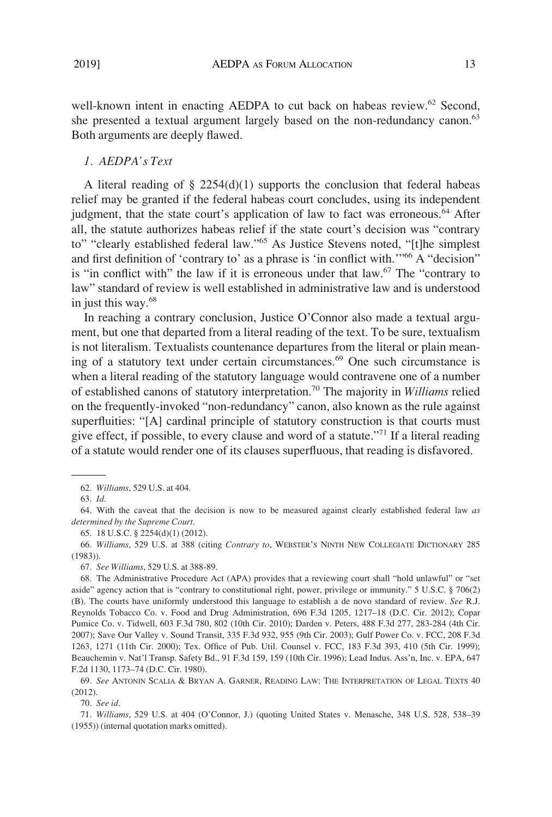well-known intent in enacting AEDPA to cut back on habeas review.<sup>62</sup> Second, she presented a textual argument largely based on the non-redundancy canon.<sup>63</sup> Both arguments are deeply flawed.

#### *1. AEDPA's Text*

A literal reading of  $\S$  2254(d)(1) supports the conclusion that federal habeas relief may be granted if the federal habeas court concludes, using its independent judgment, that the state court's application of law to fact was erroneous.<sup>64</sup> After all, the statute authorizes habeas relief if the state court's decision was "contrary to" "clearly established federal law."65 As Justice Stevens noted, "[t]he simplest and first definition of 'contrary to' as a phrase is 'in conflict with."<sup>66</sup> A "decision" is "in conflict with" the law if it is erroneous under that law.<sup>67</sup> The "contrary to law" standard of review is well established in administrative law and is understood in just this way.68

In reaching a contrary conclusion, Justice O'Connor also made a textual argument, but one that departed from a literal reading of the text. To be sure, textualism is not literalism. Textualists countenance departures from the literal or plain meaning of a statutory text under certain circumstances.<sup>69</sup> One such circumstance is when a literal reading of the statutory language would contravene one of a number of established canons of statutory interpretation.70 The majority in *Williams* relied on the frequently-invoked "non-redundancy" canon, also known as the rule against superfluities: "[A] cardinal principle of statutory construction is that courts must give effect, if possible, to every clause and word of a statute."71 If a literal reading of a statute would render one of its clauses superfluous, that reading is disfavored.

64. With the caveat that the decision is now to be measured against clearly established federal law *as determined by the Supreme Court*.

65. 18 U.S.C. § 2254(d)(1) (2012).

66. *Williams*, 529 U.S. at 388 (citing *Contrary to*, WEBSTER'S NINTH NEW COLLEGIATE DICTIONARY 285 (1983)).

67. *See Williams*, 529 U.S. at 388-89.

68. The Administrative Procedure Act (APA) provides that a reviewing court shall "hold unlawful" or "set aside" agency action that is "contrary to constitutional right, power, privilege or immunity." 5 U.S.C. § 706(2) (B). The courts have uniformly understood this language to establish a de novo standard of review. *See* R.J. Reynolds Tobacco Co. v. Food and Drug Administration, 696 F.3d 1205, 1217–18 (D.C. Cir. 2012); Copar Pumice Co. v. Tidwell, 603 F.3d 780, 802 (10th Cir. 2010); Darden v. Peters, 488 F.3d 277, 283-284 (4th Cir. 2007); Save Our Valley v. Sound Transit, 335 F.3d 932, 955 (9th Cir. 2003); Gulf Power Co. v. FCC, 208 F.3d 1263, 1271 (11th Cir. 2000); Tex. Office of Pub. Util. Counsel v. FCC, 183 F.3d 393, 410 (5th Cir. 1999); Beauchemin v. Nat'l Transp. Safety Bd., 91 F.3d 159, 159 (10th Cir. 1996); Lead Indus. Ass'n, Inc. v. EPA, 647 F.2d 1130, 1173–74 (D.C. Cir. 1980).

69. *See* ANTONIN SCALIA & BRYAN A. GARNER, READING LAW: THE INTERPRETATION OF LEGAL TEXTS 40 (2012).

70. *See id*.

71. *Williams*, 529 U.S. at 404 (O'Connor, J.) (quoting United States v. Menasche, 348 U.S. 528, 538–39 (1955)) (internal quotation marks omitted).

<sup>62.</sup> *Williams*, 529 U.S. at 404.

<sup>63.</sup> *Id*.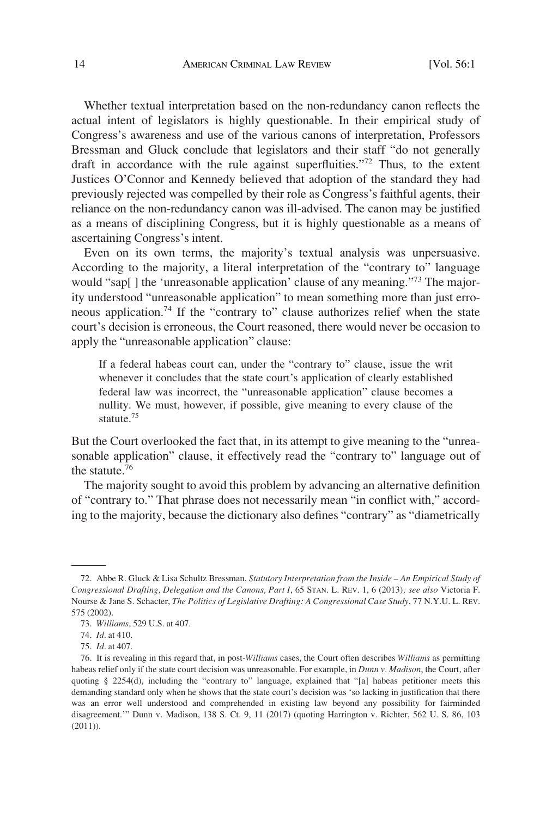Whether textual interpretation based on the non-redundancy canon reflects the actual intent of legislators is highly questionable. In their empirical study of Congress's awareness and use of the various canons of interpretation, Professors Bressman and Gluck conclude that legislators and their staff "do not generally draft in accordance with the rule against superfluities."<sup>72</sup> Thus, to the extent Justices O'Connor and Kennedy believed that adoption of the standard they had previously rejected was compelled by their role as Congress's faithful agents, their reliance on the non-redundancy canon was ill-advised. The canon may be justified as a means of disciplining Congress, but it is highly questionable as a means of ascertaining Congress's intent.

Even on its own terms, the majority's textual analysis was unpersuasive. According to the majority, a literal interpretation of the "contrary to" language would "sap[] the 'unreasonable application' clause of any meaning."<sup>73</sup> The majority understood "unreasonable application" to mean something more than just erroneous application.74 If the "contrary to" clause authorizes relief when the state court's decision is erroneous, the Court reasoned, there would never be occasion to apply the "unreasonable application" clause:

If a federal habeas court can, under the "contrary to" clause, issue the writ whenever it concludes that the state court's application of clearly established federal law was incorrect, the "unreasonable application" clause becomes a nullity. We must, however, if possible, give meaning to every clause of the statute.<sup>75</sup>

But the Court overlooked the fact that, in its attempt to give meaning to the "unreasonable application" clause, it effectively read the "contrary to" language out of the statute.76

The majority sought to avoid this problem by advancing an alternative definition of "contrary to." That phrase does not necessarily mean "in conflict with," according to the majority, because the dictionary also defines "contrary" as "diametrically

<sup>72.</sup> Abbe R. Gluck & Lisa Schultz Bressman, *Statutory Interpretation from the Inside – An Empirical Study of Congressional Drafting, Delegation and the Canons, Part I*, 65 STAN. L. REV. 1, 6 (2013)*; see also* Victoria F. Nourse & Jane S. Schacter, *The Politics of Legislative Drafting: A Congressional Case Study*, 77 N.Y.U. L. REV. 575 (2002).

<sup>73.</sup> *Williams*, 529 U.S. at 407.

<sup>74.</sup> *Id*. at 410.

<sup>75.</sup> *Id*. at 407.

<sup>76.</sup> It is revealing in this regard that, in post-*Williams* cases, the Court often describes *Williams* as permitting habeas relief only if the state court decision was unreasonable. For example, in *Dunn v. Madison*, the Court, after quoting § 2254(d), including the "contrary to" language, explained that "[a] habeas petitioner meets this demanding standard only when he shows that the state court's decision was 'so lacking in justification that there was an error well understood and comprehended in existing law beyond any possibility for fairminded disagreement.'" Dunn v. Madison, 138 S. Ct. 9, 11 (2017) (quoting Harrington v. Richter, 562 U. S. 86, 103 (2011)).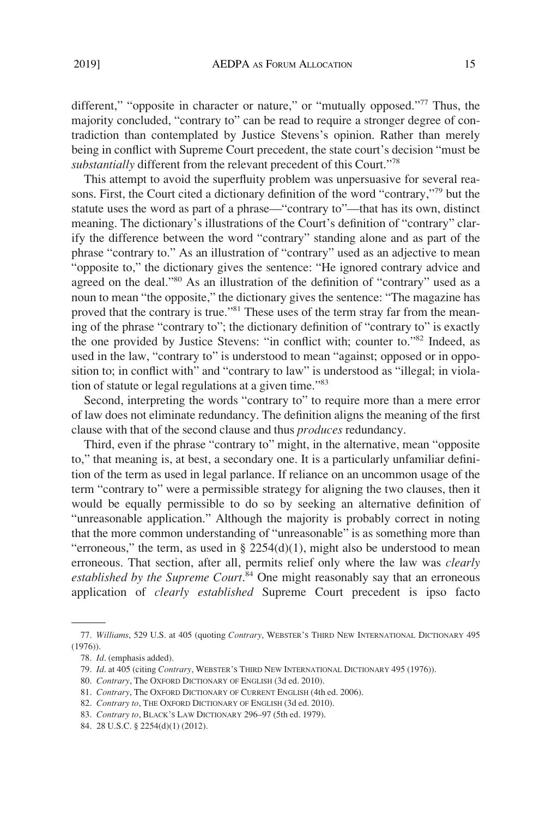different," "opposite in character or nature," or "mutually opposed."<sup>77</sup> Thus, the

majority concluded, "contrary to" can be read to require a stronger degree of contradiction than contemplated by Justice Stevens's opinion. Rather than merely being in conflict with Supreme Court precedent, the state court's decision "must be *substantially* different from the relevant precedent of this Court."78

This attempt to avoid the superfluity problem was unpersuasive for several reasons. First, the Court cited a dictionary definition of the word "contrary,"<sup>79</sup> but the statute uses the word as part of a phrase—"contrary to"—that has its own, distinct meaning. The dictionary's illustrations of the Court's definition of "contrary" clarify the difference between the word "contrary" standing alone and as part of the phrase "contrary to." As an illustration of "contrary" used as an adjective to mean "opposite to," the dictionary gives the sentence: "He ignored contrary advice and agreed on the deal."80 As an illustration of the definition of "contrary" used as a noun to mean "the opposite," the dictionary gives the sentence: "The magazine has proved that the contrary is true."<sup>81</sup> These uses of the term stray far from the meaning of the phrase "contrary to"; the dictionary definition of "contrary to" is exactly the one provided by Justice Stevens: "in conflict with; counter to."82 Indeed, as used in the law, "contrary to" is understood to mean "against; opposed or in opposition to; in conflict with" and "contrary to law" is understood as "illegal; in violation of statute or legal regulations at a given time."83

Second, interpreting the words "contrary to" to require more than a mere error of law does not eliminate redundancy. The definition aligns the meaning of the first clause with that of the second clause and thus *produces* redundancy.

Third, even if the phrase "contrary to" might, in the alternative, mean "opposite to," that meaning is, at best, a secondary one. It is a particularly unfamiliar definition of the term as used in legal parlance. If reliance on an uncommon usage of the term "contrary to" were a permissible strategy for aligning the two clauses, then it would be equally permissible to do so by seeking an alternative definition of "unreasonable application." Although the majority is probably correct in noting that the more common understanding of "unreasonable" is as something more than "erroneous," the term, as used in  $\S 2254(d)(1)$ , might also be understood to mean erroneous. That section, after all, permits relief only where the law was *clearly established by the Supreme Court*. 84 One might reasonably say that an erroneous application of *clearly established* Supreme Court precedent is ipso facto

<sup>77.</sup> *Williams*, 529 U.S. at 405 (quoting *Contrary*, WEBSTER'S THIRD NEW INTERNATIONAL DICTIONARY 495 (1976)).

<sup>78.</sup> *Id*. (emphasis added).

<sup>79.</sup> *Id*. at 405 (citing *Contrary*, WEBSTER'S THIRD NEW INTERNATIONAL DICTIONARY 495 (1976)).

<sup>80.</sup> *Contrary*, The OXFORD DICTIONARY OF ENGLISH (3d ed. 2010).

<sup>81.</sup> *Contrary*, The OXFORD DICTIONARY OF CURRENT ENGLISH (4th ed. 2006).

<sup>82.</sup> *Contrary to*, THE OXFORD DICTIONARY OF ENGLISH (3d ed. 2010).

<sup>83.</sup> *Contrary to*, BLACK'S LAW DICTIONARY 296–97 (5th ed. 1979).

<sup>84. 28</sup> U.S.C. § 2254(d)(1) (2012).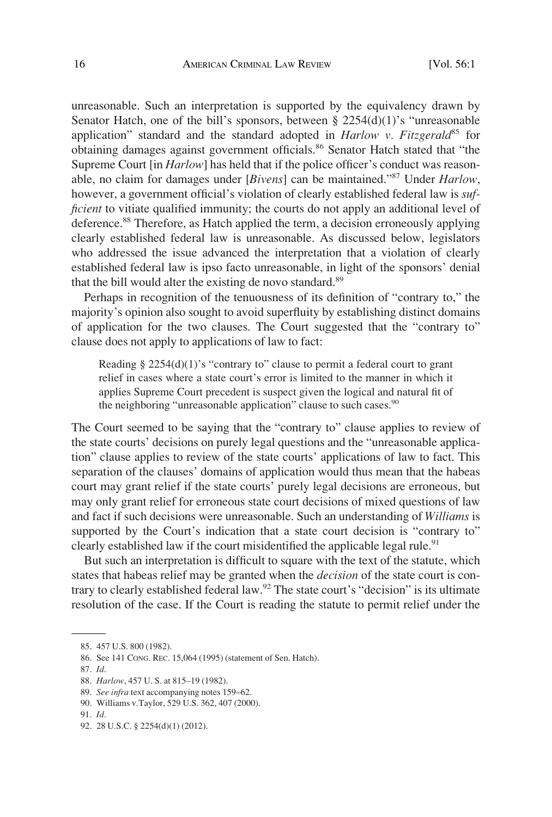unreasonable. Such an interpretation is supported by the equivalency drawn by Senator Hatch, one of the bill's sponsors, between  $\S 2254(d)(1)$ 's "unreasonable application" standard and the standard adopted in *Harlow v. Fitzgerald*<sup>85</sup> for obtaining damages against government officials.<sup>86</sup> Senator Hatch stated that "the Supreme Court [in *Harlow*] has held that if the police officer's conduct was reasonable, no claim for damages under [*Bivens*] can be maintained."87 Under *Harlow*, however, a government official's violation of clearly established federal law is *sufficient* to vitiate qualified immunity; the courts do not apply an additional level of deference.<sup>88</sup> Therefore, as Hatch applied the term, a decision erroneously applying clearly established federal law is unreasonable. As discussed below, legislators who addressed the issue advanced the interpretation that a violation of clearly established federal law is ipso facto unreasonable, in light of the sponsors' denial that the bill would alter the existing de novo standard.<sup>89</sup>

Perhaps in recognition of the tenuousness of its definition of "contrary to," the majority's opinion also sought to avoid superfluity by establishing distinct domains of application for the two clauses. The Court suggested that the "contrary to" clause does not apply to applications of law to fact:

Reading  $\S 2254(d)(1)$ 's "contrary to" clause to permit a federal court to grant relief in cases where a state court's error is limited to the manner in which it applies Supreme Court precedent is suspect given the logical and natural fit of the neighboring "unreasonable application" clause to such cases.<sup>90</sup>

The Court seemed to be saying that the "contrary to" clause applies to review of the state courts' decisions on purely legal questions and the "unreasonable application" clause applies to review of the state courts' applications of law to fact. This separation of the clauses' domains of application would thus mean that the habeas court may grant relief if the state courts' purely legal decisions are erroneous, but may only grant relief for erroneous state court decisions of mixed questions of law and fact if such decisions were unreasonable. Such an understanding of *Williams* is supported by the Court's indication that a state court decision is "contrary to" clearly established law if the court misidentified the applicable legal rule.<sup>91</sup>

But such an interpretation is difficult to square with the text of the statute, which states that habeas relief may be granted when the *decision* of the state court is contrary to clearly established federal law.<sup>92</sup> The state court's "decision" is its ultimate resolution of the case. If the Court is reading the statute to permit relief under the

87. *Id*.

<sup>85. 457</sup> U.S. 800 (1982).

<sup>86.</sup> See 141 CONG. REC. 15,064 (1995) (statement of Sen. Hatch).

<sup>88.</sup> *Harlow*, 457 U. S. at 815–19 (1982).

<sup>89.</sup> *See infra* text accompanying notes 159–62.

<sup>90.</sup> Williams v.Taylor, 529 U.S. 362, 407 (2000).

<sup>91.</sup> *Id*.

<sup>92. 28</sup> U.S.C. § 2254(d)(1) (2012).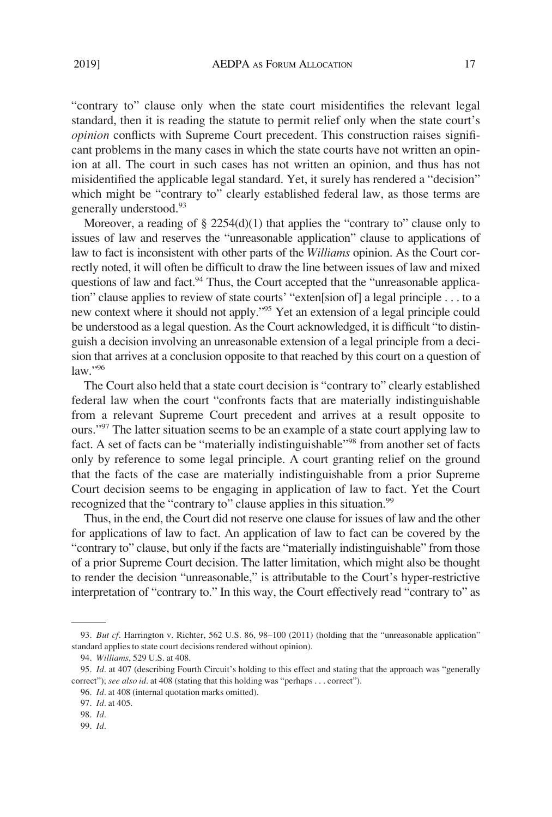"contrary to" clause only when the state court misidentifies the relevant legal standard, then it is reading the statute to permit relief only when the state court's *opinion* conflicts with Supreme Court precedent. This construction raises significant problems in the many cases in which the state courts have not written an opinion at all. The court in such cases has not written an opinion, and thus has not misidentified the applicable legal standard. Yet, it surely has rendered a "decision" which might be "contrary to" clearly established federal law, as those terms are generally understood.<sup>93</sup>

Moreover, a reading of  $\S 2254(d)(1)$  that applies the "contrary to" clause only to issues of law and reserves the "unreasonable application" clause to applications of law to fact is inconsistent with other parts of the *Williams* opinion. As the Court correctly noted, it will often be difficult to draw the line between issues of law and mixed questions of law and fact.<sup>94</sup> Thus, the Court accepted that the "unreasonable application" clause applies to review of state courts' "exten[sion of] a legal principle . . . to a new context where it should not apply.<sup>"95</sup> Yet an extension of a legal principle could be understood as a legal question. As the Court acknowledged, it is difficult "to distinguish a decision involving an unreasonable extension of a legal principle from a decision that arrives at a conclusion opposite to that reached by this court on a question of law."96

The Court also held that a state court decision is "contrary to" clearly established federal law when the court "confronts facts that are materially indistinguishable from a relevant Supreme Court precedent and arrives at a result opposite to ours."<sup>97</sup> The latter situation seems to be an example of a state court applying law to fact. A set of facts can be "materially indistinguishable"<sup>98</sup> from another set of facts only by reference to some legal principle. A court granting relief on the ground that the facts of the case are materially indistinguishable from a prior Supreme Court decision seems to be engaging in application of law to fact. Yet the Court recognized that the "contrary to" clause applies in this situation.<sup>99</sup>

Thus, in the end, the Court did not reserve one clause for issues of law and the other for applications of law to fact. An application of law to fact can be covered by the "contrary to" clause, but only if the facts are "materially indistinguishable" from those of a prior Supreme Court decision. The latter limitation, which might also be thought to render the decision "unreasonable," is attributable to the Court's hyper-restrictive interpretation of "contrary to." In this way, the Court effectively read "contrary to" as

<sup>93.</sup> *But cf*. Harrington v. Richter, 562 U.S. 86, 98–100 (2011) (holding that the "unreasonable application" standard applies to state court decisions rendered without opinion).

<sup>94.</sup> *Williams*, 529 U.S. at 408.

<sup>95.</sup> *Id*. at 407 (describing Fourth Circuit's holding to this effect and stating that the approach was "generally correct"); *see also id*. at 408 (stating that this holding was "perhaps . . . correct").

<sup>96.</sup> *Id*. at 408 (internal quotation marks omitted).

<sup>97.</sup> *Id*. at 405.

<sup>98.</sup> *Id*.

<sup>99.</sup> *Id*.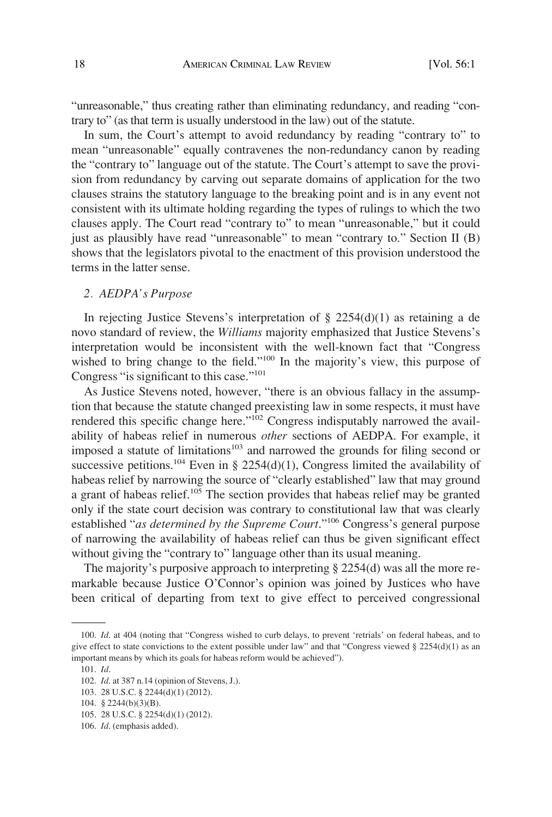"unreasonable," thus creating rather than eliminating redundancy, and reading "contrary to" (as that term is usually understood in the law) out of the statute.

In sum, the Court's attempt to avoid redundancy by reading "contrary to" to mean "unreasonable" equally contravenes the non-redundancy canon by reading the "contrary to" language out of the statute. The Court's attempt to save the provision from redundancy by carving out separate domains of application for the two clauses strains the statutory language to the breaking point and is in any event not consistent with its ultimate holding regarding the types of rulings to which the two clauses apply. The Court read "contrary to" to mean "unreasonable," but it could just as plausibly have read "unreasonable" to mean "contrary to." Section II (B) shows that the legislators pivotal to the enactment of this provision understood the terms in the latter sense.

## *2. AEDPA's Purpose*

In rejecting Justice Stevens's interpretation of  $\S 2254(d)(1)$  as retaining a de novo standard of review, the *Williams* majority emphasized that Justice Stevens's interpretation would be inconsistent with the well-known fact that "Congress wished to bring change to the field."<sup>100</sup> In the majority's view, this purpose of Congress "is significant to this case."<sup>101</sup>

As Justice Stevens noted, however, "there is an obvious fallacy in the assumption that because the statute changed preexisting law in some respects, it must have rendered this specific change here."<sup>102</sup> Congress indisputably narrowed the availability of habeas relief in numerous *other* sections of AEDPA. For example, it imposed a statute of limitations<sup>103</sup> and narrowed the grounds for filing second or successive petitions.<sup>104</sup> Even in § 2254(d)(1), Congress limited the availability of habeas relief by narrowing the source of "clearly established" law that may ground a grant of habeas relief.<sup>105</sup> The section provides that habeas relief may be granted only if the state court decision was contrary to constitutional law that was clearly established "*as determined by the Supreme Court*."106 Congress's general purpose of narrowing the availability of habeas relief can thus be given significant effect without giving the "contrary to" language other than its usual meaning.

The majority's purposive approach to interpreting § 2254(d) was all the more remarkable because Justice O'Connor's opinion was joined by Justices who have been critical of departing from text to give effect to perceived congressional

<sup>100.</sup> *Id*. at 404 (noting that "Congress wished to curb delays, to prevent 'retrials' on federal habeas, and to give effect to state convictions to the extent possible under law" and that "Congress viewed § 2254(d)(1) as an important means by which its goals for habeas reform would be achieved").

<sup>101.</sup> *Id*.

<sup>102.</sup> *Id*. at 387 n.14 (opinion of Stevens, J.).

<sup>103. 28</sup> U.S.C. § 2244(d)(1) (2012).

<sup>104. § 2244(</sup>b)(3)(B).

<sup>105. 28</sup> U.S.C. § 2254(d)(1) (2012).

<sup>106.</sup> *Id*. (emphasis added).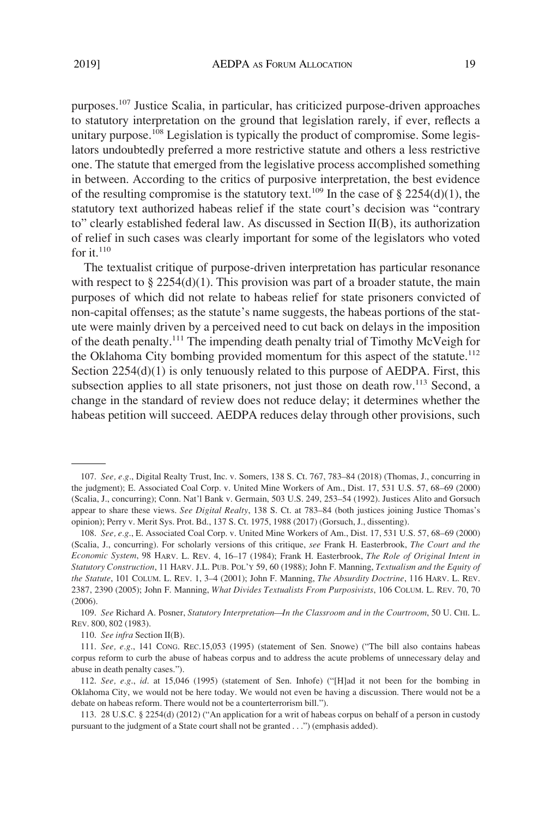purposes.107 Justice Scalia, in particular, has criticized purpose-driven approaches to statutory interpretation on the ground that legislation rarely, if ever, reflects a unitary purpose.<sup>108</sup> Legislation is typically the product of compromise. Some legislators undoubtedly preferred a more restrictive statute and others a less restrictive one. The statute that emerged from the legislative process accomplished something in between. According to the critics of purposive interpretation, the best evidence of the resulting compromise is the statutory text.<sup>109</sup> In the case of  $\S 2254(d)(1)$ , the statutory text authorized habeas relief if the state court's decision was "contrary to" clearly established federal law. As discussed in Section II(B), its authorization of relief in such cases was clearly important for some of the legislators who voted for it. $110$ 

The textualist critique of purpose-driven interpretation has particular resonance with respect to  $\S 2254(d)(1)$ . This provision was part of a broader statute, the main purposes of which did not relate to habeas relief for state prisoners convicted of non-capital offenses; as the statute's name suggests, the habeas portions of the statute were mainly driven by a perceived need to cut back on delays in the imposition of the death penalty.111 The impending death penalty trial of Timothy McVeigh for the Oklahoma City bombing provided momentum for this aspect of the statute.<sup>112</sup> Section 2254(d)(1) is only tenuously related to this purpose of AEDPA. First, this subsection applies to all state prisoners, not just those on death row.<sup>113</sup> Second, a change in the standard of review does not reduce delay; it determines whether the habeas petition will succeed. AEDPA reduces delay through other provisions, such

<sup>107.</sup> *See, e.g*., Digital Realty Trust, Inc. v. Somers, 138 S. Ct. 767, 783–84 (2018) (Thomas, J., concurring in the judgment); E. Associated Coal Corp. v. United Mine Workers of Am., Dist. 17, 531 U.S. 57, 68–69 (2000) (Scalia, J., concurring); Conn. Nat'l Bank v. Germain, 503 U.S. 249, 253–54 (1992). Justices Alito and Gorsuch appear to share these views. *See Digital Realty*, 138 S. Ct. at 783–84 (both justices joining Justice Thomas's opinion); Perry v. Merit Sys. Prot. Bd., 137 S. Ct. 1975, 1988 (2017) (Gorsuch, J., dissenting).

<sup>108.</sup> *See, e.g*., E. Associated Coal Corp. v. United Mine Workers of Am., Dist. 17, 531 U.S. 57, 68–69 (2000) (Scalia, J., concurring). For scholarly versions of this critique, *see* Frank H. Easterbrook, *The Court and the Economic System*, 98 HARV. L. REV. 4, 16–17 (1984); Frank H. Easterbrook, *The Role of Original Intent in Statutory Construction*, 11 HARV. J.L. PUB. POL'Y 59, 60 (1988); John F. Manning, *Textualism and the Equity of the Statute*, 101 COLUM. L. REV. 1, 3–4 (2001); John F. Manning, *The Absurdity Doctrine*, 116 HARV. L. REV. 2387, 2390 (2005); John F. Manning, *What Divides Textualists From Purposivists*, 106 COLUM. L. REV. 70, 70 (2006).

<sup>109.</sup> *See* Richard A. Posner, *Statutory Interpretation—In the Classroom and in the Courtroom*, 50 U. CHI. L. REV. 800, 802 (1983).

<sup>110.</sup> *See infra* Section II(B).

<sup>111.</sup> *See, e.g*., 141 CONG. REC.15,053 (1995) (statement of Sen. Snowe) ("The bill also contains habeas corpus reform to curb the abuse of habeas corpus and to address the acute problems of unnecessary delay and abuse in death penalty cases.").

<sup>112.</sup> *See, e.g*., *id*. at 15,046 (1995) (statement of Sen. Inhofe) ("[H]ad it not been for the bombing in Oklahoma City, we would not be here today. We would not even be having a discussion. There would not be a debate on habeas reform. There would not be a counterterrorism bill.").

<sup>113. 28</sup> U.S.C. § 2254(d) (2012) ("An application for a writ of habeas corpus on behalf of a person in custody pursuant to the judgment of a State court shall not be granted . . .") (emphasis added).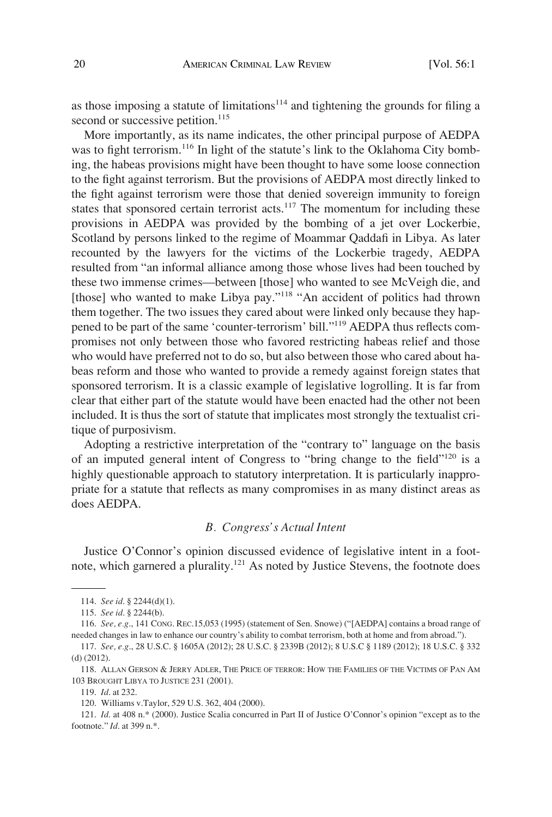as those imposing a statute of limitations $114$  and tightening the grounds for filing a second or successive petition.<sup>115</sup>

More importantly, as its name indicates, the other principal purpose of AEDPA was to fight terrorism.<sup>116</sup> In light of the statute's link to the Oklahoma City bombing, the habeas provisions might have been thought to have some loose connection to the fight against terrorism. But the provisions of AEDPA most directly linked to the fight against terrorism were those that denied sovereign immunity to foreign states that sponsored certain terrorist acts. $117$  The momentum for including these provisions in AEDPA was provided by the bombing of a jet over Lockerbie, Scotland by persons linked to the regime of Moammar Qaddafi in Libya. As later recounted by the lawyers for the victims of the Lockerbie tragedy, AEDPA resulted from "an informal alliance among those whose lives had been touched by these two immense crimes—between [those] who wanted to see McVeigh die, and [those] who wanted to make Libya pay."<sup>118</sup> "An accident of politics had thrown them together. The two issues they cared about were linked only because they happened to be part of the same 'counter-terrorism' bill."119 AEDPA thus reflects compromises not only between those who favored restricting habeas relief and those who would have preferred not to do so, but also between those who cared about habeas reform and those who wanted to provide a remedy against foreign states that sponsored terrorism. It is a classic example of legislative logrolling. It is far from clear that either part of the statute would have been enacted had the other not been included. It is thus the sort of statute that implicates most strongly the textualist critique of purposivism.

Adopting a restrictive interpretation of the "contrary to" language on the basis of an imputed general intent of Congress to "bring change to the field"120 is a highly questionable approach to statutory interpretation. It is particularly inappropriate for a statute that reflects as many compromises in as many distinct areas as does AEDPA.

# *B. Congress's Actual Intent*

Justice O'Connor's opinion discussed evidence of legislative intent in a footnote, which garnered a plurality.121 As noted by Justice Stevens, the footnote does

<sup>114.</sup> *See id*. § 2244(d)(1).

<sup>115.</sup> *See id*. § 2244(b).

<sup>116.</sup> *See, e.g*., 141 CONG. REC.15,053 (1995) (statement of Sen. Snowe) ("[AEDPA] contains a broad range of needed changes in law to enhance our country's ability to combat terrorism, both at home and from abroad.").

<sup>117.</sup> *See, e.g*., 28 U.S.C. § 1605A (2012); 28 U.S.C. § 2339B (2012); 8 U.S.C § 1189 (2012); 18 U.S.C. § 332 (d) (2012).

<sup>118.</sup> ALLAN GERSON & JERRY ADLER, THE PRICE OF TERROR: HOW THE FAMILIES OF THE VICTIMS OF PAN AM 103 BROUGHT LIBYA TO JUSTICE 231 (2001).

<sup>119.</sup> *Id*. at 232.

<sup>120.</sup> Williams v.Taylor, 529 U.S. 362, 404 (2000).

<sup>121.</sup> *Id*. at 408 n.\* (2000). Justice Scalia concurred in Part II of Justice O'Connor's opinion "except as to the footnote." *Id*. at 399 n.\*.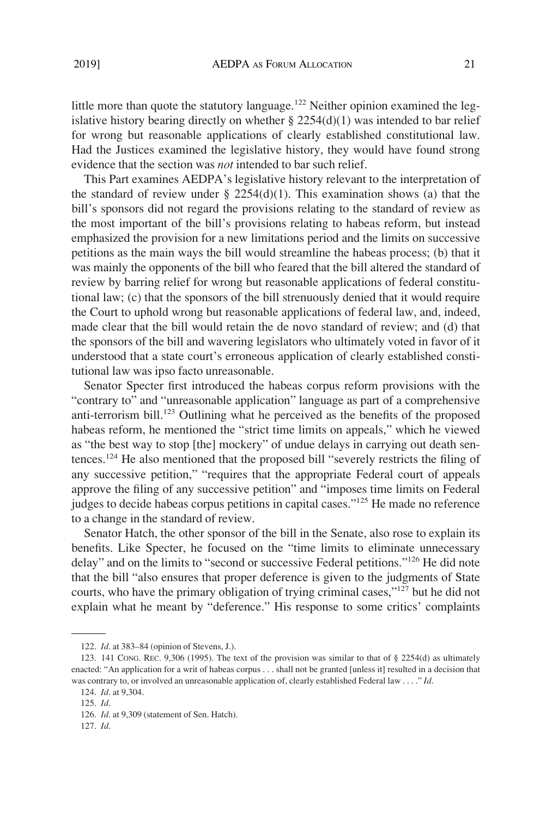little more than quote the statutory language.<sup>122</sup> Neither opinion examined the legislative history bearing directly on whether  $\S 2254(d)(1)$  was intended to bar relief for wrong but reasonable applications of clearly established constitutional law. Had the Justices examined the legislative history, they would have found strong evidence that the section was *not* intended to bar such relief.

This Part examines AEDPA's legislative history relevant to the interpretation of the standard of review under  $\S$  2254(d)(1). This examination shows (a) that the bill's sponsors did not regard the provisions relating to the standard of review as the most important of the bill's provisions relating to habeas reform, but instead emphasized the provision for a new limitations period and the limits on successive petitions as the main ways the bill would streamline the habeas process; (b) that it was mainly the opponents of the bill who feared that the bill altered the standard of review by barring relief for wrong but reasonable applications of federal constitutional law; (c) that the sponsors of the bill strenuously denied that it would require the Court to uphold wrong but reasonable applications of federal law, and, indeed, made clear that the bill would retain the de novo standard of review; and (d) that the sponsors of the bill and wavering legislators who ultimately voted in favor of it understood that a state court's erroneous application of clearly established constitutional law was ipso facto unreasonable.

Senator Specter first introduced the habeas corpus reform provisions with the "contrary to" and "unreasonable application" language as part of a comprehensive anti-terrorism bill.<sup>123</sup> Outlining what he perceived as the benefits of the proposed habeas reform, he mentioned the "strict time limits on appeals," which he viewed as "the best way to stop [the] mockery" of undue delays in carrying out death sentences.124 He also mentioned that the proposed bill "severely restricts the filing of any successive petition," "requires that the appropriate Federal court of appeals approve the filing of any successive petition" and "imposes time limits on Federal judges to decide habeas corpus petitions in capital cases."125 He made no reference to a change in the standard of review.

Senator Hatch, the other sponsor of the bill in the Senate, also rose to explain its benefits. Like Specter, he focused on the "time limits to eliminate unnecessary delay" and on the limits to "second or successive Federal petitions."126 He did note that the bill "also ensures that proper deference is given to the judgments of State courts, who have the primary obligation of trying criminal cases,"127 but he did not explain what he meant by "deference." His response to some critics' complaints

<sup>122.</sup> *Id*. at 383–84 (opinion of Stevens, J.).

<sup>123. 141</sup> CONG. REC. 9,306 (1995). The text of the provision was similar to that of § 2254(d) as ultimately enacted: "An application for a writ of habeas corpus . . . shall not be granted [unless it] resulted in a decision that was contrary to, or involved an unreasonable application of, clearly established Federal law . . . ." *Id*.

<sup>124.</sup> *Id*. at 9,304.

<sup>125.</sup> *Id*.

<sup>126.</sup> *Id*. at 9,309 (statement of Sen. Hatch).

<sup>127.</sup> *Id*.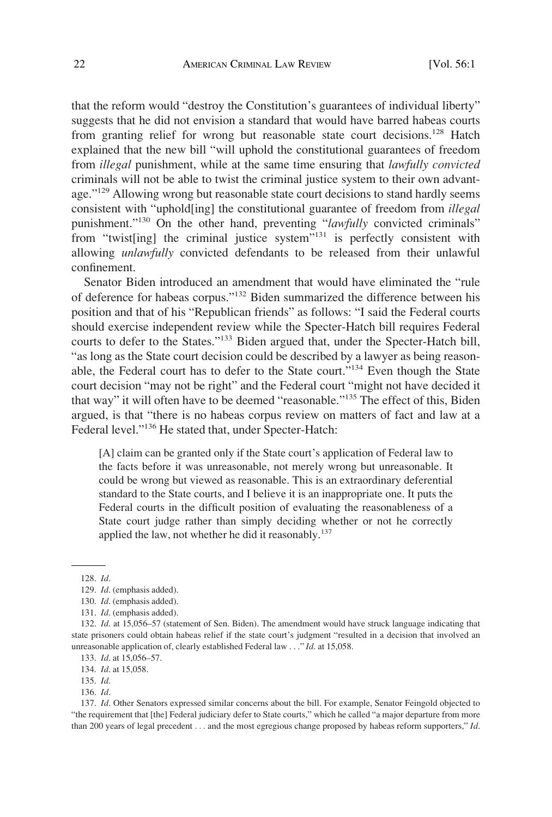that the reform would "destroy the Constitution's guarantees of individual liberty" suggests that he did not envision a standard that would have barred habeas courts from granting relief for wrong but reasonable state court decisions.<sup>128</sup> Hatch explained that the new bill "will uphold the constitutional guarantees of freedom from *illegal* punishment, while at the same time ensuring that *lawfully convicted*  criminals will not be able to twist the criminal justice system to their own advantage."<sup>129</sup> Allowing wrong but reasonable state court decisions to stand hardly seems consistent with "uphold[ing] the constitutional guarantee of freedom from *illegal*  punishment."130 On the other hand, preventing "*lawfully* convicted criminals" from "twist[ing] the criminal justice system"<sup>131</sup> is perfectly consistent with allowing *unlawfully* convicted defendants to be released from their unlawful confinement.

Senator Biden introduced an amendment that would have eliminated the "rule of deference for habeas corpus."132 Biden summarized the difference between his position and that of his "Republican friends" as follows: "I said the Federal courts should exercise independent review while the Specter-Hatch bill requires Federal courts to defer to the States."133 Biden argued that, under the Specter-Hatch bill, "as long as the State court decision could be described by a lawyer as being reasonable, the Federal court has to defer to the State court."134 Even though the State court decision "may not be right" and the Federal court "might not have decided it that way" it will often have to be deemed "reasonable."135 The effect of this, Biden argued, is that "there is no habeas corpus review on matters of fact and law at a Federal level."136 He stated that, under Specter-Hatch:

[A] claim can be granted only if the State court's application of Federal law to the facts before it was unreasonable, not merely wrong but unreasonable. It could be wrong but viewed as reasonable. This is an extraordinary deferential standard to the State courts, and I believe it is an inappropriate one. It puts the Federal courts in the difficult position of evaluating the reasonableness of a State court judge rather than simply deciding whether or not he correctly applied the law, not whether he did it reasonably.<sup>137</sup>

<sup>128.</sup> *Id*.

<sup>129.</sup> *Id*. (emphasis added).

<sup>130.</sup> *Id*. (emphasis added).

<sup>131.</sup> *Id*. (emphasis added).

<sup>132.</sup> *Id*. at 15,056–57 (statement of Sen. Biden). The amendment would have struck language indicating that state prisoners could obtain habeas relief if the state court's judgment "resulted in a decision that involved an unreasonable application of, clearly established Federal law . . ." *Id*. at 15,058.

<sup>133.</sup> *Id*. at 15,056–57.

<sup>134.</sup> *Id*. at 15,058.

<sup>135.</sup> *Id*.

<sup>136.</sup> *Id*.

<sup>137.</sup> *Id*. Other Senators expressed similar concerns about the bill. For example, Senator Feingold objected to "the requirement that [the] Federal judiciary defer to State courts," which he called "a major departure from more than 200 years of legal precedent . . . and the most egregious change proposed by habeas reform supporters," *Id*.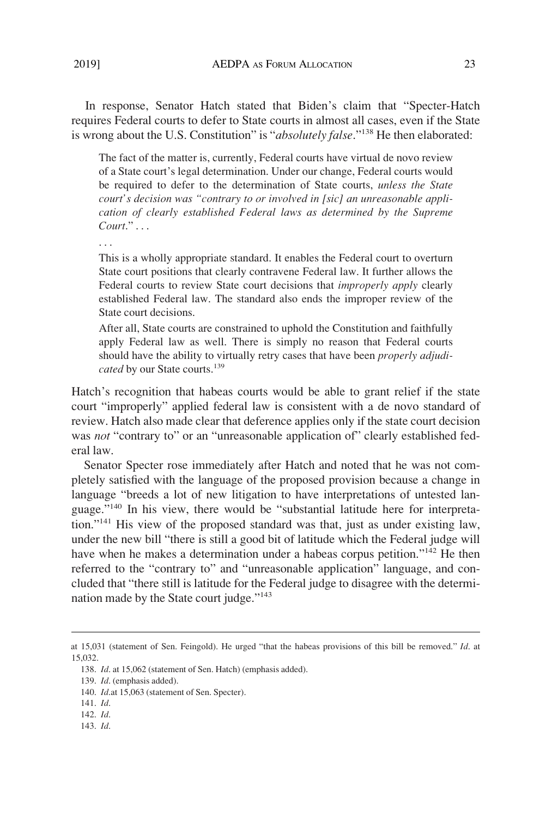In response, Senator Hatch stated that Biden's claim that "Specter-Hatch requires Federal courts to defer to State courts in almost all cases, even if the State is wrong about the U.S. Constitution" is "*absolutely false*."138 He then elaborated:

The fact of the matter is, currently, Federal courts have virtual de novo review of a State court's legal determination. Under our change, Federal courts would be required to defer to the determination of State courts, *unless the State court's decision was "contrary to or involved in [sic] an unreasonable application of clearly established Federal laws as determined by the Supreme Court*." . . .

This is a wholly appropriate standard. It enables the Federal court to overturn State court positions that clearly contravene Federal law. It further allows the Federal courts to review State court decisions that *improperly apply* clearly established Federal law. The standard also ends the improper review of the State court decisions.

After all, State courts are constrained to uphold the Constitution and faithfully apply Federal law as well. There is simply no reason that Federal courts should have the ability to virtually retry cases that have been *properly adjudicated* by our State courts.<sup>139</sup>

Hatch's recognition that habeas courts would be able to grant relief if the state court "improperly" applied federal law is consistent with a de novo standard of review. Hatch also made clear that deference applies only if the state court decision was *not* "contrary to" or an "unreasonable application of" clearly established federal law.

Senator Specter rose immediately after Hatch and noted that he was not completely satisfied with the language of the proposed provision because a change in language "breeds a lot of new litigation to have interpretations of untested language."140 In his view, there would be "substantial latitude here for interpretation."141 His view of the proposed standard was that, just as under existing law, under the new bill "there is still a good bit of latitude which the Federal judge will have when he makes a determination under a habeas corpus petition."<sup>142</sup> He then referred to the "contrary to" and "unreasonable application" language, and concluded that "there still is latitude for the Federal judge to disagree with the determination made by the State court judge."<sup>143</sup>

at 15,031 (statement of Sen. Feingold). He urged "that the habeas provisions of this bill be removed." *Id*. at 15,032.

<sup>138.</sup> *Id*. at 15,062 (statement of Sen. Hatch) (emphasis added).

<sup>139.</sup> *Id*. (emphasis added).

<sup>140.</sup> *Id*.at 15,063 (statement of Sen. Specter).

<sup>141.</sup> *Id*.

<sup>142.</sup> *Id*.

<sup>143.</sup> *Id*.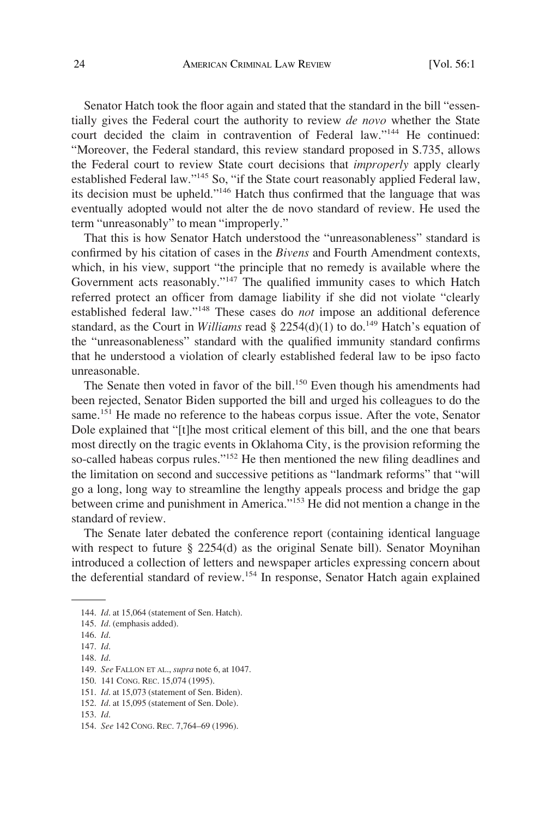Senator Hatch took the floor again and stated that the standard in the bill "essentially gives the Federal court the authority to review *de novo* whether the State court decided the claim in contravention of Federal law."144 He continued: "Moreover, the Federal standard, this review standard proposed in S.735, allows the Federal court to review State court decisions that *improperly* apply clearly established Federal law."145 So, "if the State court reasonably applied Federal law, its decision must be upheld."146 Hatch thus confirmed that the language that was eventually adopted would not alter the de novo standard of review. He used the term "unreasonably" to mean "improperly."

That this is how Senator Hatch understood the "unreasonableness" standard is confirmed by his citation of cases in the *Bivens* and Fourth Amendment contexts, which, in his view, support "the principle that no remedy is available where the Government acts reasonably."147 The qualified immunity cases to which Hatch referred protect an officer from damage liability if she did not violate "clearly established federal law."148 These cases do *not* impose an additional deference standard, as the Court in *Williams* read § 2254(d)(1) to do.<sup>149</sup> Hatch's equation of the "unreasonableness" standard with the qualified immunity standard confirms that he understood a violation of clearly established federal law to be ipso facto unreasonable.

The Senate then voted in favor of the bill.<sup>150</sup> Even though his amendments had been rejected, Senator Biden supported the bill and urged his colleagues to do the same.<sup>151</sup> He made no reference to the habeas corpus issue. After the vote, Senator Dole explained that "[t]he most critical element of this bill, and the one that bears most directly on the tragic events in Oklahoma City, is the provision reforming the so-called habeas corpus rules."<sup>152</sup> He then mentioned the new filing deadlines and the limitation on second and successive petitions as "landmark reforms" that "will go a long, long way to streamline the lengthy appeals process and bridge the gap between crime and punishment in America."<sup>153</sup> He did not mention a change in the standard of review.

The Senate later debated the conference report (containing identical language with respect to future § 2254(d) as the original Senate bill). Senator Moynihan introduced a collection of letters and newspaper articles expressing concern about the deferential standard of review.154 In response, Senator Hatch again explained

<sup>144.</sup> *Id*. at 15,064 (statement of Sen. Hatch).

<sup>145.</sup> *Id*. (emphasis added).

<sup>146.</sup> *Id*.

<sup>147.</sup> *Id*.

<sup>148.</sup> *Id*.

<sup>149.</sup> *See* FALLON ET AL., *supra* note 6, at 1047.

<sup>150. 141</sup> CONG. REC. 15,074 (1995).

<sup>151.</sup> *Id*. at 15,073 (statement of Sen. Biden).

<sup>152.</sup> *Id*. at 15,095 (statement of Sen. Dole).

<sup>153.</sup> *Id*.

<sup>154.</sup> *See* 142 CONG. REC. 7,764–69 (1996).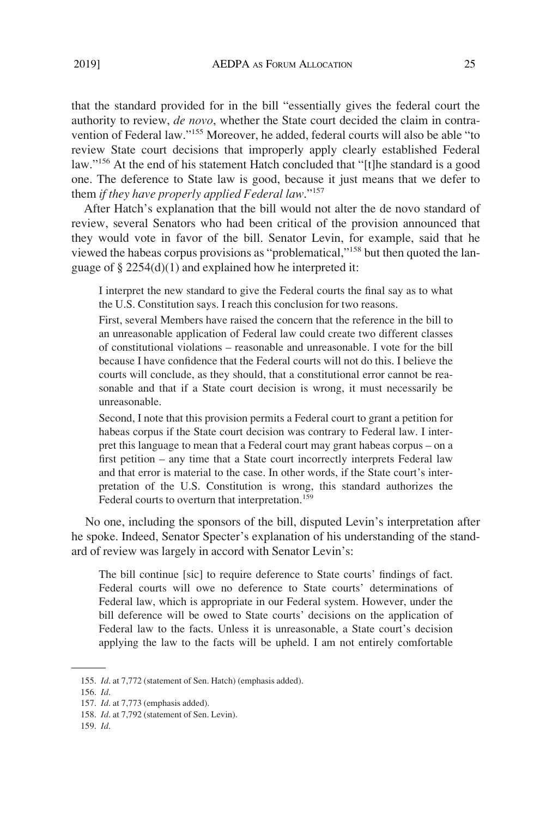that the standard provided for in the bill "essentially gives the federal court the authority to review, *de novo*, whether the State court decided the claim in contravention of Federal law."155 Moreover, he added, federal courts will also be able "to review State court decisions that improperly apply clearly established Federal law."156 At the end of his statement Hatch concluded that "[t]he standard is a good one. The deference to State law is good, because it just means that we defer to them *if they have properly applied Federal law*."157

After Hatch's explanation that the bill would not alter the de novo standard of review, several Senators who had been critical of the provision announced that they would vote in favor of the bill. Senator Levin, for example, said that he viewed the habeas corpus provisions as "problematical,"158 but then quoted the language of § 2254(d)(1) and explained how he interpreted it:

I interpret the new standard to give the Federal courts the final say as to what the U.S. Constitution says. I reach this conclusion for two reasons.

First, several Members have raised the concern that the reference in the bill to an unreasonable application of Federal law could create two different classes of constitutional violations – reasonable and unreasonable. I vote for the bill because I have confidence that the Federal courts will not do this. I believe the courts will conclude, as they should, that a constitutional error cannot be reasonable and that if a State court decision is wrong, it must necessarily be unreasonable.

Second, I note that this provision permits a Federal court to grant a petition for habeas corpus if the State court decision was contrary to Federal law. I interpret this language to mean that a Federal court may grant habeas corpus – on a first petition – any time that a State court incorrectly interprets Federal law and that error is material to the case. In other words, if the State court's interpretation of the U.S. Constitution is wrong, this standard authorizes the Federal courts to overturn that interpretation.<sup>159</sup>

No one, including the sponsors of the bill, disputed Levin's interpretation after he spoke. Indeed, Senator Specter's explanation of his understanding of the standard of review was largely in accord with Senator Levin's:

The bill continue [sic] to require deference to State courts' findings of fact. Federal courts will owe no deference to State courts' determinations of Federal law, which is appropriate in our Federal system. However, under the bill deference will be owed to State courts' decisions on the application of Federal law to the facts. Unless it is unreasonable, a State court's decision applying the law to the facts will be upheld. I am not entirely comfortable

<sup>155.</sup> *Id*. at 7,772 (statement of Sen. Hatch) (emphasis added).

<sup>156.</sup> *Id*.

<sup>157.</sup> *Id*. at 7,773 (emphasis added).

<sup>158.</sup> *Id*. at 7,792 (statement of Sen. Levin).

<sup>159.</sup> *Id*.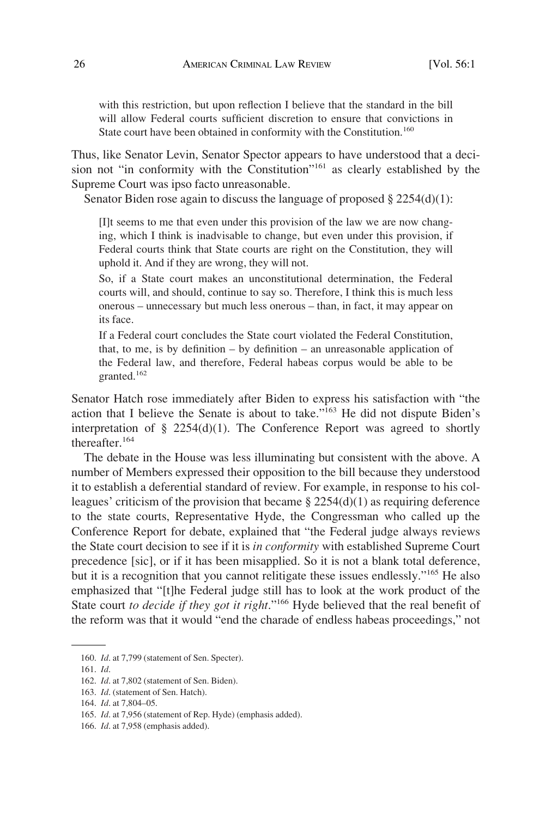with this restriction, but upon reflection I believe that the standard in the bill will allow Federal courts sufficient discretion to ensure that convictions in State court have been obtained in conformity with the Constitution.<sup>160</sup>

Thus, like Senator Levin, Senator Spector appears to have understood that a decision not "in conformity with the Constitution"<sup>161</sup> as clearly established by the Supreme Court was ipso facto unreasonable.

Senator Biden rose again to discuss the language of proposed § 2254(d)(1):

[I]t seems to me that even under this provision of the law we are now changing, which I think is inadvisable to change, but even under this provision, if Federal courts think that State courts are right on the Constitution, they will uphold it. And if they are wrong, they will not.

So, if a State court makes an unconstitutional determination, the Federal courts will, and should, continue to say so. Therefore, I think this is much less onerous – unnecessary but much less onerous – than, in fact, it may appear on its face.

If a Federal court concludes the State court violated the Federal Constitution, that, to me, is by definition – by definition – an unreasonable application of the Federal law, and therefore, Federal habeas corpus would be able to be granted.<sup>162</sup>

Senator Hatch rose immediately after Biden to express his satisfaction with "the action that I believe the Senate is about to take."<sup>163</sup> He did not dispute Biden's interpretation of  $\S$  2254(d)(1). The Conference Report was agreed to shortly thereafter.<sup>164</sup>

The debate in the House was less illuminating but consistent with the above. A number of Members expressed their opposition to the bill because they understood it to establish a deferential standard of review. For example, in response to his colleagues' criticism of the provision that became  $\S 2254(d)(1)$  as requiring deference to the state courts, Representative Hyde, the Congressman who called up the Conference Report for debate, explained that "the Federal judge always reviews the State court decision to see if it is *in conformity* with established Supreme Court precedence [sic], or if it has been misapplied. So it is not a blank total deference, but it is a recognition that you cannot relitigate these issues endlessly."165 He also emphasized that "[t]he Federal judge still has to look at the work product of the State court *to decide if they got it right*."166 Hyde believed that the real benefit of the reform was that it would "end the charade of endless habeas proceedings," not

<sup>160.</sup> *Id*. at 7,799 (statement of Sen. Specter).

<sup>161.</sup> *Id*.

<sup>162.</sup> *Id*. at 7,802 (statement of Sen. Biden).

<sup>163.</sup> *Id*. (statement of Sen. Hatch).

<sup>164.</sup> *Id*. at 7,804–05.

<sup>165.</sup> *Id*. at 7,956 (statement of Rep. Hyde) (emphasis added).

<sup>166.</sup> *Id*. at 7,958 (emphasis added).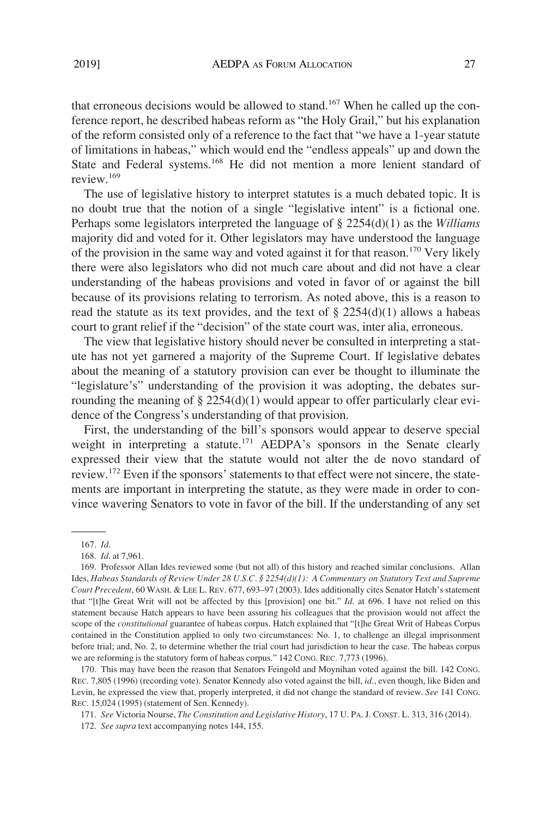that erroneous decisions would be allowed to stand.<sup>167</sup> When he called up the conference report, he described habeas reform as "the Holy Grail," but his explanation of the reform consisted only of a reference to the fact that "we have a 1-year statute of limitations in habeas," which would end the "endless appeals" up and down the State and Federal systems.<sup>168</sup> He did not mention a more lenient standard of review.169

The use of legislative history to interpret statutes is a much debated topic. It is no doubt true that the notion of a single "legislative intent" is a fictional one. Perhaps some legislators interpreted the language of § 2254(d)(1) as the *Williams*  majority did and voted for it. Other legislators may have understood the language of the provision in the same way and voted against it for that reason.<sup>170</sup> Very likely there were also legislators who did not much care about and did not have a clear understanding of the habeas provisions and voted in favor of or against the bill because of its provisions relating to terrorism. As noted above, this is a reason to read the statute as its text provides, and the text of  $\S 2254(d)(1)$  allows a habeas court to grant relief if the "decision" of the state court was, inter alia, erroneous.

The view that legislative history should never be consulted in interpreting a statute has not yet garnered a majority of the Supreme Court. If legislative debates about the meaning of a statutory provision can ever be thought to illuminate the "legislature's" understanding of the provision it was adopting, the debates surrounding the meaning of § 2254(d)(1) would appear to offer particularly clear evidence of the Congress's understanding of that provision.

First, the understanding of the bill's sponsors would appear to deserve special weight in interpreting a statute.<sup>171</sup> AEDPA's sponsors in the Senate clearly expressed their view that the statute would not alter the de novo standard of review.172 Even if the sponsors' statements to that effect were not sincere, the statements are important in interpreting the statute, as they were made in order to convince wavering Senators to vote in favor of the bill. If the understanding of any set

170. This may have been the reason that Senators Feingold and Moynihan voted against the bill. 142 CONG. REC. 7,805 (1996) (recording vote). Senator Kennedy also voted against the bill, *id*., even though, like Biden and Levin, he expressed the view that, properly interpreted, it did not change the standard of review. *See* 141 CONG. REC. 15,024 (1995) (statement of Sen. Kennedy).

171. *See* Victoria Nourse, *The Constitution and Legislative History*, 17 U. PA. J. CONST. L. 313, 316 (2014).

172. *See supra* text accompanying notes 144, 155.

<sup>167.</sup> *Id*.

<sup>168.</sup> *Id*. at 7,961.

<sup>169.</sup> Professor Allan Ides reviewed some (but not all) of this history and reached similar conclusions. Allan Ides, *Habeas Standards of Review Under 28 U.S.C. § 2254(d)(1): A Commentary on Statutory Text and Supreme Court Precedent*, 60 WASH. & LEE L. REV. 677, 693–97 (2003). Ides additionally cites Senator Hatch's statement that "[t]he Great Writ will not be affected by this [provision] one bit." *Id*. at 696. I have not relied on this statement because Hatch appears to have been assuring his colleagues that the provision would not affect the scope of the *constitutional* guarantee of habeas corpus. Hatch explained that "[t]he Great Writ of Habeas Corpus contained in the Constitution applied to only two circumstances: No. 1, to challenge an illegal imprisonment before trial; and, No. 2, to determine whether the trial court had jurisdiction to hear the case. The habeas corpus we are reforming is the statutory form of habeas corpus." 142 CONG. REC. 7,773 (1996).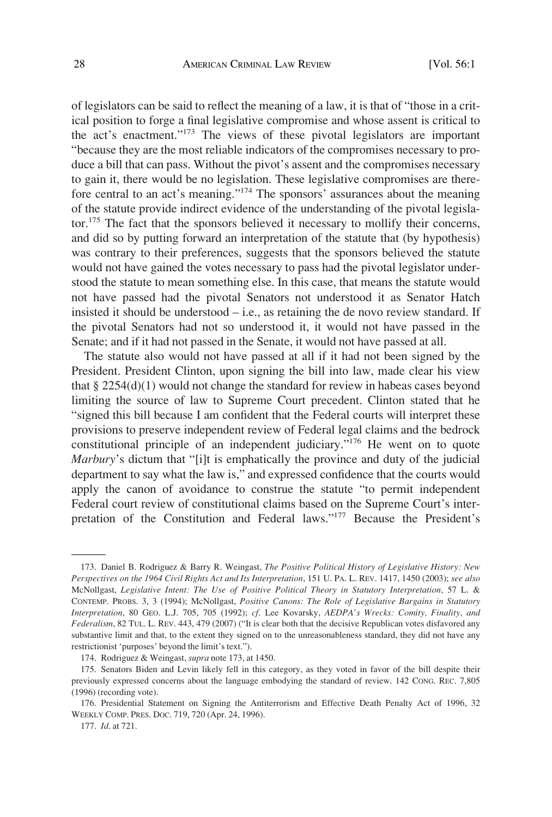of legislators can be said to reflect the meaning of a law, it is that of "those in a critical position to forge a final legislative compromise and whose assent is critical to the act's enactment."173 The views of these pivotal legislators are important "because they are the most reliable indicators of the compromises necessary to produce a bill that can pass. Without the pivot's assent and the compromises necessary to gain it, there would be no legislation. These legislative compromises are therefore central to an act's meaning."174 The sponsors' assurances about the meaning of the statute provide indirect evidence of the understanding of the pivotal legislator.175 The fact that the sponsors believed it necessary to mollify their concerns, and did so by putting forward an interpretation of the statute that (by hypothesis) was contrary to their preferences, suggests that the sponsors believed the statute would not have gained the votes necessary to pass had the pivotal legislator understood the statute to mean something else. In this case, that means the statute would not have passed had the pivotal Senators not understood it as Senator Hatch insisted it should be understood – i.e., as retaining the de novo review standard. If the pivotal Senators had not so understood it, it would not have passed in the Senate; and if it had not passed in the Senate, it would not have passed at all.

The statute also would not have passed at all if it had not been signed by the President. President Clinton, upon signing the bill into law, made clear his view that  $\S 2254(d)(1)$  would not change the standard for review in habeas cases beyond limiting the source of law to Supreme Court precedent. Clinton stated that he "signed this bill because I am confident that the Federal courts will interpret these provisions to preserve independent review of Federal legal claims and the bedrock constitutional principle of an independent judiciary."176 He went on to quote *Marbury*'s dictum that "[i]t is emphatically the province and duty of the judicial department to say what the law is," and expressed confidence that the courts would apply the canon of avoidance to construe the statute "to permit independent Federal court review of constitutional claims based on the Supreme Court's interpretation of the Constitution and Federal laws."177 Because the President's

<sup>173.</sup> Daniel B. Rodriguez & Barry R. Weingast, *The Positive Political History of Legislative History: New Perspectives on the 1964 Civil Rights Act and Its Interpretation*, 151 U. PA. L. REV. 1417, 1450 (2003); *see also*  McNollgast, *Legislative Intent: The Use of Positive Political Theory in Statutory Interpretation*, 57 L. & CONTEMP. PROBS. 3, 3 (1994); McNollgast, *Positive Canons: The Role of Legislative Bargains in Statutory Interpretation*, 80 GEO. L.J. 705, 705 (1992); *cf*. Lee Kovarsky, *AEDPA's Wrecks: Comity, Finality, and Federalism*, 82 TUL. L. REV. 443, 479 (2007) ("It is clear both that the decisive Republican votes disfavored any substantive limit and that, to the extent they signed on to the unreasonableness standard, they did not have any restrictionist 'purposes' beyond the limit's text.").

<sup>174.</sup> Rodriguez & Weingast, *supra* note 173, at 1450.

<sup>175.</sup> Senators Biden and Levin likely fell in this category, as they voted in favor of the bill despite their previously expressed concerns about the language embodying the standard of review. 142 CONG. REC. 7,805 (1996) (recording vote).

<sup>176.</sup> Presidential Statement on Signing the Antiterrorism and Effective Death Penalty Act of 1996, 32 WEEKLY COMP. PRES. DOC. 719, 720 (Apr. 24, 1996).

<sup>177.</sup> *Id*. at 721.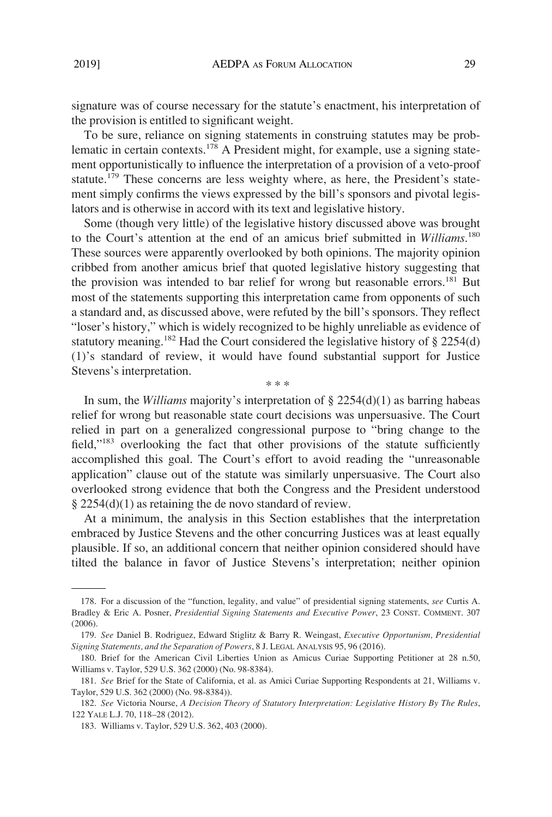signature was of course necessary for the statute's enactment, his interpretation of the provision is entitled to significant weight.

To be sure, reliance on signing statements in construing statutes may be problematic in certain contexts.178 A President might, for example, use a signing statement opportunistically to influence the interpretation of a provision of a veto-proof statute.<sup>179</sup> These concerns are less weighty where, as here, the President's statement simply confirms the views expressed by the bill's sponsors and pivotal legislators and is otherwise in accord with its text and legislative history.

Some (though very little) of the legislative history discussed above was brought to the Court's attention at the end of an amicus brief submitted in *Williams*. 180 These sources were apparently overlooked by both opinions. The majority opinion cribbed from another amicus brief that quoted legislative history suggesting that the provision was intended to bar relief for wrong but reasonable errors.<sup>181</sup> But most of the statements supporting this interpretation came from opponents of such a standard and, as discussed above, were refuted by the bill's sponsors. They reflect "loser's history," which is widely recognized to be highly unreliable as evidence of statutory meaning.<sup>182</sup> Had the Court considered the legislative history of  $\S 2254(d)$ (1)'s standard of review, it would have found substantial support for Justice Stevens's interpretation.

In sum, the *Williams* majority's interpretation of § 2254(d)(1) as barring habeas relief for wrong but reasonable state court decisions was unpersuasive. The Court relied in part on a generalized congressional purpose to "bring change to the field,"183 overlooking the fact that other provisions of the statute sufficiently accomplished this goal. The Court's effort to avoid reading the "unreasonable application" clause out of the statute was similarly unpersuasive. The Court also overlooked strong evidence that both the Congress and the President understood § 2254(d)(1) as retaining the de novo standard of review.

\* \* \*

At a minimum, the analysis in this Section establishes that the interpretation embraced by Justice Stevens and the other concurring Justices was at least equally plausible. If so, an additional concern that neither opinion considered should have tilted the balance in favor of Justice Stevens's interpretation; neither opinion

<sup>178.</sup> For a discussion of the "function, legality, and value" of presidential signing statements, *see* Curtis A. Bradley & Eric A. Posner, *Presidential Signing Statements and Executive Power*, 23 CONST. COMMENT. 307 (2006).

<sup>179.</sup> *See* Daniel B. Rodriguez, Edward Stiglitz & Barry R. Weingast, *Executive Opportunism, Presidential Signing Statements, and the Separation of Powers*, 8 J. LEGAL ANALYSIS 95, 96 (2016).

<sup>180.</sup> Brief for the American Civil Liberties Union as Amicus Curiae Supporting Petitioner at 28 n.50, Williams v. Taylor, 529 U.S. 362 (2000) (No. 98-8384).

<sup>181.</sup> *See* Brief for the State of California, et al. as Amici Curiae Supporting Respondents at 21, Williams v. Taylor, 529 U.S. 362 (2000) (No. 98-8384)).

<sup>182.</sup> *See* Victoria Nourse, *A Decision Theory of Statutory Interpretation: Legislative History By The Rules*, 122 YALE L.J. 70, 118–28 (2012).

<sup>183.</sup> Williams v. Taylor, 529 U.S. 362, 403 (2000).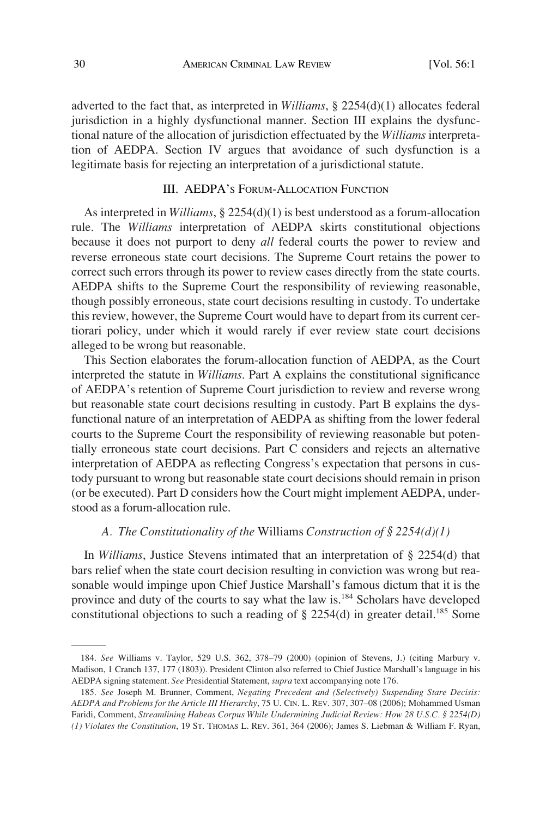adverted to the fact that, as interpreted in *Williams*, § 2254(d)(1) allocates federal jurisdiction in a highly dysfunctional manner. Section III explains the dysfunctional nature of the allocation of jurisdiction effectuated by the *Williams* interpretation of AEDPA. Section IV argues that avoidance of such dysfunction is a legitimate basis for rejecting an interpretation of a jurisdictional statute.

## III. AEDPA'S FORUM-ALLOCATION FUNCTION

As interpreted in *Williams*, § 2254(d)(1) is best understood as a forum-allocation rule. The *Williams* interpretation of AEDPA skirts constitutional objections because it does not purport to deny *all* federal courts the power to review and reverse erroneous state court decisions. The Supreme Court retains the power to correct such errors through its power to review cases directly from the state courts. AEDPA shifts to the Supreme Court the responsibility of reviewing reasonable, though possibly erroneous, state court decisions resulting in custody. To undertake this review, however, the Supreme Court would have to depart from its current certiorari policy, under which it would rarely if ever review state court decisions alleged to be wrong but reasonable.

This Section elaborates the forum-allocation function of AEDPA, as the Court interpreted the statute in *Williams*. Part A explains the constitutional significance of AEDPA's retention of Supreme Court jurisdiction to review and reverse wrong but reasonable state court decisions resulting in custody. Part B explains the dysfunctional nature of an interpretation of AEDPA as shifting from the lower federal courts to the Supreme Court the responsibility of reviewing reasonable but potentially erroneous state court decisions. Part C considers and rejects an alternative interpretation of AEDPA as reflecting Congress's expectation that persons in custody pursuant to wrong but reasonable state court decisions should remain in prison (or be executed). Part D considers how the Court might implement AEDPA, understood as a forum-allocation rule.

## *A. The Constitutionality of the* Williams *Construction of § 2254(d)(1)*

In *Williams*, Justice Stevens intimated that an interpretation of § 2254(d) that bars relief when the state court decision resulting in conviction was wrong but reasonable would impinge upon Chief Justice Marshall's famous dictum that it is the province and duty of the courts to say what the law is.184 Scholars have developed constitutional objections to such a reading of  $\S$  2254(d) in greater detail.<sup>185</sup> Some

<sup>184.</sup> *See* Williams v. Taylor, 529 U.S. 362, 378–79 (2000) (opinion of Stevens, J.) (citing Marbury v. Madison, 1 Cranch 137, 177 (1803)). President Clinton also referred to Chief Justice Marshall's language in his AEDPA signing statement. *See* Presidential Statement, *supra* text accompanying note 176.

<sup>185.</sup> *See* Joseph M. Brunner, Comment, *Negating Precedent and (Selectively) Suspending Stare Decisis: AEDPA and Problems for the Article III Hierarchy*, 75 U. CIN. L. REV. 307, 307–08 (2006); Mohammed Usman Faridi, Comment, *Streamlining Habeas Corpus While Undermining Judicial Review: How 28 U.S.C. § 2254(D) (1) Violates the Constitution*, 19 ST. THOMAS L. REV. 361, 364 (2006); James S. Liebman & William F. Ryan,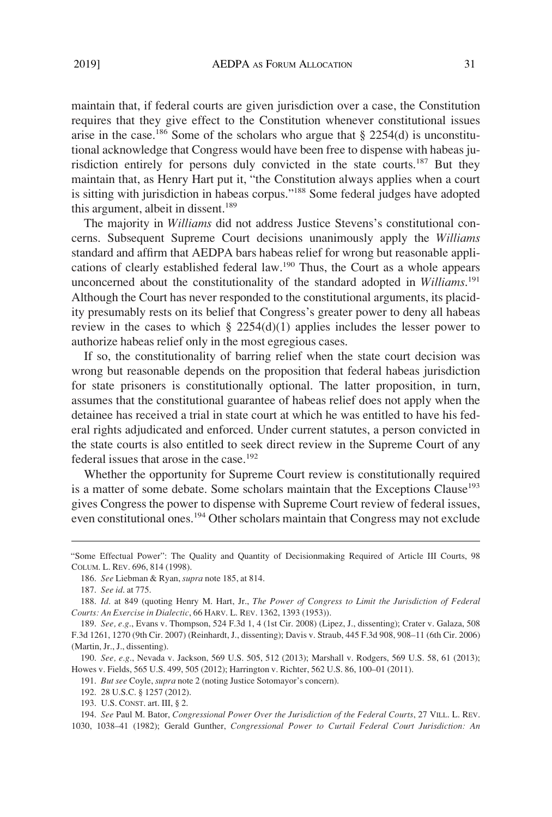maintain that, if federal courts are given jurisdiction over a case, the Constitution requires that they give effect to the Constitution whenever constitutional issues arise in the case.<sup>186</sup> Some of the scholars who argue that  $\S 2254(d)$  is unconstitutional acknowledge that Congress would have been free to dispense with habeas jurisdiction entirely for persons duly convicted in the state courts.<sup>187</sup> But they maintain that, as Henry Hart put it, "the Constitution always applies when a court is sitting with jurisdiction in habeas corpus."<sup>188</sup> Some federal judges have adopted this argument, albeit in dissent.<sup>189</sup>

The majority in *Williams* did not address Justice Stevens's constitutional concerns. Subsequent Supreme Court decisions unanimously apply the *Williams*  standard and affirm that AEDPA bars habeas relief for wrong but reasonable applications of clearly established federal law.190 Thus, the Court as a whole appears unconcerned about the constitutionality of the standard adopted in *Williams*. 191 Although the Court has never responded to the constitutional arguments, its placidity presumably rests on its belief that Congress's greater power to deny all habeas review in the cases to which  $\S$  2254(d)(1) applies includes the lesser power to authorize habeas relief only in the most egregious cases.

If so, the constitutionality of barring relief when the state court decision was wrong but reasonable depends on the proposition that federal habeas jurisdiction for state prisoners is constitutionally optional. The latter proposition, in turn, assumes that the constitutional guarantee of habeas relief does not apply when the detainee has received a trial in state court at which he was entitled to have his federal rights adjudicated and enforced. Under current statutes, a person convicted in the state courts is also entitled to seek direct review in the Supreme Court of any federal issues that arose in the case.<sup>192</sup>

Whether the opportunity for Supreme Court review is constitutionally required is a matter of some debate. Some scholars maintain that the Exceptions Clause<sup>193</sup> gives Congress the power to dispense with Supreme Court review of federal issues, even constitutional ones.<sup>194</sup> Other scholars maintain that Congress may not exclude

<sup>&</sup>quot;Some Effectual Power": The Quality and Quantity of Decisionmaking Required of Article III Courts, 98 COLUM. L. REV. 696, 814 (1998).

<sup>186.</sup> *See* Liebman & Ryan, *supra* note 185, at 814.

<sup>187.</sup> *See id*. at 775.

<sup>188.</sup> *Id*. at 849 (quoting Henry M. Hart, Jr., *The Power of Congress to Limit the Jurisdiction of Federal Courts: An Exercise in Dialectic*, 66 HARV. L. REV. 1362, 1393 (1953)).

<sup>189.</sup> *See, e.g*., Evans v. Thompson, 524 F.3d 1, 4 (1st Cir. 2008) (Lipez, J., dissenting); Crater v. Galaza, 508 F.3d 1261, 1270 (9th Cir. 2007) (Reinhardt, J., dissenting); Davis v. Straub, 445 F.3d 908, 908–11 (6th Cir. 2006) (Martin, Jr., J., dissenting).

<sup>190.</sup> *See, e.g*., Nevada v. Jackson, 569 U.S. 505, 512 (2013); Marshall v. Rodgers, 569 U.S. 58, 61 (2013); Howes v. Fields, 565 U.S. 499, 505 (2012); Harrington v. Richter, 562 U.S. 86, 100–01 (2011).

<sup>191.</sup> *But see* Coyle, *supra* note 2 (noting Justice Sotomayor's concern).

<sup>192. 28</sup> U.S.C. § 1257 (2012).

<sup>193.</sup> U.S. CONST. art. III, § 2.

<sup>194.</sup> *See* Paul M. Bator, *Congressional Power Over the Jurisdiction of the Federal Courts*, 27 VILL. L. REV. 1030, 1038–41 (1982); Gerald Gunther, *Congressional Power to Curtail Federal Court Jurisdiction: An*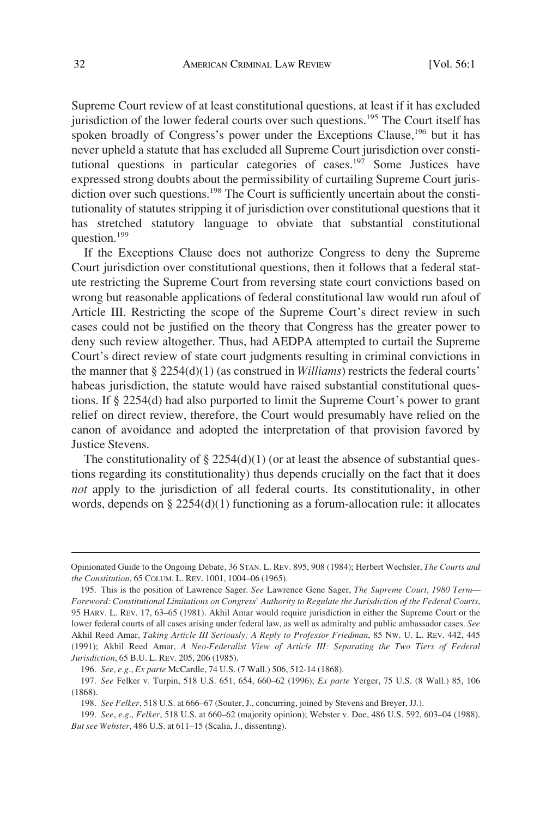Supreme Court review of at least constitutional questions, at least if it has excluded jurisdiction of the lower federal courts over such questions.<sup>195</sup> The Court itself has spoken broadly of Congress's power under the Exceptions Clause,  $196$  but it has never upheld a statute that has excluded all Supreme Court jurisdiction over constitutional questions in particular categories of cases.<sup>197</sup> Some Justices have expressed strong doubts about the permissibility of curtailing Supreme Court jurisdiction over such questions.<sup>198</sup> The Court is sufficiently uncertain about the constitutionality of statutes stripping it of jurisdiction over constitutional questions that it has stretched statutory language to obviate that substantial constitutional question.<sup>199</sup>

If the Exceptions Clause does not authorize Congress to deny the Supreme Court jurisdiction over constitutional questions, then it follows that a federal statute restricting the Supreme Court from reversing state court convictions based on wrong but reasonable applications of federal constitutional law would run afoul of Article III. Restricting the scope of the Supreme Court's direct review in such cases could not be justified on the theory that Congress has the greater power to deny such review altogether. Thus, had AEDPA attempted to curtail the Supreme Court's direct review of state court judgments resulting in criminal convictions in the manner that  $\S 2254(d)(1)$  (as construed in *Williams*) restricts the federal courts' habeas jurisdiction, the statute would have raised substantial constitutional questions. If § 2254(d) had also purported to limit the Supreme Court's power to grant relief on direct review, therefore, the Court would presumably have relied on the canon of avoidance and adopted the interpretation of that provision favored by Justice Stevens.

The constitutionality of  $\S 2254(d)(1)$  (or at least the absence of substantial questions regarding its constitutionality) thus depends crucially on the fact that it does *not* apply to the jurisdiction of all federal courts. Its constitutionality, in other words, depends on  $\S 2254(d)(1)$  functioning as a forum-allocation rule: it allocates

Opinionated Guide to the Ongoing Debate, 36 STAN. L. REV. 895, 908 (1984); Herbert Wechsler, *The Courts and the Constitution*, 65 COLUM. L. REV. 1001, 1004–06 (1965).

<sup>195.</sup> This is the position of Lawrence Sager. *See* Lawrence Gene Sager, *The Supreme Court, 1980 Term— Foreword: Constitutional Limitations on Congress' Authority to Regulate the Jurisdiction of the Federal Courts*, 95 HARV. L. REV. 17, 63–65 (1981). Akhil Amar would require jurisdiction in either the Supreme Court or the lower federal courts of all cases arising under federal law, as well as admiralty and public ambassador cases. *See*  Akhil Reed Amar, *Taking Article III Seriously: A Reply to Professor Friedman*, 85 NW. U. L. REV. 442, 445 (1991); Akhil Reed Amar, *A Neo-Federalist View of Article III: Separating the Two Tiers of Federal Jurisdiction*, 65 B.U. L. REV. 205, 206 (1985).

<sup>196.</sup> *See, e.g*., *Ex parte* McCardle, 74 U.S. (7 Wall.) 506, 512-14 (1868).

<sup>197.</sup> *See* Felker v. Turpin, 518 U.S. 651, 654, 660–62 (1996); *Ex parte* Yerger, 75 U.S. (8 Wall.) 85, 106 (1868).

<sup>198.</sup> *See Felker*, 518 U.S. at 666–67 (Souter, J., concurring, joined by Stevens and Breyer, JJ.).

<sup>199.</sup> *See*, *e.g*., *Felker*, 518 U.S. at 660–62 (majority opinion); Webster v. Doe, 486 U.S. 592, 603–04 (1988). *But see Webster*, 486 U.S. at 611–15 (Scalia, J., dissenting).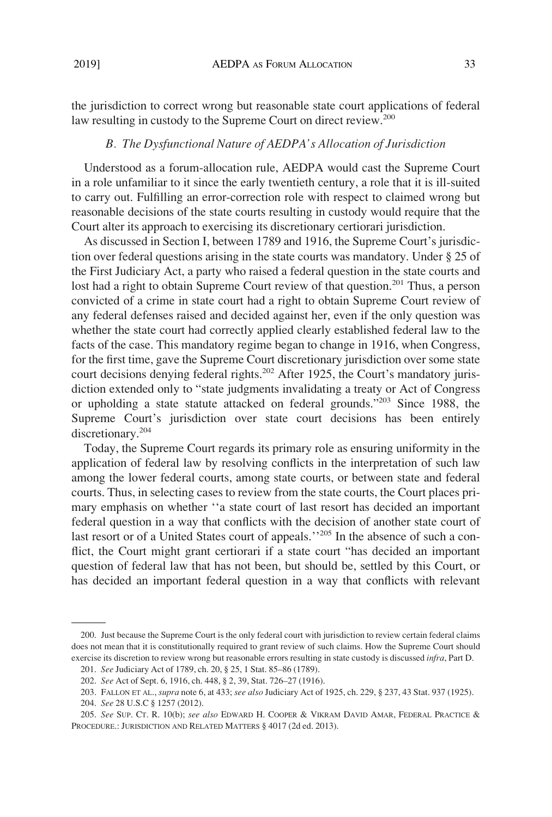the jurisdiction to correct wrong but reasonable state court applications of federal law resulting in custody to the Supreme Court on direct review.<sup>200</sup>

#### *B. The Dysfunctional Nature of AEDPA's Allocation of Jurisdiction*

Understood as a forum-allocation rule, AEDPA would cast the Supreme Court in a role unfamiliar to it since the early twentieth century, a role that it is ill-suited to carry out. Fulfilling an error-correction role with respect to claimed wrong but reasonable decisions of the state courts resulting in custody would require that the Court alter its approach to exercising its discretionary certiorari jurisdiction.

As discussed in Section I, between 1789 and 1916, the Supreme Court's jurisdiction over federal questions arising in the state courts was mandatory. Under § 25 of the First Judiciary Act, a party who raised a federal question in the state courts and lost had a right to obtain Supreme Court review of that question.<sup>201</sup> Thus, a person convicted of a crime in state court had a right to obtain Supreme Court review of any federal defenses raised and decided against her, even if the only question was whether the state court had correctly applied clearly established federal law to the facts of the case. This mandatory regime began to change in 1916, when Congress, for the first time, gave the Supreme Court discretionary jurisdiction over some state court decisions denying federal rights.<sup>202</sup> After 1925, the Court's mandatory jurisdiction extended only to "state judgments invalidating a treaty or Act of Congress or upholding a state statute attacked on federal grounds."<sup>203</sup> Since 1988, the Supreme Court's jurisdiction over state court decisions has been entirely discretionary.<sup>204</sup>

Today, the Supreme Court regards its primary role as ensuring uniformity in the application of federal law by resolving conflicts in the interpretation of such law among the lower federal courts, among state courts, or between state and federal courts. Thus, in selecting cases to review from the state courts, the Court places primary emphasis on whether ''a state court of last resort has decided an important federal question in a way that conflicts with the decision of another state court of last resort or of a United States court of appeals.<sup>''205</sup> In the absence of such a conflict, the Court might grant certiorari if a state court "has decided an important question of federal law that has not been, but should be, settled by this Court, or has decided an important federal question in a way that conflicts with relevant

<sup>200.</sup> Just because the Supreme Court is the only federal court with jurisdiction to review certain federal claims does not mean that it is constitutionally required to grant review of such claims. How the Supreme Court should exercise its discretion to review wrong but reasonable errors resulting in state custody is discussed *infra*, Part D.

<sup>201.</sup> *See* Judiciary Act of 1789, ch. 20, § 25, 1 Stat. 85–86 (1789).

<sup>202.</sup> *See* Act of Sept. 6, 1916, ch. 448, § 2, 39, Stat. 726–27 (1916).

<sup>203.</sup> FALLON ET AL., *supra* note 6, at 433; *see also* Judiciary Act of 1925, ch. 229, § 237, 43 Stat. 937 (1925).

<sup>204.</sup> *See* 28 U.S.C § 1257 (2012).

<sup>205.</sup> *See* SUP. CT. R. 10(b); *see also* EDWARD H. COOPER & VIKRAM DAVID AMAR, FEDERAL PRACTICE & PROCEDURE.: JURISDICTION AND RELATED MATTERS § 4017 (2d ed. 2013).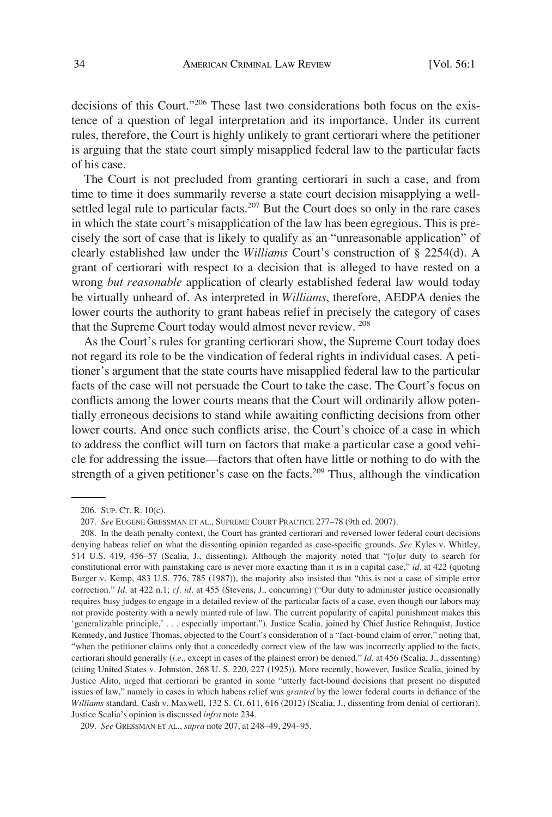decisions of this Court."206 These last two considerations both focus on the existence of a question of legal interpretation and its importance. Under its current rules, therefore, the Court is highly unlikely to grant certiorari where the petitioner is arguing that the state court simply misapplied federal law to the particular facts of his case.

The Court is not precluded from granting certiorari in such a case, and from time to time it does summarily reverse a state court decision misapplying a wellsettled legal rule to particular facts.<sup>207</sup> But the Court does so only in the rare cases in which the state court's misapplication of the law has been egregious. This is precisely the sort of case that is likely to qualify as an "unreasonable application" of clearly established law under the *Williams* Court's construction of § 2254(d). A grant of certiorari with respect to a decision that is alleged to have rested on a wrong *but reasonable* application of clearly established federal law would today be virtually unheard of. As interpreted in *Williams*, therefore, AEDPA denies the lower courts the authority to grant habeas relief in precisely the category of cases that the Supreme Court today would almost never review. <sup>208</sup>

As the Court's rules for granting certiorari show, the Supreme Court today does not regard its role to be the vindication of federal rights in individual cases. A petitioner's argument that the state courts have misapplied federal law to the particular facts of the case will not persuade the Court to take the case. The Court's focus on conflicts among the lower courts means that the Court will ordinarily allow potentially erroneous decisions to stand while awaiting conflicting decisions from other lower courts. And once such conflicts arise, the Court's choice of a case in which to address the conflict will turn on factors that make a particular case a good vehicle for addressing the issue—factors that often have little or nothing to do with the strength of a given petitioner's case on the facts.<sup>209</sup> Thus, although the vindication

<sup>206.</sup> SUP. CT. R. 10(c).

<sup>207.</sup> *See* EUGENE GRESSMAN ET AL., SUPREME COURT PRACTICE 277–78 (9th ed. 2007).

<sup>208.</sup> In the death penalty context, the Court has granted certiorari and reversed lower federal court decisions denying habeas relief on what the dissenting opinion regarded as case-specific grounds. *See* Kyles v. Whitley, 514 U.S. 419, 456–57 (Scalia, J., dissenting). Although the majority noted that "[o]ur duty to search for constitutional error with painstaking care is never more exacting than it is in a capital case," *id*. at 422 (quoting Burger v. Kemp, 483 U.S. 776, 785 (1987)), the majority also insisted that "this is not a case of simple error correction." *Id*. at 422 n.1; *cf. id*. at 455 (Stevens, J., concurring) ("Our duty to administer justice occasionally requires busy judges to engage in a detailed review of the particular facts of a case, even though our labors may not provide posterity with a newly minted rule of law. The current popularity of capital punishment makes this 'generalizable principle,' *. .* . especially important."). Justice Scalia, joined by Chief Justice Rehnquist, Justice Kennedy, and Justice Thomas, objected to the Court's consideration of a "fact-bound claim of error," noting that, "when the petitioner claims only that a concededly correct view of the law was incorrectly applied to the facts, certiorari should generally (*i.e*., except in cases of the plainest error) be denied." *Id*. at 456 (Scalia, J., dissenting) (citing United States v. Johnston, 268 U. S. 220, 227 (1925)). More recently, however, Justice Scalia, joined by Justice Alito, urged that certiorari be granted in some "utterly fact-bound decisions that present no disputed issues of law," namely in cases in which habeas relief was *granted* by the lower federal courts in defiance of the *Williams* standard. Cash v. Maxwell, 132 S. Ct. 611, 616 (2012) (Scalia, J., dissenting from denial of certiorari). Justice Scalia's opinion is discussed *infra* note 234.

<sup>209.</sup> *See* GRESSMAN ET AL., *supra* note 207, at 248–49, 294–95.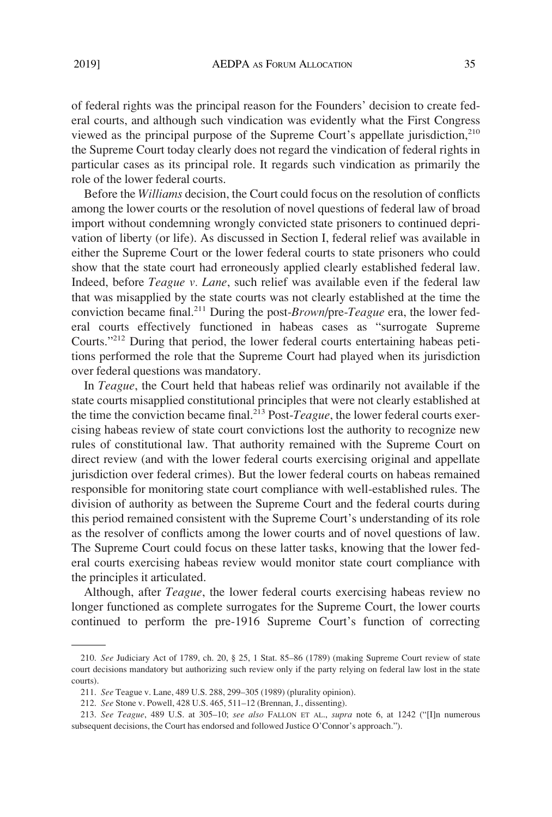of federal rights was the principal reason for the Founders' decision to create federal courts, and although such vindication was evidently what the First Congress viewed as the principal purpose of the Supreme Court's appellate jurisdiction, $210$ the Supreme Court today clearly does not regard the vindication of federal rights in particular cases as its principal role. It regards such vindication as primarily the role of the lower federal courts.

Before the *Williams* decision, the Court could focus on the resolution of conflicts among the lower courts or the resolution of novel questions of federal law of broad import without condemning wrongly convicted state prisoners to continued deprivation of liberty (or life). As discussed in Section I, federal relief was available in either the Supreme Court or the lower federal courts to state prisoners who could show that the state court had erroneously applied clearly established federal law. Indeed, before *Teague v. Lane*, such relief was available even if the federal law that was misapplied by the state courts was not clearly established at the time the conviction became final.211 During the post-*Brown*/pre-*Teague* era, the lower federal courts effectively functioned in habeas cases as "surrogate Supreme Courts."212 During that period, the lower federal courts entertaining habeas petitions performed the role that the Supreme Court had played when its jurisdiction over federal questions was mandatory.

In *Teague*, the Court held that habeas relief was ordinarily not available if the state courts misapplied constitutional principles that were not clearly established at the time the conviction became final.213 Post-*Teague*, the lower federal courts exercising habeas review of state court convictions lost the authority to recognize new rules of constitutional law. That authority remained with the Supreme Court on direct review (and with the lower federal courts exercising original and appellate jurisdiction over federal crimes). But the lower federal courts on habeas remained responsible for monitoring state court compliance with well-established rules. The division of authority as between the Supreme Court and the federal courts during this period remained consistent with the Supreme Court's understanding of its role as the resolver of conflicts among the lower courts and of novel questions of law. The Supreme Court could focus on these latter tasks, knowing that the lower federal courts exercising habeas review would monitor state court compliance with the principles it articulated.

Although, after *Teague*, the lower federal courts exercising habeas review no longer functioned as complete surrogates for the Supreme Court, the lower courts continued to perform the pre-1916 Supreme Court's function of correcting

<sup>210.</sup> *See* Judiciary Act of 1789, ch. 20, § 25, 1 Stat. 85–86 (1789) (making Supreme Court review of state court decisions mandatory but authorizing such review only if the party relying on federal law lost in the state courts).

<sup>211.</sup> *See* Teague v. Lane, 489 U.S. 288, 299–305 (1989) (plurality opinion).

<sup>212.</sup> *See* Stone v. Powell, 428 U.S. 465, 511–12 (Brennan, J., dissenting).

<sup>213.</sup> *See Teague*, 489 U.S. at 305–10; *see also* FALLON ET AL., *supra* note 6, at 1242 ("[I]n numerous subsequent decisions, the Court has endorsed and followed Justice O'Connor's approach.").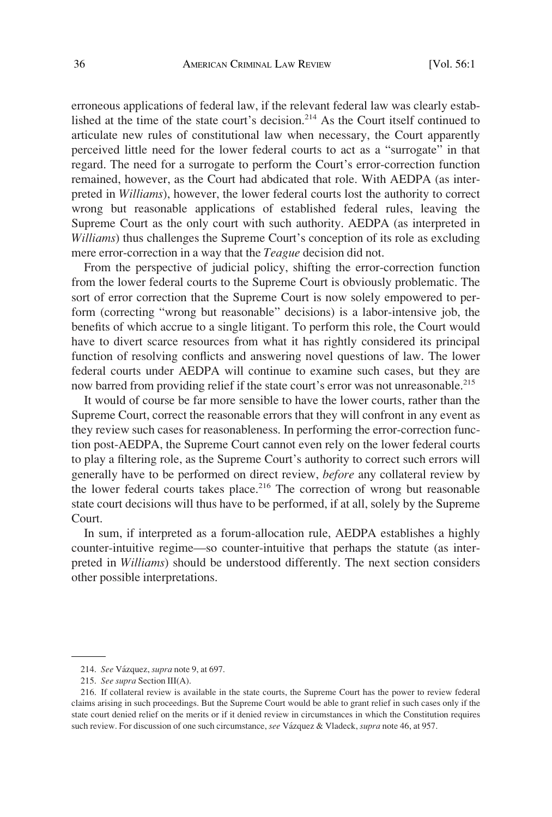erroneous applications of federal law, if the relevant federal law was clearly established at the time of the state court's decision.214 As the Court itself continued to articulate new rules of constitutional law when necessary, the Court apparently perceived little need for the lower federal courts to act as a "surrogate" in that regard. The need for a surrogate to perform the Court's error-correction function remained, however, as the Court had abdicated that role. With AEDPA (as interpreted in *Williams*), however, the lower federal courts lost the authority to correct wrong but reasonable applications of established federal rules, leaving the Supreme Court as the only court with such authority. AEDPA (as interpreted in *Williams*) thus challenges the Supreme Court's conception of its role as excluding mere error-correction in a way that the *Teague* decision did not.

From the perspective of judicial policy, shifting the error-correction function from the lower federal courts to the Supreme Court is obviously problematic. The sort of error correction that the Supreme Court is now solely empowered to perform (correcting "wrong but reasonable" decisions) is a labor-intensive job, the benefits of which accrue to a single litigant. To perform this role, the Court would have to divert scarce resources from what it has rightly considered its principal function of resolving conflicts and answering novel questions of law. The lower federal courts under AEDPA will continue to examine such cases, but they are now barred from providing relief if the state court's error was not unreasonable.<sup>215</sup>

It would of course be far more sensible to have the lower courts, rather than the Supreme Court, correct the reasonable errors that they will confront in any event as they review such cases for reasonableness. In performing the error-correction function post-AEDPA, the Supreme Court cannot even rely on the lower federal courts to play a filtering role, as the Supreme Court's authority to correct such errors will generally have to be performed on direct review, *before* any collateral review by the lower federal courts takes place.<sup>216</sup> The correction of wrong but reasonable state court decisions will thus have to be performed, if at all, solely by the Supreme Court.

In sum, if interpreted as a forum-allocation rule, AEDPA establishes a highly counter-intuitive regime—so counter-intuitive that perhaps the statute (as interpreted in *Williams*) should be understood differently. The next section considers other possible interpretations.

<sup>214.</sup> *See* Va´zquez, *supra* note 9, at 697.

<sup>215.</sup> *See supra* Section III(A).

<sup>216.</sup> If collateral review is available in the state courts, the Supreme Court has the power to review federal claims arising in such proceedings. But the Supreme Court would be able to grant relief in such cases only if the state court denied relief on the merits or if it denied review in circumstances in which the Constitution requires such review. For discussion of one such circumstance, *see* Va´zquez & Vladeck, *supra* note 46, at 957.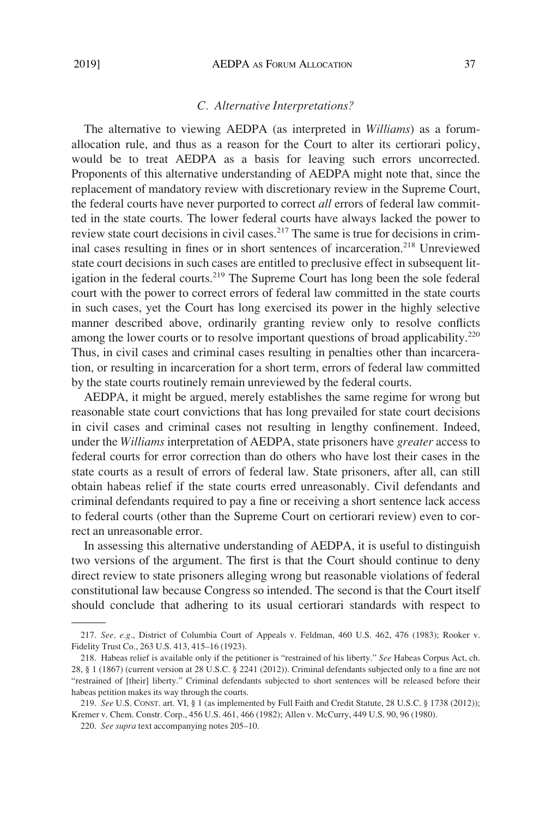## *C. Alternative Interpretations?*

The alternative to viewing AEDPA (as interpreted in *Williams*) as a forumallocation rule, and thus as a reason for the Court to alter its certiorari policy, would be to treat AEDPA as a basis for leaving such errors uncorrected. Proponents of this alternative understanding of AEDPA might note that, since the replacement of mandatory review with discretionary review in the Supreme Court, the federal courts have never purported to correct *all* errors of federal law committed in the state courts. The lower federal courts have always lacked the power to review state court decisions in civil cases.<sup>217</sup> The same is true for decisions in criminal cases resulting in fines or in short sentences of incarceration.<sup>218</sup> Unreviewed state court decisions in such cases are entitled to preclusive effect in subsequent litigation in the federal courts.<sup>219</sup> The Supreme Court has long been the sole federal court with the power to correct errors of federal law committed in the state courts in such cases, yet the Court has long exercised its power in the highly selective manner described above, ordinarily granting review only to resolve conflicts among the lower courts or to resolve important questions of broad applicability.<sup>220</sup> Thus, in civil cases and criminal cases resulting in penalties other than incarceration, or resulting in incarceration for a short term, errors of federal law committed by the state courts routinely remain unreviewed by the federal courts.

AEDPA, it might be argued, merely establishes the same regime for wrong but reasonable state court convictions that has long prevailed for state court decisions in civil cases and criminal cases not resulting in lengthy confinement. Indeed, under the *Williams* interpretation of AEDPA, state prisoners have *greater* access to federal courts for error correction than do others who have lost their cases in the state courts as a result of errors of federal law. State prisoners, after all, can still obtain habeas relief if the state courts erred unreasonably. Civil defendants and criminal defendants required to pay a fine or receiving a short sentence lack access to federal courts (other than the Supreme Court on certiorari review) even to correct an unreasonable error.

In assessing this alternative understanding of AEDPA, it is useful to distinguish two versions of the argument. The first is that the Court should continue to deny direct review to state prisoners alleging wrong but reasonable violations of federal constitutional law because Congress so intended. The second is that the Court itself should conclude that adhering to its usual certiorari standards with respect to

<sup>217.</sup> *See, e.g*., District of Columbia Court of Appeals v. Feldman, 460 U.S. 462, 476 (1983); Rooker v. Fidelity Trust Co., 263 U.S. 413, 415–16 (1923).

<sup>218.</sup> Habeas relief is available only if the petitioner is "restrained of his liberty." *See* Habeas Corpus Act, ch. 28, § 1 (1867) (current version at 28 U.S.C. § 2241 (2012)). Criminal defendants subjected only to a fine are not "restrained of [their] liberty." Criminal defendants subjected to short sentences will be released before their habeas petition makes its way through the courts.

<sup>219.</sup> *See* U.S. CONST. art. VI, § 1 (as implemented by Full Faith and Credit Statute, 28 U.S.C. § 1738 (2012)); Kremer v. Chem. Constr. Corp., 456 U.S. 461, 466 (1982); Allen v. McCurry, 449 U.S. 90, 96 (1980).

<sup>220.</sup> *See supra* text accompanying notes 205–10.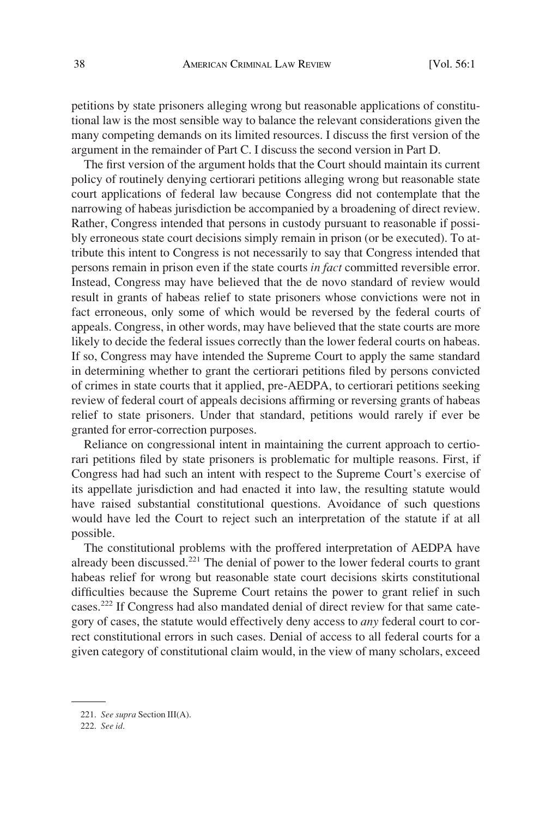petitions by state prisoners alleging wrong but reasonable applications of constitutional law is the most sensible way to balance the relevant considerations given the many competing demands on its limited resources. I discuss the first version of the argument in the remainder of Part C. I discuss the second version in Part D.

The first version of the argument holds that the Court should maintain its current policy of routinely denying certiorari petitions alleging wrong but reasonable state court applications of federal law because Congress did not contemplate that the narrowing of habeas jurisdiction be accompanied by a broadening of direct review. Rather, Congress intended that persons in custody pursuant to reasonable if possibly erroneous state court decisions simply remain in prison (or be executed). To attribute this intent to Congress is not necessarily to say that Congress intended that persons remain in prison even if the state courts *in fact* committed reversible error. Instead, Congress may have believed that the de novo standard of review would result in grants of habeas relief to state prisoners whose convictions were not in fact erroneous, only some of which would be reversed by the federal courts of appeals. Congress, in other words, may have believed that the state courts are more likely to decide the federal issues correctly than the lower federal courts on habeas. If so, Congress may have intended the Supreme Court to apply the same standard in determining whether to grant the certiorari petitions filed by persons convicted of crimes in state courts that it applied, pre-AEDPA, to certiorari petitions seeking review of federal court of appeals decisions affirming or reversing grants of habeas relief to state prisoners. Under that standard, petitions would rarely if ever be granted for error-correction purposes.

Reliance on congressional intent in maintaining the current approach to certiorari petitions filed by state prisoners is problematic for multiple reasons. First, if Congress had had such an intent with respect to the Supreme Court's exercise of its appellate jurisdiction and had enacted it into law, the resulting statute would have raised substantial constitutional questions. Avoidance of such questions would have led the Court to reject such an interpretation of the statute if at all possible.

The constitutional problems with the proffered interpretation of AEDPA have already been discussed.221 The denial of power to the lower federal courts to grant habeas relief for wrong but reasonable state court decisions skirts constitutional difficulties because the Supreme Court retains the power to grant relief in such cases.222 If Congress had also mandated denial of direct review for that same category of cases, the statute would effectively deny access to *any* federal court to correct constitutional errors in such cases. Denial of access to all federal courts for a given category of constitutional claim would, in the view of many scholars, exceed

<sup>221.</sup> *See supra* Section III(A).

<sup>222.</sup> *See id*.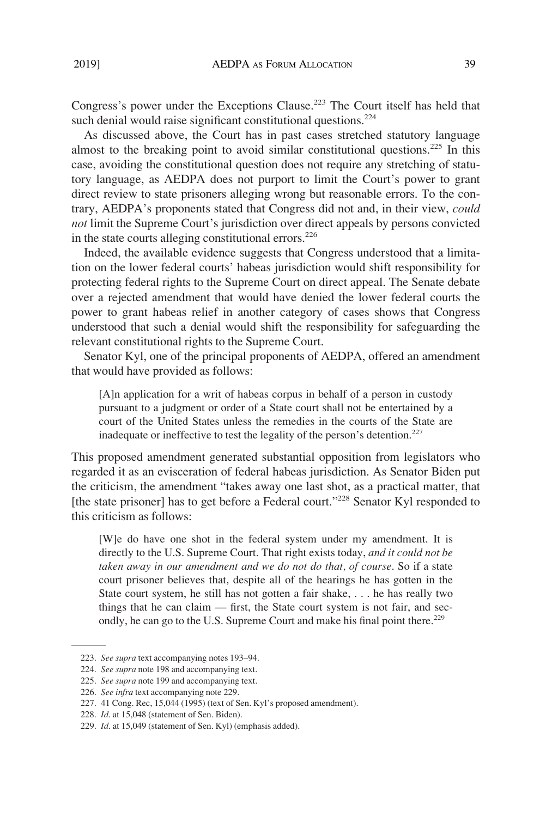Congress's power under the Exceptions Clause.<sup>223</sup> The Court itself has held that such denial would raise significant constitutional questions.<sup>224</sup>

As discussed above, the Court has in past cases stretched statutory language almost to the breaking point to avoid similar constitutional questions.<sup>225</sup> In this case, avoiding the constitutional question does not require any stretching of statutory language, as AEDPA does not purport to limit the Court's power to grant direct review to state prisoners alleging wrong but reasonable errors. To the contrary, AEDPA's proponents stated that Congress did not and, in their view, *could not* limit the Supreme Court's jurisdiction over direct appeals by persons convicted in the state courts alleging constitutional errors. $226$ 

Indeed, the available evidence suggests that Congress understood that a limitation on the lower federal courts' habeas jurisdiction would shift responsibility for protecting federal rights to the Supreme Court on direct appeal. The Senate debate over a rejected amendment that would have denied the lower federal courts the power to grant habeas relief in another category of cases shows that Congress understood that such a denial would shift the responsibility for safeguarding the relevant constitutional rights to the Supreme Court.

Senator Kyl, one of the principal proponents of AEDPA, offered an amendment that would have provided as follows:

[A]n application for a writ of habeas corpus in behalf of a person in custody pursuant to a judgment or order of a State court shall not be entertained by a court of the United States unless the remedies in the courts of the State are inadequate or ineffective to test the legality of the person's detention.<sup>227</sup>

This proposed amendment generated substantial opposition from legislators who regarded it as an evisceration of federal habeas jurisdiction. As Senator Biden put the criticism, the amendment "takes away one last shot, as a practical matter, that [the state prisoner] has to get before a Federal court."<sup>228</sup> Senator Kyl responded to this criticism as follows:

[W]e do have one shot in the federal system under my amendment. It is directly to the U.S. Supreme Court. That right exists today, *and it could not be taken away in our amendment and we do not do that, of course*. So if a state court prisoner believes that, despite all of the hearings he has gotten in the State court system, he still has not gotten a fair shake, . . . he has really two things that he can claim — first, the State court system is not fair, and secondly, he can go to the U.S. Supreme Court and make his final point there.<sup>229</sup>

<sup>223.</sup> *See supra* text accompanying notes 193–94.

<sup>224.</sup> *See supra* note 198 and accompanying text.

<sup>225.</sup> *See supra* note 199 and accompanying text.

<sup>226.</sup> *See infra* text accompanying note 229.

<sup>227. 41</sup> Cong. Rec, 15,044 (1995) (text of Sen. Kyl's proposed amendment).

<sup>228.</sup> *Id*. at 15,048 (statement of Sen. Biden).

<sup>229.</sup> *Id*. at 15,049 (statement of Sen. Kyl) (emphasis added).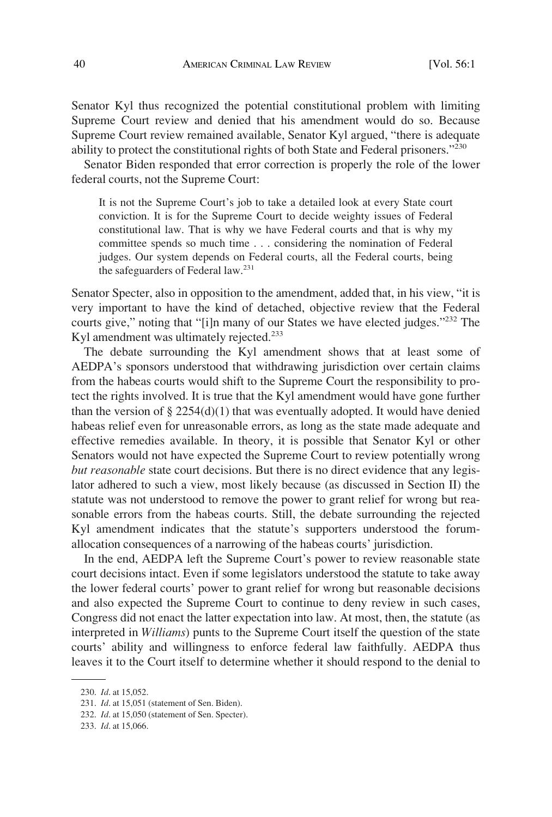Senator Kyl thus recognized the potential constitutional problem with limiting Supreme Court review and denied that his amendment would do so. Because Supreme Court review remained available, Senator Kyl argued, "there is adequate ability to protect the constitutional rights of both State and Federal prisoners."230

Senator Biden responded that error correction is properly the role of the lower federal courts, not the Supreme Court:

It is not the Supreme Court's job to take a detailed look at every State court conviction. It is for the Supreme Court to decide weighty issues of Federal constitutional law. That is why we have Federal courts and that is why my committee spends so much time . . . considering the nomination of Federal judges. Our system depends on Federal courts, all the Federal courts, being the safeguarders of Federal law.<sup>231</sup>

Senator Specter, also in opposition to the amendment, added that, in his view, "it is very important to have the kind of detached, objective review that the Federal courts give," noting that "[i]n many of our States we have elected judges."232 The Kyl amendment was ultimately rejected.<sup>233</sup>

The debate surrounding the Kyl amendment shows that at least some of AEDPA's sponsors understood that withdrawing jurisdiction over certain claims from the habeas courts would shift to the Supreme Court the responsibility to protect the rights involved. It is true that the Kyl amendment would have gone further than the version of  $\S 2254(d)(1)$  that was eventually adopted. It would have denied habeas relief even for unreasonable errors, as long as the state made adequate and effective remedies available. In theory, it is possible that Senator Kyl or other Senators would not have expected the Supreme Court to review potentially wrong *but reasonable* state court decisions. But there is no direct evidence that any legislator adhered to such a view, most likely because (as discussed in Section II) the statute was not understood to remove the power to grant relief for wrong but reasonable errors from the habeas courts. Still, the debate surrounding the rejected Kyl amendment indicates that the statute's supporters understood the forumallocation consequences of a narrowing of the habeas courts' jurisdiction.

In the end, AEDPA left the Supreme Court's power to review reasonable state court decisions intact. Even if some legislators understood the statute to take away the lower federal courts' power to grant relief for wrong but reasonable decisions and also expected the Supreme Court to continue to deny review in such cases, Congress did not enact the latter expectation into law. At most, then, the statute (as interpreted in *Williams*) punts to the Supreme Court itself the question of the state courts' ability and willingness to enforce federal law faithfully. AEDPA thus leaves it to the Court itself to determine whether it should respond to the denial to

<sup>230.</sup> *Id*. at 15,052.

<sup>231.</sup> *Id*. at 15,051 (statement of Sen. Biden).

<sup>232.</sup> *Id*. at 15,050 (statement of Sen. Specter).

<sup>233.</sup> *Id*. at 15,066.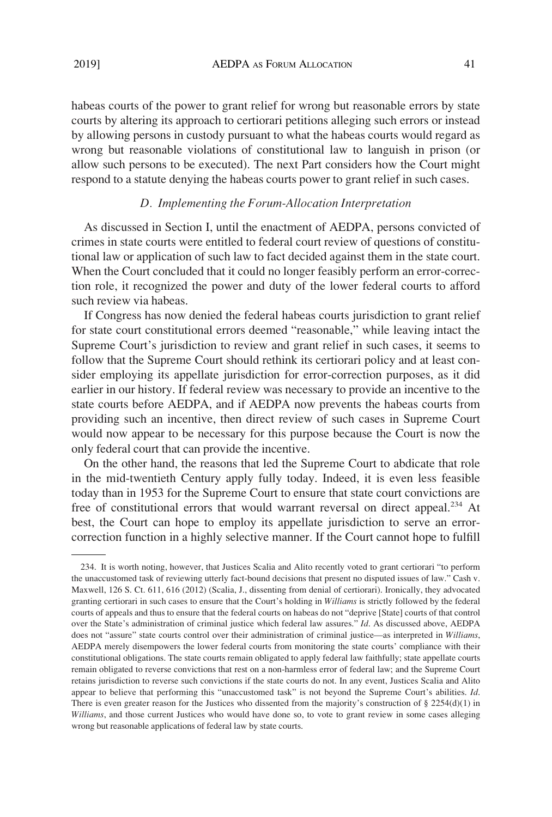habeas courts of the power to grant relief for wrong but reasonable errors by state courts by altering its approach to certiorari petitions alleging such errors or instead by allowing persons in custody pursuant to what the habeas courts would regard as wrong but reasonable violations of constitutional law to languish in prison (or allow such persons to be executed). The next Part considers how the Court might respond to a statute denying the habeas courts power to grant relief in such cases.

## *D. Implementing the Forum-Allocation Interpretation*

As discussed in Section I, until the enactment of AEDPA, persons convicted of crimes in state courts were entitled to federal court review of questions of constitutional law or application of such law to fact decided against them in the state court. When the Court concluded that it could no longer feasibly perform an error-correction role, it recognized the power and duty of the lower federal courts to afford such review via habeas.

If Congress has now denied the federal habeas courts jurisdiction to grant relief for state court constitutional errors deemed "reasonable," while leaving intact the Supreme Court's jurisdiction to review and grant relief in such cases, it seems to follow that the Supreme Court should rethink its certiorari policy and at least consider employing its appellate jurisdiction for error-correction purposes, as it did earlier in our history. If federal review was necessary to provide an incentive to the state courts before AEDPA, and if AEDPA now prevents the habeas courts from providing such an incentive, then direct review of such cases in Supreme Court would now appear to be necessary for this purpose because the Court is now the only federal court that can provide the incentive.

On the other hand, the reasons that led the Supreme Court to abdicate that role in the mid-twentieth Century apply fully today. Indeed, it is even less feasible today than in 1953 for the Supreme Court to ensure that state court convictions are free of constitutional errors that would warrant reversal on direct appeal.<sup>234</sup> At best, the Court can hope to employ its appellate jurisdiction to serve an errorcorrection function in a highly selective manner. If the Court cannot hope to fulfill

<sup>234.</sup> It is worth noting, however, that Justices Scalia and Alito recently voted to grant certiorari "to perform the unaccustomed task of reviewing utterly fact-bound decisions that present no disputed issues of law." Cash v. Maxwell, 126 S. Ct. 611, 616 (2012) (Scalia, J., dissenting from denial of certiorari). Ironically, they advocated granting certiorari in such cases to ensure that the Court's holding in *Williams* is strictly followed by the federal courts of appeals and thus to ensure that the federal courts on habeas do not "deprive [State] courts of that control over the State's administration of criminal justice which federal law assures." *Id*. As discussed above, AEDPA does not "assure" state courts control over their administration of criminal justice—as interpreted in *Williams*, AEDPA merely disempowers the lower federal courts from monitoring the state courts' compliance with their constitutional obligations. The state courts remain obligated to apply federal law faithfully; state appellate courts remain obligated to reverse convictions that rest on a non-harmless error of federal law; and the Supreme Court retains jurisdiction to reverse such convictions if the state courts do not. In any event, Justices Scalia and Alito appear to believe that performing this "unaccustomed task" is not beyond the Supreme Court's abilities. *Id*. There is even greater reason for the Justices who dissented from the majority's construction of  $\S 2254(d)(1)$  in *Williams*, and those current Justices who would have done so, to vote to grant review in some cases alleging wrong but reasonable applications of federal law by state courts.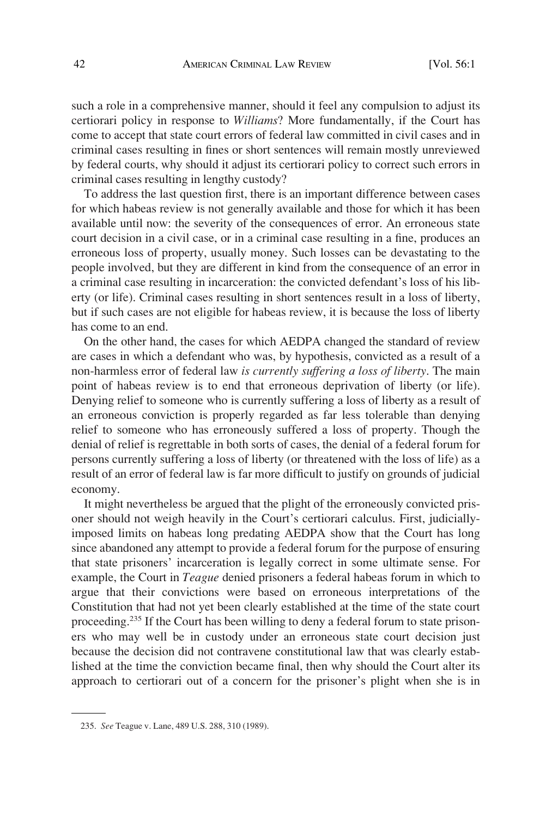such a role in a comprehensive manner, should it feel any compulsion to adjust its certiorari policy in response to *Williams*? More fundamentally, if the Court has come to accept that state court errors of federal law committed in civil cases and in criminal cases resulting in fines or short sentences will remain mostly unreviewed by federal courts, why should it adjust its certiorari policy to correct such errors in criminal cases resulting in lengthy custody?

To address the last question first, there is an important difference between cases for which habeas review is not generally available and those for which it has been available until now: the severity of the consequences of error. An erroneous state court decision in a civil case, or in a criminal case resulting in a fine, produces an erroneous loss of property, usually money. Such losses can be devastating to the people involved, but they are different in kind from the consequence of an error in a criminal case resulting in incarceration: the convicted defendant's loss of his liberty (or life). Criminal cases resulting in short sentences result in a loss of liberty, but if such cases are not eligible for habeas review, it is because the loss of liberty has come to an end.

On the other hand, the cases for which AEDPA changed the standard of review are cases in which a defendant who was, by hypothesis, convicted as a result of a non-harmless error of federal law *is currently suffering a loss of liberty*. The main point of habeas review is to end that erroneous deprivation of liberty (or life). Denying relief to someone who is currently suffering a loss of liberty as a result of an erroneous conviction is properly regarded as far less tolerable than denying relief to someone who has erroneously suffered a loss of property. Though the denial of relief is regrettable in both sorts of cases, the denial of a federal forum for persons currently suffering a loss of liberty (or threatened with the loss of life) as a result of an error of federal law is far more difficult to justify on grounds of judicial economy.

It might nevertheless be argued that the plight of the erroneously convicted prisoner should not weigh heavily in the Court's certiorari calculus. First, judiciallyimposed limits on habeas long predating AEDPA show that the Court has long since abandoned any attempt to provide a federal forum for the purpose of ensuring that state prisoners' incarceration is legally correct in some ultimate sense. For example, the Court in *Teague* denied prisoners a federal habeas forum in which to argue that their convictions were based on erroneous interpretations of the Constitution that had not yet been clearly established at the time of the state court proceeding.<sup>235</sup> If the Court has been willing to deny a federal forum to state prisoners who may well be in custody under an erroneous state court decision just because the decision did not contravene constitutional law that was clearly established at the time the conviction became final, then why should the Court alter its approach to certiorari out of a concern for the prisoner's plight when she is in

<sup>235.</sup> *See* Teague v. Lane, 489 U.S. 288, 310 (1989).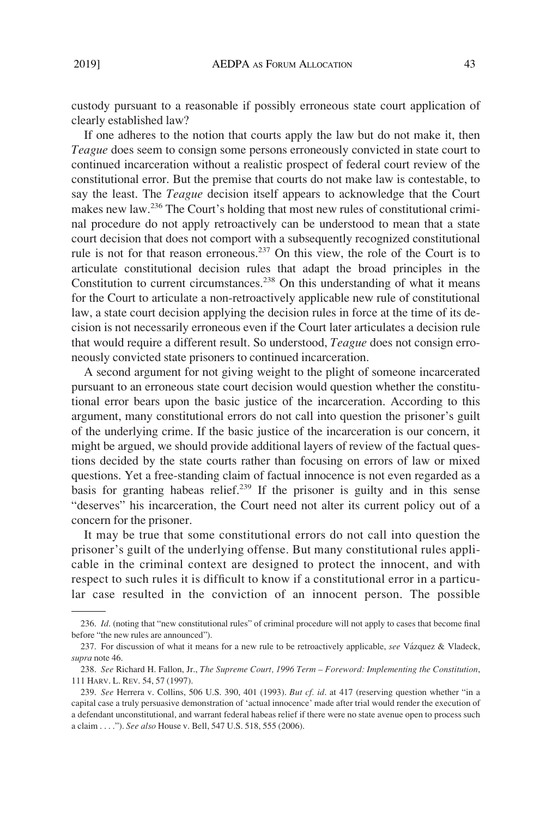custody pursuant to a reasonable if possibly erroneous state court application of clearly established law?

If one adheres to the notion that courts apply the law but do not make it, then *Teague* does seem to consign some persons erroneously convicted in state court to continued incarceration without a realistic prospect of federal court review of the constitutional error. But the premise that courts do not make law is contestable, to say the least. The *Teague* decision itself appears to acknowledge that the Court makes new law.<sup>236</sup> The Court's holding that most new rules of constitutional criminal procedure do not apply retroactively can be understood to mean that a state court decision that does not comport with a subsequently recognized constitutional rule is not for that reason erroneous.<sup>237</sup> On this view, the role of the Court is to articulate constitutional decision rules that adapt the broad principles in the Constitution to current circumstances.<sup>238</sup> On this understanding of what it means for the Court to articulate a non-retroactively applicable new rule of constitutional law, a state court decision applying the decision rules in force at the time of its decision is not necessarily erroneous even if the Court later articulates a decision rule that would require a different result. So understood, *Teague* does not consign erroneously convicted state prisoners to continued incarceration.

A second argument for not giving weight to the plight of someone incarcerated pursuant to an erroneous state court decision would question whether the constitutional error bears upon the basic justice of the incarceration. According to this argument, many constitutional errors do not call into question the prisoner's guilt of the underlying crime. If the basic justice of the incarceration is our concern, it might be argued, we should provide additional layers of review of the factual questions decided by the state courts rather than focusing on errors of law or mixed questions. Yet a free-standing claim of factual innocence is not even regarded as a basis for granting habeas relief.<sup>239</sup> If the prisoner is guilty and in this sense "deserves" his incarceration, the Court need not alter its current policy out of a concern for the prisoner.

It may be true that some constitutional errors do not call into question the prisoner's guilt of the underlying offense. But many constitutional rules applicable in the criminal context are designed to protect the innocent, and with respect to such rules it is difficult to know if a constitutional error in a particular case resulted in the conviction of an innocent person. The possible

<sup>236.</sup> *Id*. (noting that "new constitutional rules" of criminal procedure will not apply to cases that become final before "the new rules are announced").

<sup>237.</sup> For discussion of what it means for a new rule to be retroactively applicable, *see* Vázquez & Vladeck, *supra* note 46.

<sup>238.</sup> *See* Richard H. Fallon, Jr., *The Supreme Court, 1996 Term – Foreword: Implementing the Constitution*, 111 HARV. L. REV. 54, 57 (1997).

<sup>239.</sup> *See* Herrera v. Collins, 506 U.S. 390, 401 (1993). *But cf. id*. at 417 (reserving question whether "in a capital case a truly persuasive demonstration of 'actual innocence' made after trial would render the execution of a defendant unconstitutional, and warrant federal habeas relief if there were no state avenue open to process such a claim . . . ."). *See also* House v. Bell, 547 U.S. 518, 555 (2006).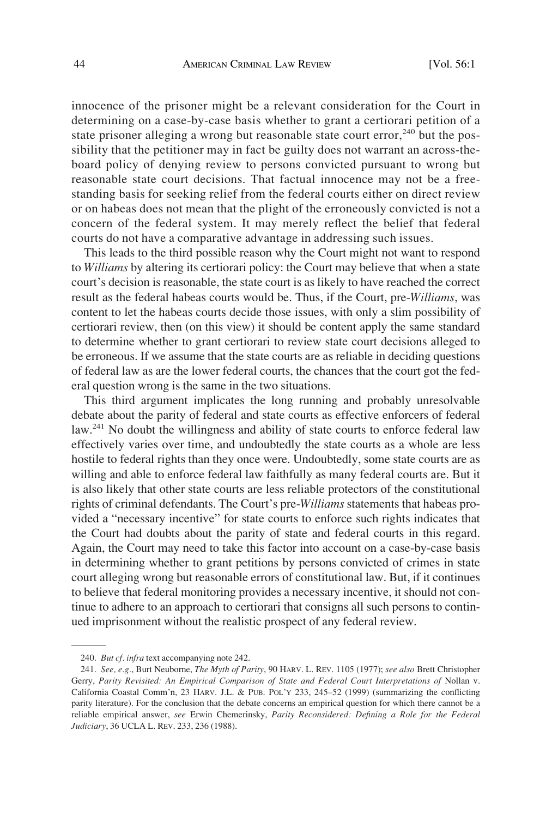innocence of the prisoner might be a relevant consideration for the Court in determining on a case-by-case basis whether to grant a certiorari petition of a state prisoner alleging a wrong but reasonable state court error,  $240$  but the possibility that the petitioner may in fact be guilty does not warrant an across-theboard policy of denying review to persons convicted pursuant to wrong but reasonable state court decisions. That factual innocence may not be a freestanding basis for seeking relief from the federal courts either on direct review or on habeas does not mean that the plight of the erroneously convicted is not a concern of the federal system. It may merely reflect the belief that federal courts do not have a comparative advantage in addressing such issues.

This leads to the third possible reason why the Court might not want to respond to *Williams* by altering its certiorari policy: the Court may believe that when a state court's decision is reasonable, the state court is as likely to have reached the correct result as the federal habeas courts would be. Thus, if the Court, pre-*Williams*, was content to let the habeas courts decide those issues, with only a slim possibility of certiorari review, then (on this view) it should be content apply the same standard to determine whether to grant certiorari to review state court decisions alleged to be erroneous. If we assume that the state courts are as reliable in deciding questions of federal law as are the lower federal courts, the chances that the court got the federal question wrong is the same in the two situations.

This third argument implicates the long running and probably unresolvable debate about the parity of federal and state courts as effective enforcers of federal law.<sup>241</sup> No doubt the willingness and ability of state courts to enforce federal law effectively varies over time, and undoubtedly the state courts as a whole are less hostile to federal rights than they once were. Undoubtedly, some state courts are as willing and able to enforce federal law faithfully as many federal courts are. But it is also likely that other state courts are less reliable protectors of the constitutional rights of criminal defendants. The Court's pre-*Williams* statements that habeas provided a "necessary incentive" for state courts to enforce such rights indicates that the Court had doubts about the parity of state and federal courts in this regard. Again, the Court may need to take this factor into account on a case-by-case basis in determining whether to grant petitions by persons convicted of crimes in state court alleging wrong but reasonable errors of constitutional law. But, if it continues to believe that federal monitoring provides a necessary incentive, it should not continue to adhere to an approach to certiorari that consigns all such persons to continued imprisonment without the realistic prospect of any federal review.

<sup>240.</sup> *But cf. infra* text accompanying note 242.

<sup>241.</sup> *See, e.g*., Burt Neuborne, *The Myth of Parity*, 90 HARV. L. REV. 1105 (1977); *see also* Brett Christopher Gerry, *Parity Revisited: An Empirical Comparison of State and Federal Court Interpretations of* Nollan v. California Coastal Comm'n, 23 HARV. J.L. & PUB. POL'Y 233, 245–52 (1999) (summarizing the conflicting parity literature). For the conclusion that the debate concerns an empirical question for which there cannot be a reliable empirical answer, *see* Erwin Chemerinsky, *Parity Reconsidered: Defining a Role for the Federal Judiciary*, 36 UCLA L. REV. 233, 236 (1988).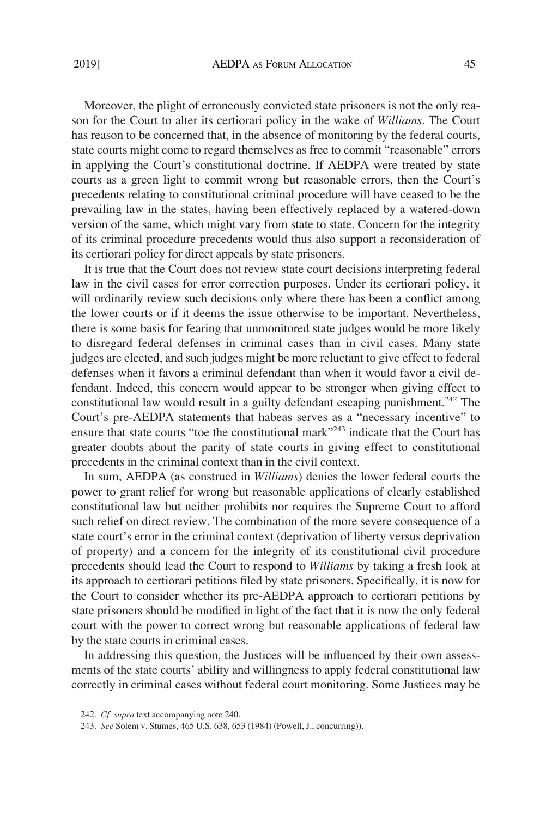Moreover, the plight of erroneously convicted state prisoners is not the only reason for the Court to alter its certiorari policy in the wake of *Williams*. The Court has reason to be concerned that, in the absence of monitoring by the federal courts, state courts might come to regard themselves as free to commit "reasonable" errors in applying the Court's constitutional doctrine. If AEDPA were treated by state courts as a green light to commit wrong but reasonable errors, then the Court's precedents relating to constitutional criminal procedure will have ceased to be the prevailing law in the states, having been effectively replaced by a watered-down version of the same, which might vary from state to state. Concern for the integrity of its criminal procedure precedents would thus also support a reconsideration of its certiorari policy for direct appeals by state prisoners.

It is true that the Court does not review state court decisions interpreting federal law in the civil cases for error correction purposes. Under its certiorari policy, it will ordinarily review such decisions only where there has been a conflict among the lower courts or if it deems the issue otherwise to be important. Nevertheless, there is some basis for fearing that unmonitored state judges would be more likely to disregard federal defenses in criminal cases than in civil cases. Many state judges are elected, and such judges might be more reluctant to give effect to federal defenses when it favors a criminal defendant than when it would favor a civil defendant. Indeed, this concern would appear to be stronger when giving effect to constitutional law would result in a guilty defendant escaping punishment.<sup>242</sup> The Court's pre-AEDPA statements that habeas serves as a "necessary incentive" to ensure that state courts "toe the constitutional mark"<sup>243</sup> indicate that the Court has greater doubts about the parity of state courts in giving effect to constitutional precedents in the criminal context than in the civil context.

In sum, AEDPA (as construed in *Williams*) denies the lower federal courts the power to grant relief for wrong but reasonable applications of clearly established constitutional law but neither prohibits nor requires the Supreme Court to afford such relief on direct review. The combination of the more severe consequence of a state court's error in the criminal context (deprivation of liberty versus deprivation of property) and a concern for the integrity of its constitutional civil procedure precedents should lead the Court to respond to *Williams* by taking a fresh look at its approach to certiorari petitions filed by state prisoners. Specifically, it is now for the Court to consider whether its pre-AEDPA approach to certiorari petitions by state prisoners should be modified in light of the fact that it is now the only federal court with the power to correct wrong but reasonable applications of federal law by the state courts in criminal cases.

In addressing this question, the Justices will be influenced by their own assessments of the state courts' ability and willingness to apply federal constitutional law correctly in criminal cases without federal court monitoring. Some Justices may be

<sup>242.</sup> *Cf. supra* text accompanying note 240.

<sup>243.</sup> *See* Solem v. Stumes, 465 U.S. 638, 653 (1984) (Powell, J., concurring)).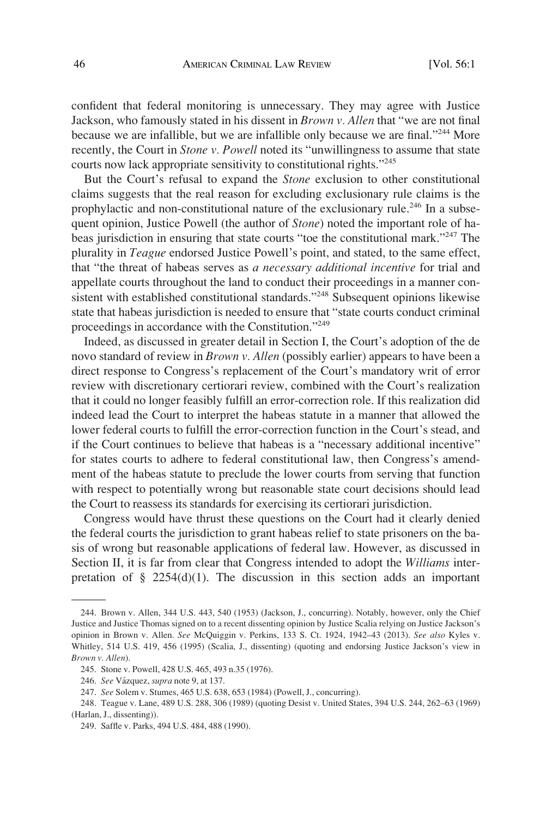confident that federal monitoring is unnecessary. They may agree with Justice Jackson, who famously stated in his dissent in *Brown v. Allen* that "we are not final because we are infallible, but we are infallible only because we are final."<sup>244</sup> More recently, the Court in *Stone v. Powell* noted its "unwillingness to assume that state courts now lack appropriate sensitivity to constitutional rights."245

But the Court's refusal to expand the *Stone* exclusion to other constitutional claims suggests that the real reason for excluding exclusionary rule claims is the prophylactic and non-constitutional nature of the exclusionary rule.<sup>246</sup> In a subsequent opinion, Justice Powell (the author of *Stone*) noted the important role of habeas jurisdiction in ensuring that state courts "toe the constitutional mark."247 The plurality in *Teague* endorsed Justice Powell's point, and stated, to the same effect, that "the threat of habeas serves as *a necessary additional incentive* for trial and appellate courts throughout the land to conduct their proceedings in a manner consistent with established constitutional standards."<sup>248</sup> Subsequent opinions likewise state that habeas jurisdiction is needed to ensure that "state courts conduct criminal proceedings in accordance with the Constitution."249

Indeed, as discussed in greater detail in Section I, the Court's adoption of the de novo standard of review in *Brown v. Allen* (possibly earlier) appears to have been a direct response to Congress's replacement of the Court's mandatory writ of error review with discretionary certiorari review, combined with the Court's realization that it could no longer feasibly fulfill an error-correction role. If this realization did indeed lead the Court to interpret the habeas statute in a manner that allowed the lower federal courts to fulfill the error-correction function in the Court's stead, and if the Court continues to believe that habeas is a "necessary additional incentive" for states courts to adhere to federal constitutional law, then Congress's amendment of the habeas statute to preclude the lower courts from serving that function with respect to potentially wrong but reasonable state court decisions should lead the Court to reassess its standards for exercising its certiorari jurisdiction.

Congress would have thrust these questions on the Court had it clearly denied the federal courts the jurisdiction to grant habeas relief to state prisoners on the basis of wrong but reasonable applications of federal law. However, as discussed in Section II, it is far from clear that Congress intended to adopt the *Williams* interpretation of  $\S$  2254(d)(1). The discussion in this section adds an important

<sup>244.</sup> Brown v. Allen, 344 U.S. 443, 540 (1953) (Jackson, J., concurring). Notably, however, only the Chief Justice and Justice Thomas signed on to a recent dissenting opinion by Justice Scalia relying on Justice Jackson's opinion in Brown v. Allen. *See* McQuiggin v. Perkins, 133 S. Ct. 1924, 1942–43 (2013). *See also* Kyles v. Whitley, 514 U.S. 419, 456 (1995) (Scalia, J., dissenting) (quoting and endorsing Justice Jackson's view in *Brown v. Allen*).

<sup>245.</sup> Stone v. Powell, 428 U.S. 465, 493 n.35 (1976).

<sup>246.</sup> *See* Va´zquez, *supra* note 9, at 137.

<sup>247.</sup> *See* Solem v. Stumes, 465 U.S. 638, 653 (1984) (Powell, J., concurring).

<sup>248.</sup> Teague v. Lane, 489 U.S. 288, 306 (1989) (quoting Desist v. United States, 394 U.S. 244, 262–63 (1969) (Harlan, J., dissenting)).

<sup>249.</sup> Saffle v. Parks, 494 U.S. 484, 488 (1990).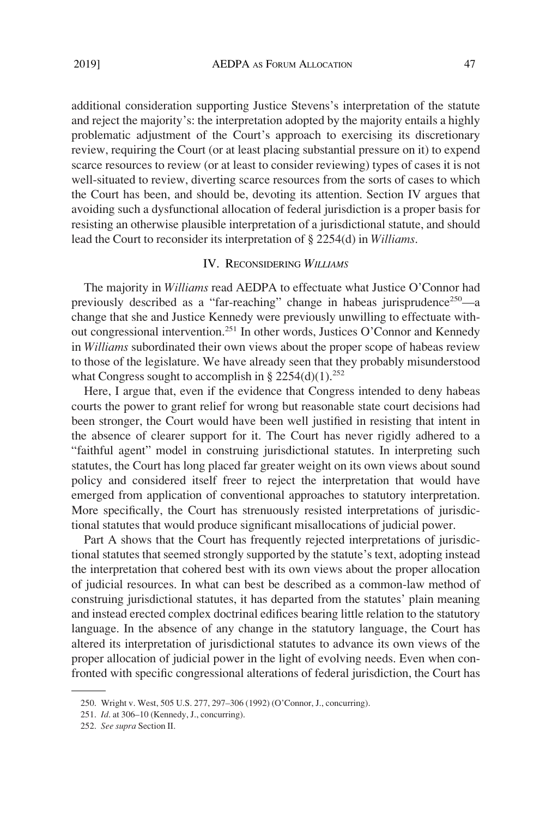additional consideration supporting Justice Stevens's interpretation of the statute and reject the majority's: the interpretation adopted by the majority entails a highly problematic adjustment of the Court's approach to exercising its discretionary review, requiring the Court (or at least placing substantial pressure on it) to expend scarce resources to review (or at least to consider reviewing) types of cases it is not well-situated to review, diverting scarce resources from the sorts of cases to which the Court has been, and should be, devoting its attention. Section IV argues that avoiding such a dysfunctional allocation of federal jurisdiction is a proper basis for resisting an otherwise plausible interpretation of a jurisdictional statute, and should lead the Court to reconsider its interpretation of § 2254(d) in *Williams*.

## IV. RECONSIDERING *WILLIAMS*

The majority in *Williams* read AEDPA to effectuate what Justice O'Connor had previously described as a "far-reaching" change in habeas jurisprudence<sup>250</sup>—a change that she and Justice Kennedy were previously unwilling to effectuate without congressional intervention.<sup>251</sup> In other words, Justices O'Connor and Kennedy in *Williams* subordinated their own views about the proper scope of habeas review to those of the legislature. We have already seen that they probably misunderstood what Congress sought to accomplish in  $\S 2254(d)(1)$ <sup>252</sup>

Here, I argue that, even if the evidence that Congress intended to deny habeas courts the power to grant relief for wrong but reasonable state court decisions had been stronger, the Court would have been well justified in resisting that intent in the absence of clearer support for it. The Court has never rigidly adhered to a "faithful agent" model in construing jurisdictional statutes. In interpreting such statutes, the Court has long placed far greater weight on its own views about sound policy and considered itself freer to reject the interpretation that would have emerged from application of conventional approaches to statutory interpretation. More specifically, the Court has strenuously resisted interpretations of jurisdictional statutes that would produce significant misallocations of judicial power.

Part A shows that the Court has frequently rejected interpretations of jurisdictional statutes that seemed strongly supported by the statute's text, adopting instead the interpretation that cohered best with its own views about the proper allocation of judicial resources. In what can best be described as a common-law method of construing jurisdictional statutes, it has departed from the statutes' plain meaning and instead erected complex doctrinal edifices bearing little relation to the statutory language. In the absence of any change in the statutory language, the Court has altered its interpretation of jurisdictional statutes to advance its own views of the proper allocation of judicial power in the light of evolving needs. Even when confronted with specific congressional alterations of federal jurisdiction, the Court has

<sup>250.</sup> Wright v. West, 505 U.S. 277, 297–306 (1992) (O'Connor, J., concurring).

<sup>251.</sup> *Id*. at 306–10 (Kennedy, J., concurring).

<sup>252.</sup> *See supra* Section II.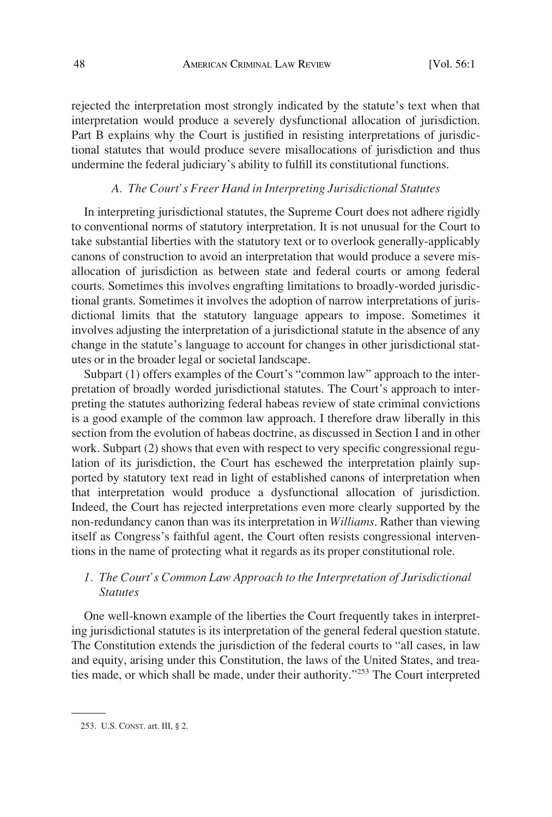rejected the interpretation most strongly indicated by the statute's text when that interpretation would produce a severely dysfunctional allocation of jurisdiction. Part B explains why the Court is justified in resisting interpretations of jurisdictional statutes that would produce severe misallocations of jurisdiction and thus undermine the federal judiciary's ability to fulfill its constitutional functions.

## *A. The Court's Freer Hand in Interpreting Jurisdictional Statutes*

In interpreting jurisdictional statutes, the Supreme Court does not adhere rigidly to conventional norms of statutory interpretation. It is not unusual for the Court to take substantial liberties with the statutory text or to overlook generally-applicably canons of construction to avoid an interpretation that would produce a severe misallocation of jurisdiction as between state and federal courts or among federal courts. Sometimes this involves engrafting limitations to broadly-worded jurisdictional grants. Sometimes it involves the adoption of narrow interpretations of jurisdictional limits that the statutory language appears to impose. Sometimes it involves adjusting the interpretation of a jurisdictional statute in the absence of any change in the statute's language to account for changes in other jurisdictional statutes or in the broader legal or societal landscape.

Subpart (1) offers examples of the Court's "common law" approach to the interpretation of broadly worded jurisdictional statutes. The Court's approach to interpreting the statutes authorizing federal habeas review of state criminal convictions is a good example of the common law approach. I therefore draw liberally in this section from the evolution of habeas doctrine, as discussed in Section I and in other work. Subpart (2) shows that even with respect to very specific congressional regulation of its jurisdiction, the Court has eschewed the interpretation plainly supported by statutory text read in light of established canons of interpretation when that interpretation would produce a dysfunctional allocation of jurisdiction. Indeed, the Court has rejected interpretations even more clearly supported by the non-redundancy canon than was its interpretation in *Williams*. Rather than viewing itself as Congress's faithful agent, the Court often resists congressional interventions in the name of protecting what it regards as its proper constitutional role.

# *1. The Court's Common Law Approach to the Interpretation of Jurisdictional Statutes*

One well-known example of the liberties the Court frequently takes in interpreting jurisdictional statutes is its interpretation of the general federal question statute. The Constitution extends the jurisdiction of the federal courts to "all cases, in law and equity, arising under this Constitution, the laws of the United States, and treaties made, or which shall be made, under their authority."253 The Court interpreted

<sup>253.</sup> U.S. CONST. art. III, § 2.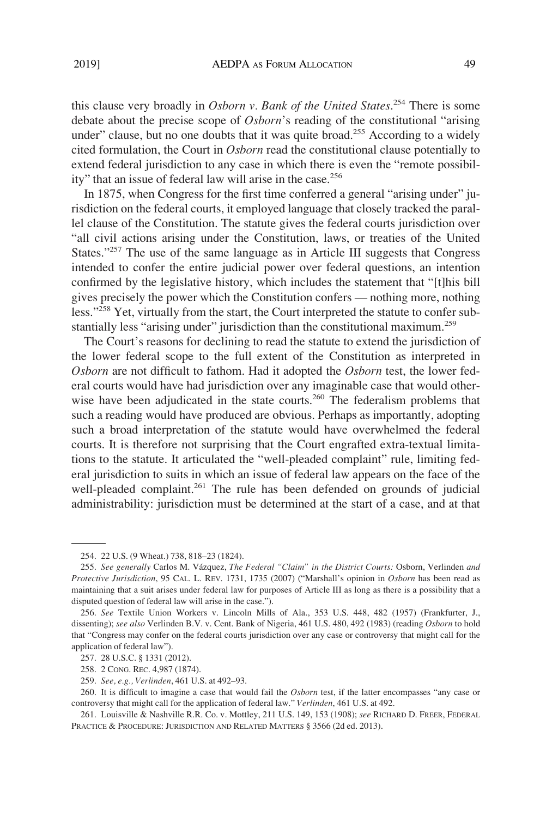this clause very broadly in *Osborn v. Bank of the United States*. 254 There is some debate about the precise scope of *Osborn*'s reading of the constitutional "arising under" clause, but no one doubts that it was quite broad.<sup>255</sup> According to a widely cited formulation, the Court in *Osborn* read the constitutional clause potentially to extend federal jurisdiction to any case in which there is even the "remote possibility" that an issue of federal law will arise in the case.<sup>256</sup>

In 1875, when Congress for the first time conferred a general "arising under" jurisdiction on the federal courts, it employed language that closely tracked the parallel clause of the Constitution. The statute gives the federal courts jurisdiction over "all civil actions arising under the Constitution, laws, or treaties of the United States."<sup>257</sup> The use of the same language as in Article III suggests that Congress intended to confer the entire judicial power over federal questions, an intention confirmed by the legislative history, which includes the statement that "[t]his bill gives precisely the power which the Constitution confers — nothing more, nothing less."<sup>258</sup> Yet, virtually from the start, the Court interpreted the statute to confer substantially less "arising under" jurisdiction than the constitutional maximum.<sup>259</sup>

The Court's reasons for declining to read the statute to extend the jurisdiction of the lower federal scope to the full extent of the Constitution as interpreted in *Osborn* are not difficult to fathom. Had it adopted the *Osborn* test, the lower federal courts would have had jurisdiction over any imaginable case that would otherwise have been adjudicated in the state courts.<sup>260</sup> The federalism problems that such a reading would have produced are obvious. Perhaps as importantly, adopting such a broad interpretation of the statute would have overwhelmed the federal courts. It is therefore not surprising that the Court engrafted extra-textual limitations to the statute. It articulated the "well-pleaded complaint" rule, limiting federal jurisdiction to suits in which an issue of federal law appears on the face of the well-pleaded complaint.<sup>261</sup> The rule has been defended on grounds of judicial administrability: jurisdiction must be determined at the start of a case, and at that

<sup>254. 22</sup> U.S. (9 Wheat.) 738, 818–23 (1824).

<sup>255.</sup> *See generally* Carlos M. Va´zquez, *The Federal "Claim" in the District Courts:* Osborn, Verlinden *and Protective Jurisdiction*, 95 CAL. L. REV. 1731, 1735 (2007) ("Marshall's opinion in *Osborn* has been read as maintaining that a suit arises under federal law for purposes of Article III as long as there is a possibility that a disputed question of federal law will arise in the case.").

<sup>256.</sup> *See* Textile Union Workers v. Lincoln Mills of Ala., 353 U.S. 448, 482 (1957) (Frankfurter, J., dissenting); *see also* Verlinden B.V. v. Cent. Bank of Nigeria, 461 U.S. 480, 492 (1983) (reading *Osborn* to hold that "Congress may confer on the federal courts jurisdiction over any case or controversy that might call for the application of federal law").

<sup>257. 28</sup> U.S.C. § 1331 (2012).

<sup>258. 2</sup> CONG. REC. 4,987 (1874).

<sup>259.</sup> *See, e.g., Verlinden*, 461 U.S. at 492–93.

<sup>260.</sup> It is difficult to imagine a case that would fail the *Osborn* test, if the latter encompasses "any case or controversy that might call for the application of federal law." *Verlinden*, 461 U.S. at 492.

<sup>261.</sup> Louisville & Nashville R.R. Co. v. Mottley, 211 U.S. 149, 153 (1908); *see* RICHARD D. FREER, FEDERAL PRACTICE & PROCEDURE: JURISDICTION AND RELATED MATTERS § 3566 (2d ed. 2013).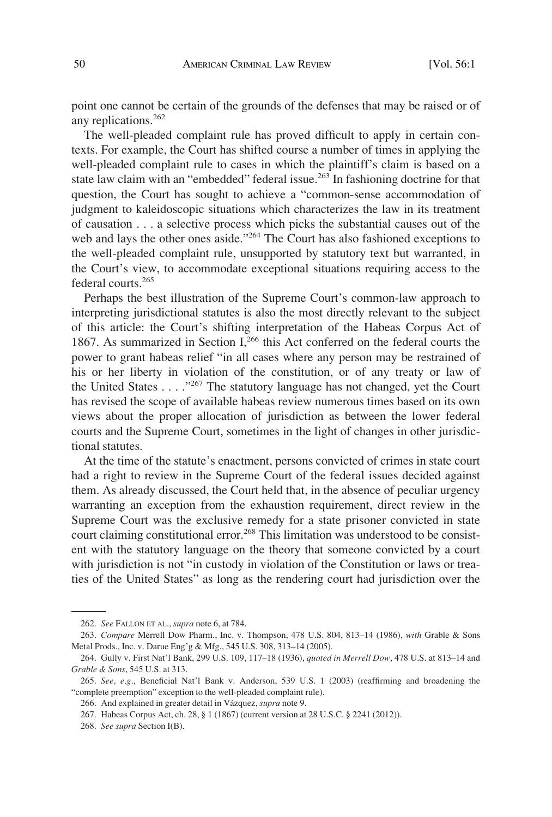point one cannot be certain of the grounds of the defenses that may be raised or of any replications.<sup>262</sup>

The well-pleaded complaint rule has proved difficult to apply in certain contexts. For example, the Court has shifted course a number of times in applying the well-pleaded complaint rule to cases in which the plaintiff's claim is based on a state law claim with an "embedded" federal issue.<sup>263</sup> In fashioning doctrine for that question, the Court has sought to achieve a "common-sense accommodation of judgment to kaleidoscopic situations which characterizes the law in its treatment of causation . . . a selective process which picks the substantial causes out of the web and lays the other ones aside."<sup>264</sup> The Court has also fashioned exceptions to the well-pleaded complaint rule, unsupported by statutory text but warranted, in the Court's view, to accommodate exceptional situations requiring access to the federal courts.<sup>265</sup>

Perhaps the best illustration of the Supreme Court's common-law approach to interpreting jurisdictional statutes is also the most directly relevant to the subject of this article: the Court's shifting interpretation of the Habeas Corpus Act of 1867. As summarized in Section I,<sup>266</sup> this Act conferred on the federal courts the power to grant habeas relief "in all cases where any person may be restrained of his or her liberty in violation of the constitution, or of any treaty or law of the United States . . . ."267 The statutory language has not changed, yet the Court has revised the scope of available habeas review numerous times based on its own views about the proper allocation of jurisdiction as between the lower federal courts and the Supreme Court, sometimes in the light of changes in other jurisdictional statutes.

At the time of the statute's enactment, persons convicted of crimes in state court had a right to review in the Supreme Court of the federal issues decided against them. As already discussed, the Court held that, in the absence of peculiar urgency warranting an exception from the exhaustion requirement, direct review in the Supreme Court was the exclusive remedy for a state prisoner convicted in state court claiming constitutional error.<sup>268</sup> This limitation was understood to be consistent with the statutory language on the theory that someone convicted by a court with jurisdiction is not "in custody in violation of the Constitution or laws or treaties of the United States" as long as the rendering court had jurisdiction over the

<sup>262.</sup> *See* FALLON ET AL., *supra* note 6, at 784.

<sup>263.</sup> *Compare* Merrell Dow Pharm., Inc. v. Thompson, 478 U.S. 804, 813–14 (1986), *with* Grable & Sons Metal Prods., Inc. v. Darue Eng'g & Mfg., 545 U.S. 308, 313–14 (2005).

<sup>264.</sup> Gully v. First Nat'l Bank, 299 U.S. 109, 117–18 (1936), *quoted in Merrell Dow*, 478 U.S. at 813–14 and *Grable & Sons*, 545 U.S. at 313.

<sup>265.</sup> *See, e.g*., Beneficial Nat'l Bank v. Anderson, 539 U.S. 1 (2003) (reaffirming and broadening the "complete preemption" exception to the well-pleaded complaint rule).

<sup>266.</sup> And explained in greater detail in Va´zquez, *supra* note 9.

<sup>267.</sup> Habeas Corpus Act, ch. 28, § 1 (1867) (current version at 28 U.S.C. § 2241 (2012)).

<sup>268.</sup> *See supra* Section I(B).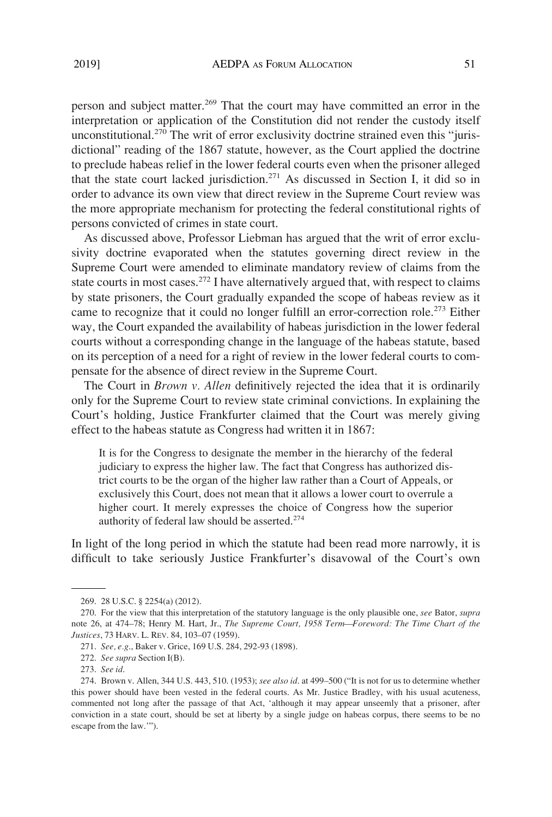person and subject matter.<sup>269</sup> That the court may have committed an error in the interpretation or application of the Constitution did not render the custody itself unconstitutional.<sup>270</sup> The writ of error exclusivity doctrine strained even this "jurisdictional" reading of the 1867 statute, however, as the Court applied the doctrine to preclude habeas relief in the lower federal courts even when the prisoner alleged that the state court lacked jurisdiction.<sup>271</sup> As discussed in Section I, it did so in order to advance its own view that direct review in the Supreme Court review was the more appropriate mechanism for protecting the federal constitutional rights of persons convicted of crimes in state court.

As discussed above, Professor Liebman has argued that the writ of error exclusivity doctrine evaporated when the statutes governing direct review in the Supreme Court were amended to eliminate mandatory review of claims from the state courts in most cases.<sup>272</sup> I have alternatively argued that, with respect to claims by state prisoners, the Court gradually expanded the scope of habeas review as it came to recognize that it could no longer fulfill an error-correction role.<sup>273</sup> Either way, the Court expanded the availability of habeas jurisdiction in the lower federal courts without a corresponding change in the language of the habeas statute, based on its perception of a need for a right of review in the lower federal courts to compensate for the absence of direct review in the Supreme Court.

The Court in *Brown v. Allen* definitively rejected the idea that it is ordinarily only for the Supreme Court to review state criminal convictions. In explaining the Court's holding, Justice Frankfurter claimed that the Court was merely giving effect to the habeas statute as Congress had written it in 1867:

It is for the Congress to designate the member in the hierarchy of the federal judiciary to express the higher law. The fact that Congress has authorized district courts to be the organ of the higher law rather than a Court of Appeals, or exclusively this Court, does not mean that it allows a lower court to overrule a higher court. It merely expresses the choice of Congress how the superior authority of federal law should be asserted.<sup>274</sup>

In light of the long period in which the statute had been read more narrowly, it is difficult to take seriously Justice Frankfurter's disavowal of the Court's own

<sup>269. 28</sup> U.S.C. § 2254(a) (2012).

<sup>270.</sup> For the view that this interpretation of the statutory language is the only plausible one, *see* Bator, *supra*  note 26, at 474–78; Henry M. Hart, Jr., *The Supreme Court, 1958 Term—Foreword: The Time Chart of the Justices*, 73 HARV. L. REV. 84, 103–07 (1959).

<sup>271.</sup> *See, e.g*., Baker v. Grice, 169 U.S. 284, 292-93 (1898).

<sup>272.</sup> *See supra* Section I(B).

<sup>273.</sup> *See id*.

<sup>274.</sup> Brown v. Allen, 344 U.S. 443, 510. (1953); *see also id*. at 499–500 ("It is not for us to determine whether this power should have been vested in the federal courts. As Mr. Justice Bradley, with his usual acuteness, commented not long after the passage of that Act, 'although it may appear unseemly that a prisoner, after conviction in a state court, should be set at liberty by a single judge on habeas corpus, there seems to be no escape from the law.'").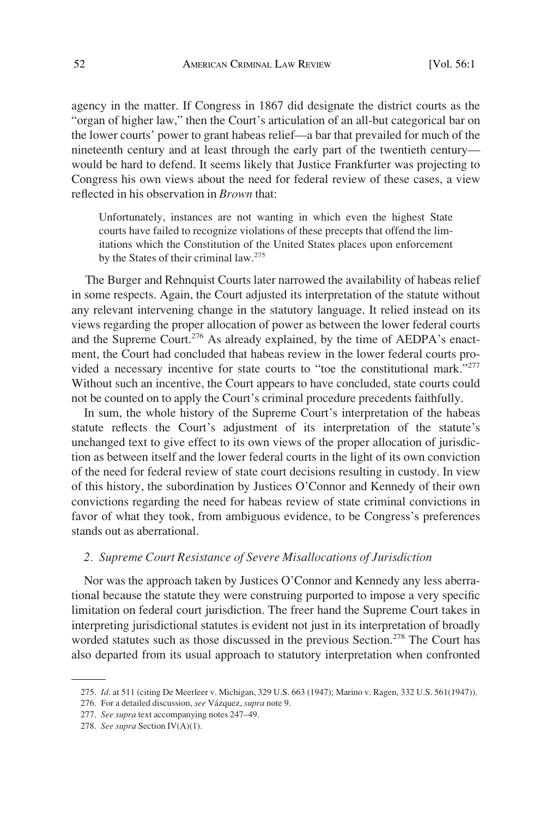agency in the matter. If Congress in 1867 did designate the district courts as the "organ of higher law," then the Court's articulation of an all-but categorical bar on the lower courts' power to grant habeas relief—a bar that prevailed for much of the nineteenth century and at least through the early part of the twentieth century would be hard to defend. It seems likely that Justice Frankfurter was projecting to Congress his own views about the need for federal review of these cases, a view reflected in his observation in *Brown* that:

Unfortunately, instances are not wanting in which even the highest State courts have failed to recognize violations of these precepts that offend the limitations which the Constitution of the United States places upon enforcement by the States of their criminal law.<sup>275</sup>

The Burger and Rehnquist Courts later narrowed the availability of habeas relief in some respects. Again, the Court adjusted its interpretation of the statute without any relevant intervening change in the statutory language. It relied instead on its views regarding the proper allocation of power as between the lower federal courts and the Supreme Court.<sup>276</sup> As already explained, by the time of AEDPA's enactment, the Court had concluded that habeas review in the lower federal courts provided a necessary incentive for state courts to "toe the constitutional mark."<sup>277</sup> Without such an incentive, the Court appears to have concluded, state courts could not be counted on to apply the Court's criminal procedure precedents faithfully.

In sum, the whole history of the Supreme Court's interpretation of the habeas statute reflects the Court's adjustment of its interpretation of the statute's unchanged text to give effect to its own views of the proper allocation of jurisdiction as between itself and the lower federal courts in the light of its own conviction of the need for federal review of state court decisions resulting in custody. In view of this history, the subordination by Justices O'Connor and Kennedy of their own convictions regarding the need for habeas review of state criminal convictions in favor of what they took, from ambiguous evidence, to be Congress's preferences stands out as aberrational.

## *2. Supreme Court Resistance of Severe Misallocations of Jurisdiction*

Nor was the approach taken by Justices O'Connor and Kennedy any less aberrational because the statute they were construing purported to impose a very specific limitation on federal court jurisdiction. The freer hand the Supreme Court takes in interpreting jurisdictional statutes is evident not just in its interpretation of broadly worded statutes such as those discussed in the previous Section.<sup>278</sup> The Court has also departed from its usual approach to statutory interpretation when confronted

<sup>275.</sup> *Id*. at 511 (citing De Meerleer v. Michigan, 329 U.S. 663 (1947); Marino v. Ragen, 332 U.S. 561(1947)).

<sup>276.</sup> For a detailed discussion, *see* Va´zquez, *supra* note 9.

<sup>277.</sup> *See supra* text accompanying notes 247–49.

<sup>278.</sup> *See supra* Section IV(A)(1).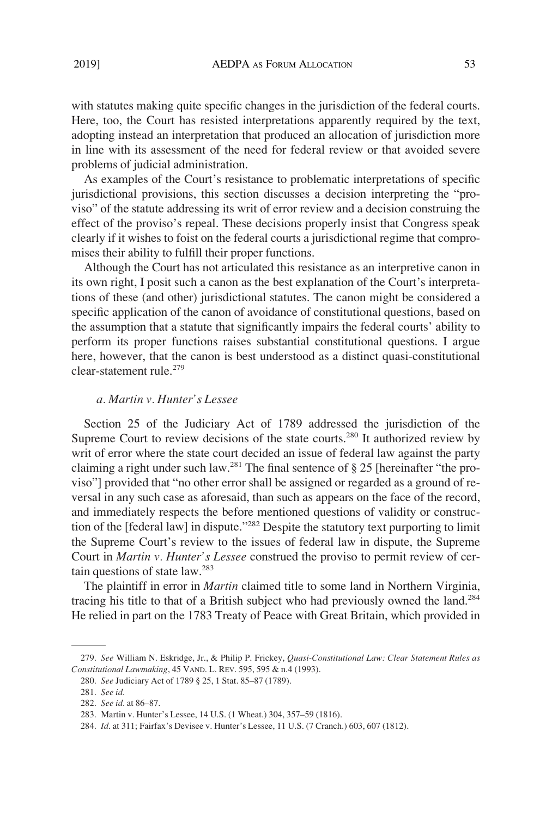with statutes making quite specific changes in the jurisdiction of the federal courts. Here, too, the Court has resisted interpretations apparently required by the text, adopting instead an interpretation that produced an allocation of jurisdiction more in line with its assessment of the need for federal review or that avoided severe problems of judicial administration.

As examples of the Court's resistance to problematic interpretations of specific jurisdictional provisions, this section discusses a decision interpreting the "proviso" of the statute addressing its writ of error review and a decision construing the effect of the proviso's repeal. These decisions properly insist that Congress speak clearly if it wishes to foist on the federal courts a jurisdictional regime that compromises their ability to fulfill their proper functions.

Although the Court has not articulated this resistance as an interpretive canon in its own right, I posit such a canon as the best explanation of the Court's interpretations of these (and other) jurisdictional statutes. The canon might be considered a specific application of the canon of avoidance of constitutional questions, based on the assumption that a statute that significantly impairs the federal courts' ability to perform its proper functions raises substantial constitutional questions. I argue here, however, that the canon is best understood as a distinct quasi-constitutional clear-statement rule.279

#### *a. Martin v. Hunter's Lessee*

Section 25 of the Judiciary Act of 1789 addressed the jurisdiction of the Supreme Court to review decisions of the state courts.<sup>280</sup> It authorized review by writ of error where the state court decided an issue of federal law against the party claiming a right under such law.281 The final sentence of § 25 [hereinafter "the proviso"] provided that "no other error shall be assigned or regarded as a ground of reversal in any such case as aforesaid, than such as appears on the face of the record, and immediately respects the before mentioned questions of validity or construction of the [federal law] in dispute."282 Despite the statutory text purporting to limit the Supreme Court's review to the issues of federal law in dispute, the Supreme Court in *Martin v. Hunter's Lessee* construed the proviso to permit review of certain questions of state law.283

The plaintiff in error in *Martin* claimed title to some land in Northern Virginia, tracing his title to that of a British subject who had previously owned the land.284 He relied in part on the 1783 Treaty of Peace with Great Britain, which provided in

<sup>279.</sup> *See* William N. Eskridge, Jr., & Philip P. Frickey, *Quasi-Constitutional Law: Clear Statement Rules as Constitutional Lawmaking*, 45 VAND. L. REV. 595, 595 & n.4 (1993).

<sup>280.</sup> *See* Judiciary Act of 1789 § 25, 1 Stat. 85–87 (1789).

<sup>281.</sup> *See id*.

<sup>282.</sup> *See id*. at 86–87.

<sup>283.</sup> Martin v. Hunter's Lessee, 14 U.S. (1 Wheat.) 304, 357–59 (1816).

<sup>284.</sup> *Id*. at 311; Fairfax's Devisee v. Hunter's Lessee, 11 U.S. (7 Cranch.) 603, 607 (1812).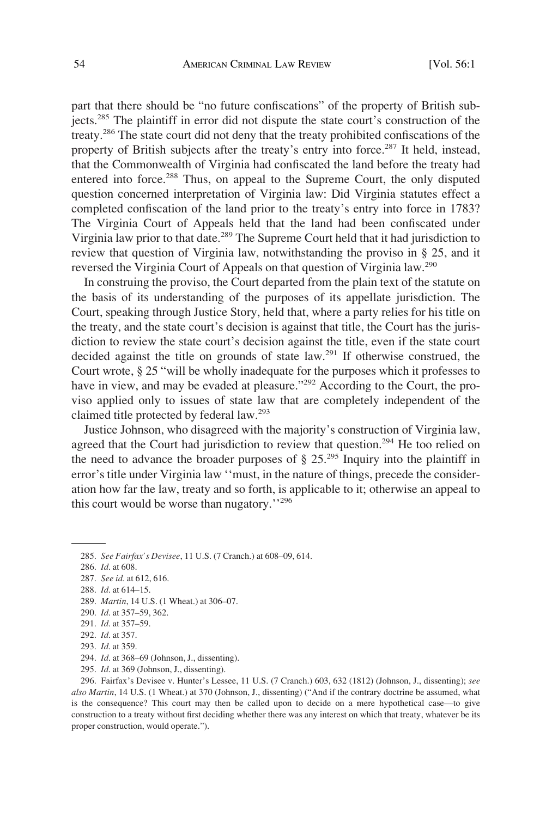part that there should be "no future confiscations" of the property of British subjects.285 The plaintiff in error did not dispute the state court's construction of the treaty.286 The state court did not deny that the treaty prohibited confiscations of the property of British subjects after the treaty's entry into force.<sup>287</sup> It held, instead, that the Commonwealth of Virginia had confiscated the land before the treaty had entered into force.<sup>288</sup> Thus, on appeal to the Supreme Court, the only disputed question concerned interpretation of Virginia law: Did Virginia statutes effect a completed confiscation of the land prior to the treaty's entry into force in 1783? The Virginia Court of Appeals held that the land had been confiscated under Virginia law prior to that date.<sup>289</sup> The Supreme Court held that it had jurisdiction to review that question of Virginia law, notwithstanding the proviso in § 25, and it reversed the Virginia Court of Appeals on that question of Virginia law.<sup>290</sup>

In construing the proviso, the Court departed from the plain text of the statute on the basis of its understanding of the purposes of its appellate jurisdiction. The Court, speaking through Justice Story, held that, where a party relies for his title on the treaty, and the state court's decision is against that title, the Court has the jurisdiction to review the state court's decision against the title, even if the state court decided against the title on grounds of state law.<sup>291</sup> If otherwise construed, the Court wrote, § 25 "will be wholly inadequate for the purposes which it professes to have in view, and may be evaded at pleasure."<sup>292</sup> According to the Court, the proviso applied only to issues of state law that are completely independent of the claimed title protected by federal law.293

Justice Johnson, who disagreed with the majority's construction of Virginia law, agreed that the Court had jurisdiction to review that question.<sup>294</sup> He too relied on the need to advance the broader purposes of  $\S 25.^{295}$  Inquiry into the plaintiff in error's title under Virginia law ''must, in the nature of things, precede the consideration how far the law, treaty and so forth, is applicable to it; otherwise an appeal to this court would be worse than nugatory.''296

288. *Id*. at 614–15.

295. *Id*. at 369 (Johnson, J., dissenting).

296. Fairfax's Devisee v. Hunter's Lessee, 11 U.S. (7 Cranch.) 603, 632 (1812) (Johnson, J., dissenting); *see also Martin*, 14 U.S. (1 Wheat.) at 370 (Johnson, J., dissenting) ("And if the contrary doctrine be assumed, what is the consequence? This court may then be called upon to decide on a mere hypothetical case—to give construction to a treaty without first deciding whether there was any interest on which that treaty, whatever be its proper construction, would operate.").

<sup>285.</sup> *See Fairfax's Devisee*, 11 U.S. (7 Cranch.) at 608–09, 614.

<sup>286.</sup> *Id*. at 608.

<sup>287.</sup> *See id*. at 612, 616.

<sup>289.</sup> *Martin*, 14 U.S. (1 Wheat.) at 306–07.

<sup>290.</sup> *Id*. at 357–59, 362.

<sup>291.</sup> *Id*. at 357–59.

<sup>292.</sup> *Id*. at 357.

<sup>293.</sup> *Id*. at 359.

<sup>294.</sup> *Id*. at 368–69 (Johnson, J., dissenting).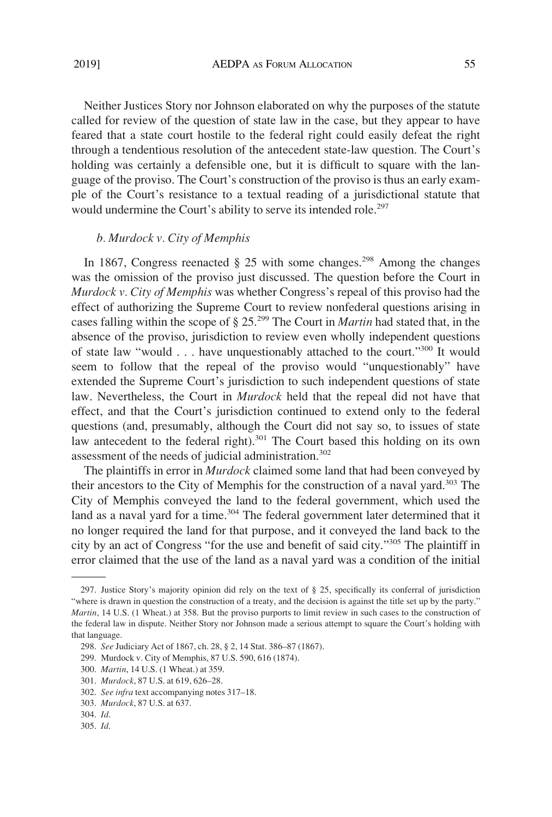Neither Justices Story nor Johnson elaborated on why the purposes of the statute called for review of the question of state law in the case, but they appear to have feared that a state court hostile to the federal right could easily defeat the right through a tendentious resolution of the antecedent state-law question. The Court's holding was certainly a defensible one, but it is difficult to square with the language of the proviso. The Court's construction of the proviso is thus an early example of the Court's resistance to a textual reading of a jurisdictional statute that would undermine the Court's ability to serve its intended role.<sup>297</sup>

## *b. Murdock v. City of Memphis*

In 1867, Congress reenacted  $\S$  25 with some changes.<sup>298</sup> Among the changes was the omission of the proviso just discussed. The question before the Court in *Murdock v. City of Memphis* was whether Congress's repeal of this proviso had the effect of authorizing the Supreme Court to review nonfederal questions arising in cases falling within the scope of § 25.299 The Court in *Martin* had stated that, in the absence of the proviso, jurisdiction to review even wholly independent questions of state law "would . . . have unquestionably attached to the court."300 It would seem to follow that the repeal of the proviso would "unquestionably" have extended the Supreme Court's jurisdiction to such independent questions of state law. Nevertheless, the Court in *Murdock* held that the repeal did not have that effect, and that the Court's jurisdiction continued to extend only to the federal questions (and, presumably, although the Court did not say so, to issues of state law antecedent to the federal right).<sup>301</sup> The Court based this holding on its own assessment of the needs of judicial administration.<sup>302</sup>

The plaintiffs in error in *Murdock* claimed some land that had been conveyed by their ancestors to the City of Memphis for the construction of a naval yard.303 The City of Memphis conveyed the land to the federal government, which used the land as a naval yard for a time.<sup>304</sup> The federal government later determined that it no longer required the land for that purpose, and it conveyed the land back to the city by an act of Congress "for the use and benefit of said city."305 The plaintiff in error claimed that the use of the land as a naval yard was a condition of the initial

<sup>297.</sup> Justice Story's majority opinion did rely on the text of § 25, specifically its conferral of jurisdiction "where is drawn in question the construction of a treaty, and the decision is against the title set up by the party." *Martin*, 14 U.S. (1 Wheat.) at 358. But the proviso purports to limit review in such cases to the construction of the federal law in dispute. Neither Story nor Johnson made a serious attempt to square the Court's holding with that language.

<sup>298.</sup> *See* Judiciary Act of 1867, ch. 28, § 2, 14 Stat. 386–87 (1867).

<sup>299.</sup> Murdock v. City of Memphis, 87 U.S. 590, 616 (1874).

<sup>300.</sup> *Martin*, 14 U.S. (1 Wheat.) at 359.

<sup>301.</sup> *Murdock*, 87 U.S. at 619, 626–28.

<sup>302.</sup> *See infra* text accompanying notes 317–18.

<sup>303.</sup> *Murdock*, 87 U.S. at 637.

<sup>304.</sup> *Id*.

<sup>305.</sup> *Id*.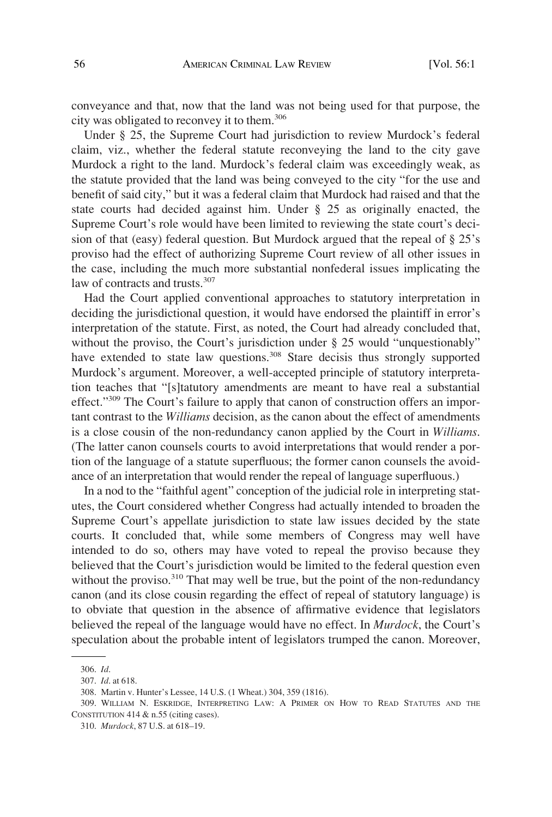conveyance and that, now that the land was not being used for that purpose, the city was obligated to reconvey it to them.306

Under § 25, the Supreme Court had jurisdiction to review Murdock's federal claim, viz., whether the federal statute reconveying the land to the city gave Murdock a right to the land. Murdock's federal claim was exceedingly weak, as the statute provided that the land was being conveyed to the city "for the use and benefit of said city," but it was a federal claim that Murdock had raised and that the state courts had decided against him. Under § 25 as originally enacted, the Supreme Court's role would have been limited to reviewing the state court's decision of that (easy) federal question. But Murdock argued that the repeal of § 25's proviso had the effect of authorizing Supreme Court review of all other issues in the case, including the much more substantial nonfederal issues implicating the law of contracts and trusts.<sup>307</sup>

Had the Court applied conventional approaches to statutory interpretation in deciding the jurisdictional question, it would have endorsed the plaintiff in error's interpretation of the statute. First, as noted, the Court had already concluded that, without the proviso, the Court's jurisdiction under § 25 would "unquestionably" have extended to state law questions.<sup>308</sup> Stare decisis thus strongly supported Murdock's argument. Moreover, a well-accepted principle of statutory interpretation teaches that "[s]tatutory amendments are meant to have real a substantial effect."<sup>309</sup> The Court's failure to apply that canon of construction offers an important contrast to the *Williams* decision, as the canon about the effect of amendments is a close cousin of the non-redundancy canon applied by the Court in *Williams*. (The latter canon counsels courts to avoid interpretations that would render a portion of the language of a statute superfluous; the former canon counsels the avoidance of an interpretation that would render the repeal of language superfluous.)

In a nod to the "faithful agent" conception of the judicial role in interpreting statutes, the Court considered whether Congress had actually intended to broaden the Supreme Court's appellate jurisdiction to state law issues decided by the state courts. It concluded that, while some members of Congress may well have intended to do so, others may have voted to repeal the proviso because they believed that the Court's jurisdiction would be limited to the federal question even without the proviso.<sup>310</sup> That may well be true, but the point of the non-redundancy canon (and its close cousin regarding the effect of repeal of statutory language) is to obviate that question in the absence of affirmative evidence that legislators believed the repeal of the language would have no effect. In *Murdock*, the Court's speculation about the probable intent of legislators trumped the canon. Moreover,

<sup>306.</sup> *Id*.

<sup>307.</sup> *Id*. at 618.

<sup>308.</sup> Martin v. Hunter's Lessee, 14 U.S. (1 Wheat.) 304, 359 (1816).

<sup>309.</sup> WILLIAM N. ESKRIDGE, INTERPRETING LAW: A PRIMER ON HOW TO READ STATUTES AND THE CONSTITUTION 414 & n.55 (citing cases).

<sup>310.</sup> *Murdock*, 87 U.S. at 618–19.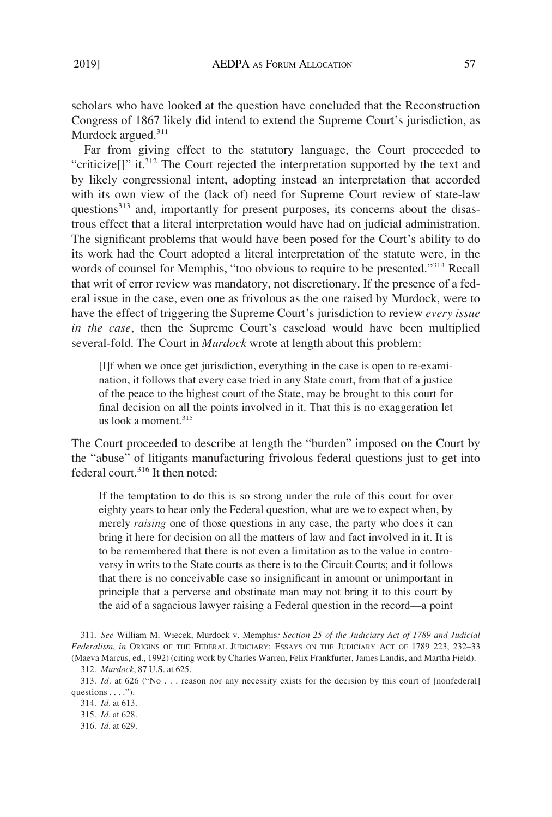scholars who have looked at the question have concluded that the Reconstruction Congress of 1867 likely did intend to extend the Supreme Court's jurisdiction, as Murdock argued.<sup>311</sup>

Far from giving effect to the statutory language, the Court proceeded to "criticize<sup>[]"</sup> it.<sup>312</sup> The Court rejected the interpretation supported by the text and by likely congressional intent, adopting instead an interpretation that accorded with its own view of the (lack of) need for Supreme Court review of state-law questions<sup>313</sup> and, importantly for present purposes, its concerns about the disastrous effect that a literal interpretation would have had on judicial administration. The significant problems that would have been posed for the Court's ability to do its work had the Court adopted a literal interpretation of the statute were, in the words of counsel for Memphis, "too obvious to require to be presented."314 Recall that writ of error review was mandatory, not discretionary. If the presence of a federal issue in the case, even one as frivolous as the one raised by Murdock, were to have the effect of triggering the Supreme Court's jurisdiction to review *every issue in the case*, then the Supreme Court's caseload would have been multiplied several-fold. The Court in *Murdock* wrote at length about this problem:

[I]f when we once get jurisdiction, everything in the case is open to re-examination, it follows that every case tried in any State court, from that of a justice of the peace to the highest court of the State, may be brought to this court for final decision on all the points involved in it. That this is no exaggeration let us look a moment. $315$ 

The Court proceeded to describe at length the "burden" imposed on the Court by the "abuse" of litigants manufacturing frivolous federal questions just to get into federal court.316 It then noted:

If the temptation to do this is so strong under the rule of this court for over eighty years to hear only the Federal question, what are we to expect when, by merely *raising* one of those questions in any case, the party who does it can bring it here for decision on all the matters of law and fact involved in it. It is to be remembered that there is not even a limitation as to the value in controversy in writs to the State courts as there is to the Circuit Courts; and it follows that there is no conceivable case so insignificant in amount or unimportant in principle that a perverse and obstinate man may not bring it to this court by the aid of a sagacious lawyer raising a Federal question in the record—a point

<sup>311.</sup> *See* William M. Wiecek, Murdock v. Memphis*: Section 25 of the Judiciary Act of 1789 and Judicial Federalism*, *in* ORIGINS OF THE FEDERAL JUDICIARY: ESSAYS ON THE JUDICIARY ACT OF 1789 223, 232–33 (Maeva Marcus, ed., 1992) (citing work by Charles Warren, Felix Frankfurter, James Landis, and Martha Field).

<sup>312.</sup> *Murdock*, 87 U.S. at 625.

<sup>313.</sup> *Id*. at 626 ("No . . . reason nor any necessity exists for the decision by this court of [nonfederal] questions . . . .").

<sup>314.</sup> *Id*. at 613.

<sup>315.</sup> *Id*. at 628.

<sup>316.</sup> *Id*. at 629.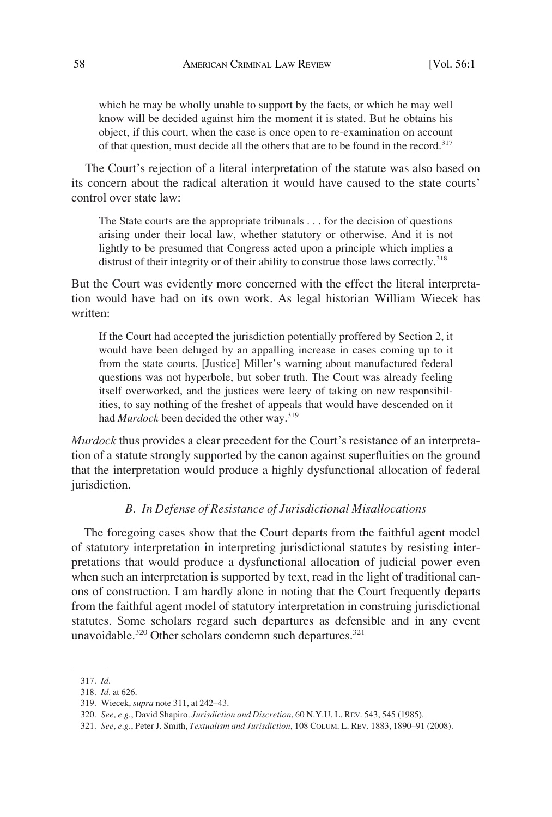which he may be wholly unable to support by the facts, or which he may well know will be decided against him the moment it is stated. But he obtains his object, if this court, when the case is once open to re-examination on account of that question, must decide all the others that are to be found in the record.<sup>317</sup>

The Court's rejection of a literal interpretation of the statute was also based on its concern about the radical alteration it would have caused to the state courts' control over state law:

The State courts are the appropriate tribunals . . . for the decision of questions arising under their local law, whether statutory or otherwise. And it is not lightly to be presumed that Congress acted upon a principle which implies a distrust of their integrity or of their ability to construe those laws correctly.<sup>318</sup>

But the Court was evidently more concerned with the effect the literal interpretation would have had on its own work. As legal historian William Wiecek has written:

If the Court had accepted the jurisdiction potentially proffered by Section 2, it would have been deluged by an appalling increase in cases coming up to it from the state courts. [Justice] Miller's warning about manufactured federal questions was not hyperbole, but sober truth. The Court was already feeling itself overworked, and the justices were leery of taking on new responsibilities, to say nothing of the freshet of appeals that would have descended on it had *Murdock* been decided the other way.<sup>319</sup>

*Murdock* thus provides a clear precedent for the Court's resistance of an interpretation of a statute strongly supported by the canon against superfluities on the ground that the interpretation would produce a highly dysfunctional allocation of federal jurisdiction.

## *B. In Defense of Resistance of Jurisdictional Misallocations*

The foregoing cases show that the Court departs from the faithful agent model of statutory interpretation in interpreting jurisdictional statutes by resisting interpretations that would produce a dysfunctional allocation of judicial power even when such an interpretation is supported by text, read in the light of traditional canons of construction. I am hardly alone in noting that the Court frequently departs from the faithful agent model of statutory interpretation in construing jurisdictional statutes. Some scholars regard such departures as defensible and in any event unavoidable.<sup>320</sup> Other scholars condemn such departures.<sup>321</sup>

<sup>317.</sup> *Id*.

<sup>318.</sup> *Id*. at 626.

<sup>319.</sup> Wiecek, *supra* note 311, at 242–43.

<sup>320.</sup> *See, e.g*., David Shapiro*, Jurisdiction and Discretion*, 60 N.Y.U. L. REV. 543, 545 (1985).

<sup>321.</sup> *See, e.g*., Peter J. Smith, *Textualism and Jurisdiction*, 108 COLUM. L. REV. 1883, 1890–91 (2008).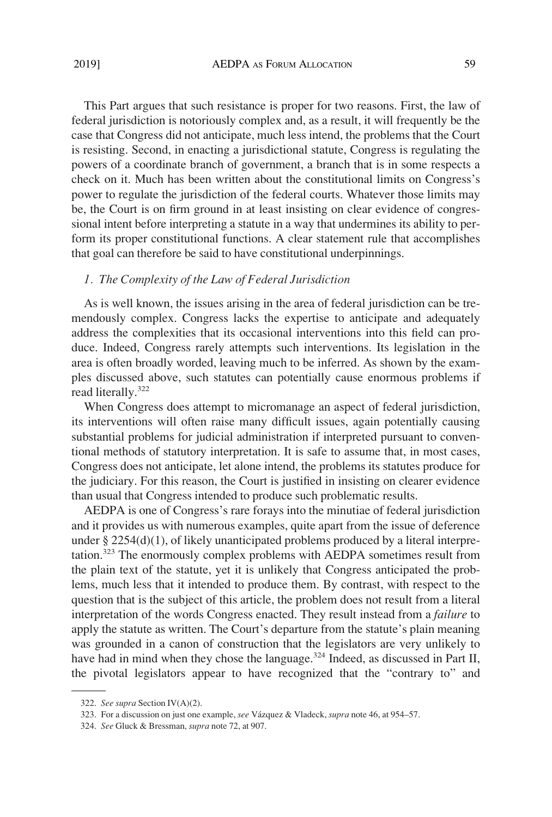This Part argues that such resistance is proper for two reasons. First, the law of federal jurisdiction is notoriously complex and, as a result, it will frequently be the case that Congress did not anticipate, much less intend, the problems that the Court is resisting. Second, in enacting a jurisdictional statute, Congress is regulating the powers of a coordinate branch of government, a branch that is in some respects a check on it. Much has been written about the constitutional limits on Congress's power to regulate the jurisdiction of the federal courts. Whatever those limits may be, the Court is on firm ground in at least insisting on clear evidence of congressional intent before interpreting a statute in a way that undermines its ability to perform its proper constitutional functions. A clear statement rule that accomplishes that goal can therefore be said to have constitutional underpinnings.

## *1. The Complexity of the Law of Federal Jurisdiction*

As is well known, the issues arising in the area of federal jurisdiction can be tremendously complex. Congress lacks the expertise to anticipate and adequately address the complexities that its occasional interventions into this field can produce. Indeed, Congress rarely attempts such interventions. Its legislation in the area is often broadly worded, leaving much to be inferred. As shown by the examples discussed above, such statutes can potentially cause enormous problems if read literally.<sup>322</sup>

When Congress does attempt to micromanage an aspect of federal jurisdiction, its interventions will often raise many difficult issues, again potentially causing substantial problems for judicial administration if interpreted pursuant to conventional methods of statutory interpretation. It is safe to assume that, in most cases, Congress does not anticipate, let alone intend, the problems its statutes produce for the judiciary. For this reason, the Court is justified in insisting on clearer evidence than usual that Congress intended to produce such problematic results.

AEDPA is one of Congress's rare forays into the minutiae of federal jurisdiction and it provides us with numerous examples, quite apart from the issue of deference under  $\S 2254(d)(1)$ , of likely unanticipated problems produced by a literal interpretation.323 The enormously complex problems with AEDPA sometimes result from the plain text of the statute, yet it is unlikely that Congress anticipated the problems, much less that it intended to produce them. By contrast, with respect to the question that is the subject of this article, the problem does not result from a literal interpretation of the words Congress enacted. They result instead from a *failure* to apply the statute as written. The Court's departure from the statute's plain meaning was grounded in a canon of construction that the legislators are very unlikely to have had in mind when they chose the language.<sup>324</sup> Indeed, as discussed in Part II, the pivotal legislators appear to have recognized that the "contrary to" and

<sup>322.</sup> *See supra* Section IV(A)(2).

<sup>323.</sup> For a discussion on just one example, *see* Va´zquez & Vladeck, *supra* note 46, at 954–57.

<sup>324.</sup> *See* Gluck & Bressman, *supra* note 72, at 907.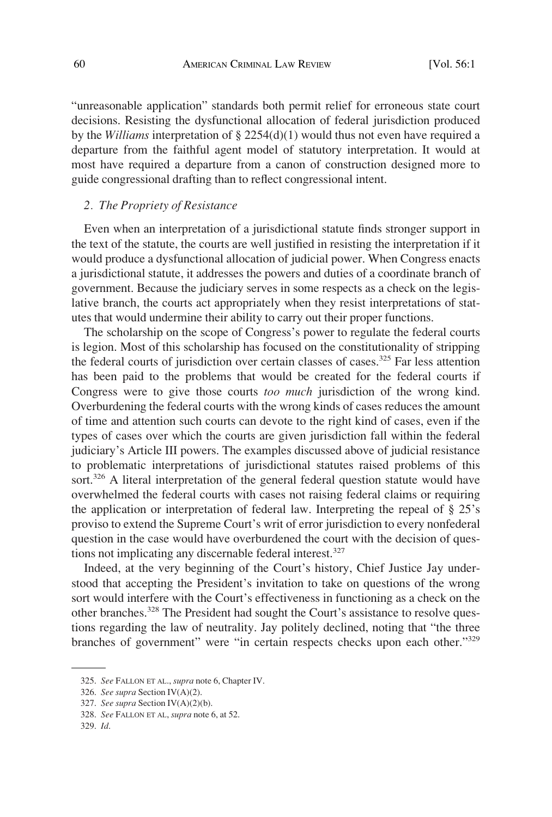"unreasonable application" standards both permit relief for erroneous state court decisions. Resisting the dysfunctional allocation of federal jurisdiction produced by the *Williams* interpretation of § 2254(d)(1) would thus not even have required a departure from the faithful agent model of statutory interpretation. It would at most have required a departure from a canon of construction designed more to guide congressional drafting than to reflect congressional intent.

#### *2. The Propriety of Resistance*

Even when an interpretation of a jurisdictional statute finds stronger support in the text of the statute, the courts are well justified in resisting the interpretation if it would produce a dysfunctional allocation of judicial power. When Congress enacts a jurisdictional statute, it addresses the powers and duties of a coordinate branch of government. Because the judiciary serves in some respects as a check on the legislative branch, the courts act appropriately when they resist interpretations of statutes that would undermine their ability to carry out their proper functions.

The scholarship on the scope of Congress's power to regulate the federal courts is legion. Most of this scholarship has focused on the constitutionality of stripping the federal courts of jurisdiction over certain classes of cases.<sup>325</sup> Far less attention has been paid to the problems that would be created for the federal courts if Congress were to give those courts *too much* jurisdiction of the wrong kind. Overburdening the federal courts with the wrong kinds of cases reduces the amount of time and attention such courts can devote to the right kind of cases, even if the types of cases over which the courts are given jurisdiction fall within the federal judiciary's Article III powers. The examples discussed above of judicial resistance to problematic interpretations of jurisdictional statutes raised problems of this sort.<sup>326</sup> A literal interpretation of the general federal question statute would have overwhelmed the federal courts with cases not raising federal claims or requiring the application or interpretation of federal law. Interpreting the repeal of § 25's proviso to extend the Supreme Court's writ of error jurisdiction to every nonfederal question in the case would have overburdened the court with the decision of questions not implicating any discernable federal interest.<sup>327</sup>

Indeed, at the very beginning of the Court's history, Chief Justice Jay understood that accepting the President's invitation to take on questions of the wrong sort would interfere with the Court's effectiveness in functioning as a check on the other branches.<sup>328</sup> The President had sought the Court's assistance to resolve questions regarding the law of neutrality. Jay politely declined, noting that "the three branches of government" were "in certain respects checks upon each other."<sup>329</sup>

<sup>325.</sup> *See* FALLON ET AL., *supra* note 6, Chapter IV.

<sup>326.</sup> *See supra* Section IV(A)(2).

<sup>327.</sup> *See supra* Section IV(A)(2)(b).

<sup>328.</sup> *See* FALLON ET AL, *supra* note 6, at 52.

<sup>329.</sup> *Id*.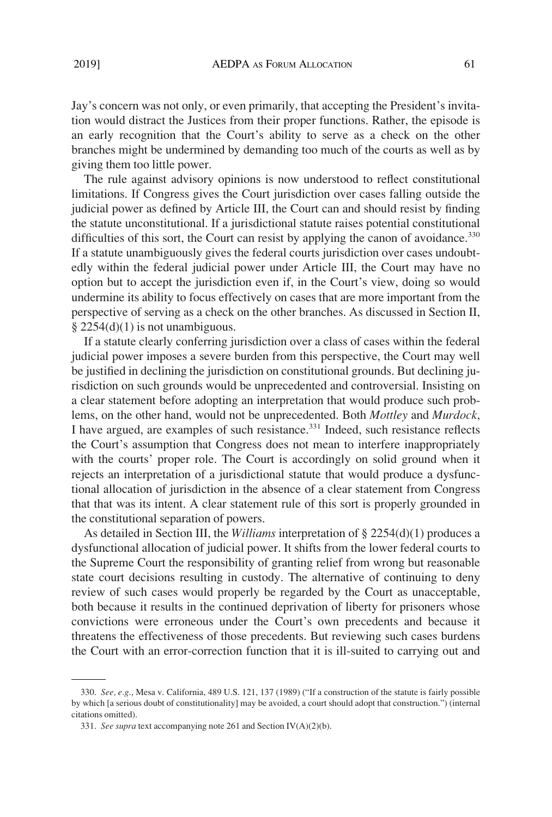Jay's concern was not only, or even primarily, that accepting the President's invitation would distract the Justices from their proper functions. Rather, the episode is an early recognition that the Court's ability to serve as a check on the other branches might be undermined by demanding too much of the courts as well as by giving them too little power.

The rule against advisory opinions is now understood to reflect constitutional limitations. If Congress gives the Court jurisdiction over cases falling outside the judicial power as defined by Article III, the Court can and should resist by finding the statute unconstitutional. If a jurisdictional statute raises potential constitutional difficulties of this sort, the Court can resist by applying the canon of avoidance.<sup>330</sup> If a statute unambiguously gives the federal courts jurisdiction over cases undoubtedly within the federal judicial power under Article III, the Court may have no option but to accept the jurisdiction even if, in the Court's view, doing so would undermine its ability to focus effectively on cases that are more important from the perspective of serving as a check on the other branches. As discussed in Section II,  $\S 2254(d)(1)$  is not unambiguous.

If a statute clearly conferring jurisdiction over a class of cases within the federal judicial power imposes a severe burden from this perspective, the Court may well be justified in declining the jurisdiction on constitutional grounds. But declining jurisdiction on such grounds would be unprecedented and controversial. Insisting on a clear statement before adopting an interpretation that would produce such problems, on the other hand, would not be unprecedented. Both *Mottley* and *Murdock*, I have argued, are examples of such resistance.<sup>331</sup> Indeed, such resistance reflects the Court's assumption that Congress does not mean to interfere inappropriately with the courts' proper role. The Court is accordingly on solid ground when it rejects an interpretation of a jurisdictional statute that would produce a dysfunctional allocation of jurisdiction in the absence of a clear statement from Congress that that was its intent. A clear statement rule of this sort is properly grounded in the constitutional separation of powers.

As detailed in Section III, the *Williams* interpretation of § 2254(d)(1) produces a dysfunctional allocation of judicial power. It shifts from the lower federal courts to the Supreme Court the responsibility of granting relief from wrong but reasonable state court decisions resulting in custody. The alternative of continuing to deny review of such cases would properly be regarded by the Court as unacceptable, both because it results in the continued deprivation of liberty for prisoners whose convictions were erroneous under the Court's own precedents and because it threatens the effectiveness of those precedents. But reviewing such cases burdens the Court with an error-correction function that it is ill-suited to carrying out and

<sup>330.</sup> *See, e.g*., Mesa v. California, 489 U.S. 121, 137 (1989) ("If a construction of the statute is fairly possible by which [a serious doubt of constitutionality] may be avoided, a court should adopt that construction.") (internal citations omitted).

<sup>331.</sup> *See supra* text accompanying note 261 and Section IV(A)(2)(b).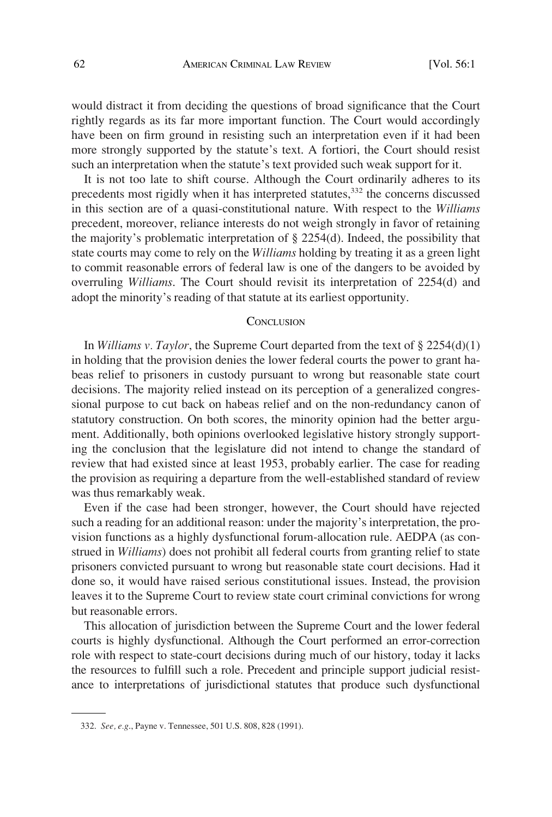would distract it from deciding the questions of broad significance that the Court rightly regards as its far more important function. The Court would accordingly have been on firm ground in resisting such an interpretation even if it had been more strongly supported by the statute's text. A fortiori, the Court should resist such an interpretation when the statute's text provided such weak support for it.

It is not too late to shift course. Although the Court ordinarily adheres to its precedents most rigidly when it has interpreted statutes,<sup>332</sup> the concerns discussed in this section are of a quasi-constitutional nature. With respect to the *Williams*  precedent, moreover, reliance interests do not weigh strongly in favor of retaining the majority's problematic interpretation of § 2254(d). Indeed, the possibility that state courts may come to rely on the *Williams* holding by treating it as a green light to commit reasonable errors of federal law is one of the dangers to be avoided by overruling *Williams*. The Court should revisit its interpretation of 2254(d) and adopt the minority's reading of that statute at its earliest opportunity.

#### **CONCLUSION**

In *Williams v. Taylor*, the Supreme Court departed from the text of § 2254(d)(1) in holding that the provision denies the lower federal courts the power to grant habeas relief to prisoners in custody pursuant to wrong but reasonable state court decisions. The majority relied instead on its perception of a generalized congressional purpose to cut back on habeas relief and on the non-redundancy canon of statutory construction. On both scores, the minority opinion had the better argument. Additionally, both opinions overlooked legislative history strongly supporting the conclusion that the legislature did not intend to change the standard of review that had existed since at least 1953, probably earlier. The case for reading the provision as requiring a departure from the well-established standard of review was thus remarkably weak.

Even if the case had been stronger, however, the Court should have rejected such a reading for an additional reason: under the majority's interpretation, the provision functions as a highly dysfunctional forum-allocation rule. AEDPA (as construed in *Williams*) does not prohibit all federal courts from granting relief to state prisoners convicted pursuant to wrong but reasonable state court decisions. Had it done so, it would have raised serious constitutional issues. Instead, the provision leaves it to the Supreme Court to review state court criminal convictions for wrong but reasonable errors.

This allocation of jurisdiction between the Supreme Court and the lower federal courts is highly dysfunctional. Although the Court performed an error-correction role with respect to state-court decisions during much of our history, today it lacks the resources to fulfill such a role. Precedent and principle support judicial resistance to interpretations of jurisdictional statutes that produce such dysfunctional

<sup>332.</sup> *See, e.g*., Payne v. Tennessee, 501 U.S. 808, 828 (1991).